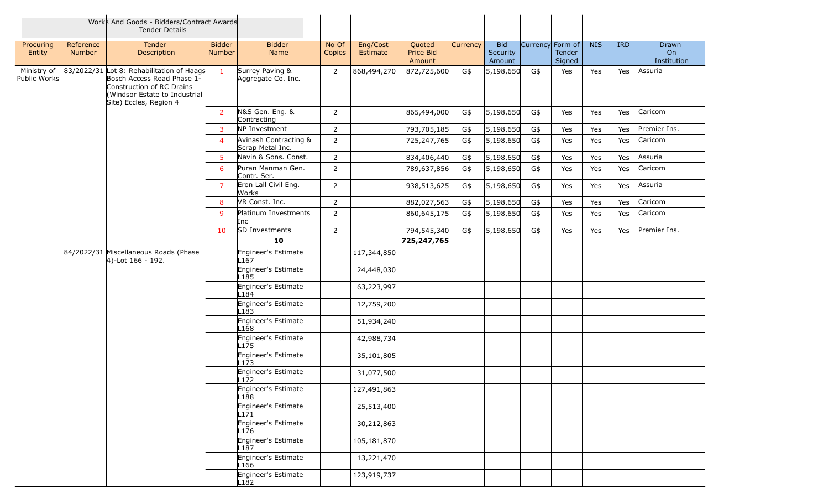|                             |                     | Works And Goods - Bidders/Contract Awards<br><b>Tender Details</b>                                                                                              |                                |                                           |                 |                      |                               |          |                                  |                  |                  |            |            |                            |
|-----------------------------|---------------------|-----------------------------------------------------------------------------------------------------------------------------------------------------------------|--------------------------------|-------------------------------------------|-----------------|----------------------|-------------------------------|----------|----------------------------------|------------------|------------------|------------|------------|----------------------------|
| Procuring<br>Entity         | Reference<br>Number | Tender<br>Description                                                                                                                                           | <b>Bidder</b><br><b>Number</b> | <b>Bidder</b><br>Name                     | No Of<br>Copies | Eng/Cost<br>Estimate | Quoted<br>Price Bid<br>Amount | Currency | <b>Bid</b><br>Security<br>Amount | Currency Form of | Tender<br>Signed | <b>NIS</b> | <b>IRD</b> | Drawn<br>On<br>Institution |
| Ministry of<br>Public Works |                     | 83/2022/31 Lot 8: Rehabilitation of Haags<br>Bosch Access Road Phase 1-<br>Construction of RC Drains<br>(Windsor Estate to Industrial<br>Site) Eccles, Region 4 | $\mathbf{1}$                   | Surrey Paving &<br>Aggregate Co. Inc.     | 2               | 868,494,270          | 872,725,600                   | G\$      | 5,198,650                        | G\$              | Yes              | Yes        | Yes        | Assuria                    |
|                             |                     |                                                                                                                                                                 | <sup>2</sup>                   | N&S Gen. Eng. &<br>Contracting            | $\overline{2}$  |                      | 865,494,000                   | G\$      | 5,198,650                        | G\$              | Yes              | Yes        | Yes        | Caricom                    |
|                             |                     |                                                                                                                                                                 | 3                              | NP Investment                             | $\overline{2}$  |                      | 793,705,185                   | G\$      | 5,198,650                        | G\$              | Yes              | Yes        | Yes        | Premier Ins.               |
|                             |                     |                                                                                                                                                                 | $\overline{4}$                 | Avinash Contracting &<br>Scrap Metal Inc. | $\overline{2}$  |                      | 725,247,765                   | G\$      | 5,198,650                        | G\$              | Yes              | Yes        | Yes        | Caricom                    |
|                             |                     |                                                                                                                                                                 | $\overline{5}$                 | Navin & Sons. Const.                      | $\overline{2}$  |                      | 834,406,440                   | G\$      | 5,198,650                        | G\$              | Yes              | Yes        | Yes        | Assuria                    |
|                             |                     |                                                                                                                                                                 | 6                              | Puran Manman Gen.<br>Contr. Ser.          | 2               |                      | 789,637,856                   | G\$      | 5,198,650                        | G\$              | Yes              | Yes        | Yes        | Caricom                    |
|                             |                     |                                                                                                                                                                 | $\overline{7}$                 | Eron Lall Civil Eng.<br>Works             | $\overline{2}$  |                      | 938,513,625                   | G\$      | 5,198,650                        | G\$              | Yes              | Yes        | Yes        | Assuria                    |
|                             |                     |                                                                                                                                                                 | 8                              | VR Const. Inc.                            | $\overline{2}$  |                      | 882,027,563                   | G\$      | 5,198,650                        | G\$              | Yes              | Yes        | Yes        | Caricom                    |
|                             |                     |                                                                                                                                                                 | 9                              | Platinum Investments<br>Inc               | $\overline{2}$  |                      | 860,645,175                   | G\$      | 5,198,650                        | G\$              | Yes              | Yes        | Yes        | Caricom                    |
|                             |                     |                                                                                                                                                                 | 10                             | SD Investments                            | $\overline{2}$  |                      | 794,545,340                   | G\$      | 5,198,650                        | G\$              | Yes              | Yes        | Yes        | Premier Ins.               |
|                             |                     |                                                                                                                                                                 |                                | 10                                        |                 |                      | 725,247,765                   |          |                                  |                  |                  |            |            |                            |
|                             |                     | 84/2022/31 Miscellaneous Roads (Phase<br>$ 4)$ -Lot 166 - 192.                                                                                                  |                                | Engineer's Estimate<br>-167               |                 | 117,344,850          |                               |          |                                  |                  |                  |            |            |                            |
|                             |                     |                                                                                                                                                                 |                                | Engineer's Estimate<br>-185               |                 | 24,448,030           |                               |          |                                  |                  |                  |            |            |                            |
|                             |                     |                                                                                                                                                                 |                                | Engineer's Estimate<br>184                |                 | 63,223,997           |                               |          |                                  |                  |                  |            |            |                            |
|                             |                     |                                                                                                                                                                 |                                | Engineer's Estimate<br>-183               |                 | 12,759,200           |                               |          |                                  |                  |                  |            |            |                            |
|                             |                     |                                                                                                                                                                 |                                | Engineer's Estimate<br>.168               |                 | 51,934,240           |                               |          |                                  |                  |                  |            |            |                            |
|                             |                     |                                                                                                                                                                 |                                | Engineer's Estimate<br>$-175$             |                 | 42,988,734           |                               |          |                                  |                  |                  |            |            |                            |
|                             |                     |                                                                                                                                                                 |                                | Engineer's Estimate<br>L173               |                 | 35,101,805           |                               |          |                                  |                  |                  |            |            |                            |
|                             |                     |                                                                                                                                                                 |                                | Engineer's Estimate<br>L172               |                 | 31,077,500           |                               |          |                                  |                  |                  |            |            |                            |
|                             |                     |                                                                                                                                                                 |                                | Engineer's Estimate<br>L188               |                 | 127,491,863          |                               |          |                                  |                  |                  |            |            |                            |
|                             |                     |                                                                                                                                                                 |                                | Engineer's Estimate<br>-171               |                 | 25,513,400           |                               |          |                                  |                  |                  |            |            |                            |
|                             |                     |                                                                                                                                                                 |                                | Engineer's Estimate<br>L176               |                 | 30,212,863           |                               |          |                                  |                  |                  |            |            |                            |
|                             |                     |                                                                                                                                                                 |                                | Engineer's Estimate<br>L187               |                 | 105,181,870          |                               |          |                                  |                  |                  |            |            |                            |
|                             |                     |                                                                                                                                                                 |                                | Engineer's Estimate<br>L166               |                 | 13,221,470           |                               |          |                                  |                  |                  |            |            |                            |
|                             |                     |                                                                                                                                                                 |                                | Engineer's Estimate<br>L182               |                 | 123,919,737          |                               |          |                                  |                  |                  |            |            |                            |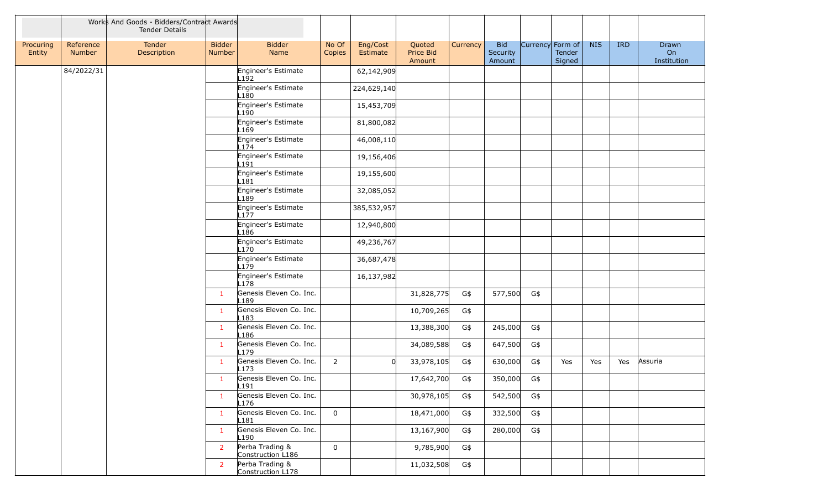|                     |                     | Works And Goods - Bidders/Contract Awards<br><b>Tender Details</b> |                         |                                             |                 |                      |                               |          |                                  |                  |                  |            |            |                            |
|---------------------|---------------------|--------------------------------------------------------------------|-------------------------|---------------------------------------------|-----------------|----------------------|-------------------------------|----------|----------------------------------|------------------|------------------|------------|------------|----------------------------|
| Procuring<br>Entity | Reference<br>Number | Tender<br>Description                                              | <b>Bidder</b><br>Number | <b>Bidder</b><br>Name                       | No Of<br>Copies | Eng/Cost<br>Estimate | Quoted<br>Price Bid<br>Amount | Currency | <b>Bid</b><br>Security<br>Amount | Currency Form of | Tender<br>Signed | <b>NIS</b> | <b>IRD</b> | Drawn<br>On<br>Institution |
|                     | 84/2022/31          |                                                                    |                         | Engineer's Estimate<br>L192                 |                 | 62,142,909           |                               |          |                                  |                  |                  |            |            |                            |
|                     |                     |                                                                    |                         | Engineer's Estimate<br>L180                 |                 | 224,629,140          |                               |          |                                  |                  |                  |            |            |                            |
|                     |                     |                                                                    |                         | Engineer's Estimate<br>L190                 |                 | 15,453,709           |                               |          |                                  |                  |                  |            |            |                            |
|                     |                     |                                                                    |                         | Engineer's Estimate<br>L169                 |                 | 81,800,082           |                               |          |                                  |                  |                  |            |            |                            |
|                     |                     |                                                                    |                         | Engineer's Estimate<br>L174                 |                 | 46,008,110           |                               |          |                                  |                  |                  |            |            |                            |
|                     |                     |                                                                    |                         | Engineer's Estimate<br>L191                 |                 | 19,156,406           |                               |          |                                  |                  |                  |            |            |                            |
|                     |                     |                                                                    |                         | Engineer's Estimate<br>$-181$               |                 | 19,155,600           |                               |          |                                  |                  |                  |            |            |                            |
|                     |                     |                                                                    |                         | Engineer's Estimate<br>189                  |                 | 32,085,052           |                               |          |                                  |                  |                  |            |            |                            |
|                     |                     |                                                                    |                         | Engineer's Estimate<br>L177                 |                 | 385,532,957          |                               |          |                                  |                  |                  |            |            |                            |
|                     |                     |                                                                    |                         | Engineer's Estimate<br>L <sub>186</sub>     |                 | 12,940,800           |                               |          |                                  |                  |                  |            |            |                            |
|                     |                     |                                                                    |                         | Engineer's Estimate<br>L170                 |                 | 49,236,767           |                               |          |                                  |                  |                  |            |            |                            |
|                     |                     |                                                                    |                         | Engineer's Estimate<br>L179                 |                 | 36,687,478           |                               |          |                                  |                  |                  |            |            |                            |
|                     |                     |                                                                    |                         | Engineer's Estimate<br>L178                 |                 | 16,137,982           |                               |          |                                  |                  |                  |            |            |                            |
|                     |                     |                                                                    | $\mathbf{1}$            | Genesis Eleven Co. Inc.<br>L <sub>189</sub> |                 |                      | 31,828,775                    | G\$      | 577,500                          | G\$              |                  |            |            |                            |
|                     |                     |                                                                    | $\mathbf{1}$            | Genesis Eleven Co. Inc.<br>L183             |                 |                      | 10,709,265                    | G\$      |                                  |                  |                  |            |            |                            |
|                     |                     |                                                                    | $\mathbf{1}$            | Genesis Eleven Co. Inc.<br>L <sub>186</sub> |                 |                      | 13,388,300                    | G\$      | 245,000                          | G\$              |                  |            |            |                            |
|                     |                     |                                                                    | $\mathbf{1}$            | Genesis Eleven Co. Inc.<br>L179             |                 |                      | 34,089,588                    | G\$      | 647,500                          | G\$              |                  |            |            |                            |
|                     |                     |                                                                    | $\mathbf{1}$            | Genesis Eleven Co. Inc.<br>L173             | $2^{\circ}$     | $\Omega$             | 33,978,105                    | G\$      | 630,000                          | G\$              | Yes              | Yes        | Yes        | Assuria                    |
|                     |                     |                                                                    | $\mathbf{1}$            | Genesis Eleven Co. Inc.<br>L191             |                 |                      | 17,642,700                    | G\$      | 350,000                          | G\$              |                  |            |            |                            |
|                     |                     |                                                                    | $\mathbf{1}$            | Genesis Eleven Co. Inc.<br>L176             |                 |                      | 30,978,105                    | G\$      | 542,500                          | G\$              |                  |            |            |                            |
|                     |                     |                                                                    | $\mathbf{1}$            | Genesis Eleven Co. Inc.<br>181.             | $\overline{0}$  |                      | 18,471,000                    | G\$      | 332,500                          | G\$              |                  |            |            |                            |
|                     |                     |                                                                    | $\mathbf{1}$            | Genesis Eleven Co. Inc.<br>L190             |                 |                      | 13,167,900                    | G\$      | 280,000                          | G\$              |                  |            |            |                            |
|                     |                     |                                                                    | $\overline{2}$          | Perba Trading &<br>Construction L186        | $\overline{0}$  |                      | 9,785,900                     | G\$      |                                  |                  |                  |            |            |                            |
|                     |                     |                                                                    | 2                       | Perba Trading &<br>Construction L178        |                 |                      | 11,032,508                    | G\$      |                                  |                  |                  |            |            |                            |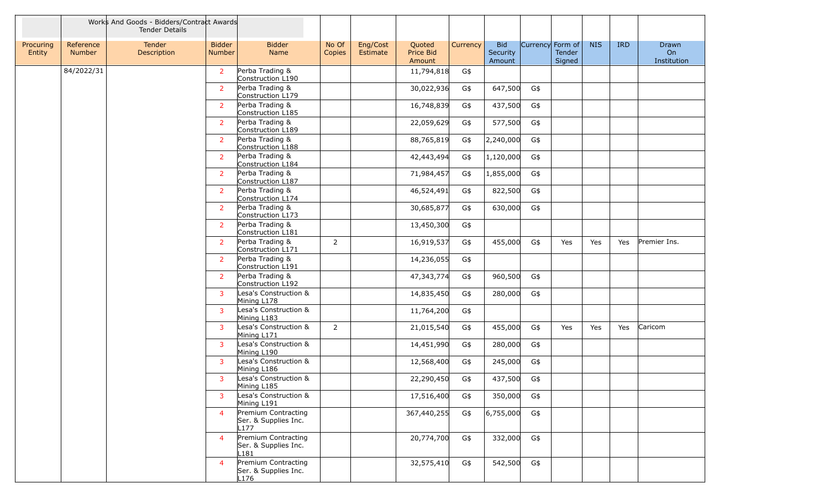|                     |                            | Works And Goods - Bidders/Contract Awards<br><b>Tender Details</b> |                                |                                                                 |                 |                                                       |          |                                  |     |                                      |            |            |                            |
|---------------------|----------------------------|--------------------------------------------------------------------|--------------------------------|-----------------------------------------------------------------|-----------------|-------------------------------------------------------|----------|----------------------------------|-----|--------------------------------------|------------|------------|----------------------------|
| Procuring<br>Entity | Reference<br><b>Number</b> | Tender<br>Description                                              | <b>Bidder</b><br><b>Number</b> | <b>Bidder</b><br>Name                                           | No Of<br>Copies | Eng/Cost<br>Quoted<br>Price Bid<br>Estimate<br>Amount | Currency | <b>Bid</b><br>Security<br>Amount |     | Currency Form of<br>Tender<br>Signed | <b>NIS</b> | <b>IRD</b> | Drawn<br>On<br>Institution |
|                     | 84/2022/31                 |                                                                    | 2                              | Perba Trading &<br>Construction L190                            |                 | 11,794,818                                            | G\$      |                                  |     |                                      |            |            |                            |
|                     |                            |                                                                    | $\overline{2}$                 | Perba Trading &<br>Construction L179                            |                 | 30,022,936                                            | G\$      | 647,500                          | G\$ |                                      |            |            |                            |
|                     |                            |                                                                    | $\overline{2}$                 | Perba Trading &<br>Construction L185                            |                 | 16,748,839                                            | G\$      | 437,500                          | G\$ |                                      |            |            |                            |
|                     |                            |                                                                    | $\overline{2}$                 | Perba Trading &<br>Construction L189                            |                 | 22,059,629                                            | G\$      | 577,500                          | G\$ |                                      |            |            |                            |
|                     |                            |                                                                    | $\overline{2}$                 | Perba Trading &<br>Construction L188                            |                 | 88,765,819                                            | G\$      | 2,240,000                        | G\$ |                                      |            |            |                            |
|                     |                            |                                                                    | $\overline{2}$                 | Perba Trading &<br>Construction L184                            |                 | 42,443,494                                            | G\$      | 1,120,000                        | G\$ |                                      |            |            |                            |
|                     |                            |                                                                    | $\overline{2}$                 | Perba Trading &<br>Construction L187                            |                 | 71,984,457                                            | G\$      | 1,855,000                        | G\$ |                                      |            |            |                            |
|                     |                            |                                                                    | $\overline{2}$                 | Perba Trading &<br>Construction L174                            |                 | 46,524,491                                            | G\$      | 822,500                          | G\$ |                                      |            |            |                            |
|                     |                            |                                                                    | $\overline{2}$                 | Perba Trading &<br>Construction L173                            |                 | 30,685,877                                            | G\$      | 630,000                          | G\$ |                                      |            |            |                            |
|                     |                            |                                                                    | 2                              | Perba Trading &<br>Construction L181                            |                 | 13,450,300                                            | G\$      |                                  |     |                                      |            |            |                            |
|                     |                            |                                                                    | $\overline{2}$                 | Perba Trading &<br>Construction L171                            | $\overline{2}$  | 16,919,537                                            | G\$      | 455,000                          | G\$ | Yes                                  | Yes        | Yes        | Premier Ins.               |
|                     |                            |                                                                    | $\overline{2}$                 | Perba Trading &<br>Construction L191                            |                 | 14,236,055                                            | G\$      |                                  |     |                                      |            |            |                            |
|                     |                            |                                                                    | $\overline{2}$                 | Perba Trading &<br>Construction L192                            |                 | 47,343,774                                            | G\$      | 960,500                          | G\$ |                                      |            |            |                            |
|                     |                            |                                                                    | 3                              | Lesa's Construction &<br>Mining L178                            |                 | 14,835,450                                            | G\$      | 280,000                          | G\$ |                                      |            |            |                            |
|                     |                            |                                                                    | $\overline{3}$                 | Lesa's Construction &<br>Mining L183                            |                 | 11,764,200                                            | G\$      |                                  |     |                                      |            |            |                            |
|                     |                            |                                                                    | $\overline{3}$                 | Lesa's Construction &<br>Mining L171                            | $\overline{2}$  | 21,015,540                                            | G\$      | 455,000                          | G\$ | Yes                                  | Yes        | Yes        | Caricom                    |
|                     |                            |                                                                    | 3                              | Lesa's Construction &<br>Mining L190                            |                 | 14,451,990                                            | G\$      | 280,000                          | G\$ |                                      |            |            |                            |
|                     |                            |                                                                    | 3                              | Lesa's Construction &<br>Mining L186                            |                 | 12,568,400                                            | G\$      | 245,000                          | G\$ |                                      |            |            |                            |
|                     |                            |                                                                    | 3                              | Lesa's Construction &<br>Mining L185                            |                 | 22,290,450                                            | G\$      | 437,500                          | G\$ |                                      |            |            |                            |
|                     |                            |                                                                    | 3                              | Lesa's Construction &<br>Mining L191                            |                 | 17,516,400                                            | G\$      | 350,000                          | G\$ |                                      |            |            |                            |
|                     |                            |                                                                    | $\overline{4}$                 | Premium Contracting<br>Ser. & Supplies Inc.<br>L177             |                 | 367,440,255                                           | G\$      | 6,755,000                        | G\$ |                                      |            |            |                            |
|                     |                            |                                                                    | $\overline{4}$                 | Premium Contracting<br>Ser. & Supplies Inc.<br>L181             |                 | 20,774,700                                            | G\$      | 332,000                          | G\$ |                                      |            |            |                            |
|                     |                            |                                                                    | $\overline{4}$                 | Premium Contracting<br>Ser. & Supplies Inc.<br>L <sub>176</sub> |                 | 32,575,410                                            | G\$      | 542,500                          | G\$ |                                      |            |            |                            |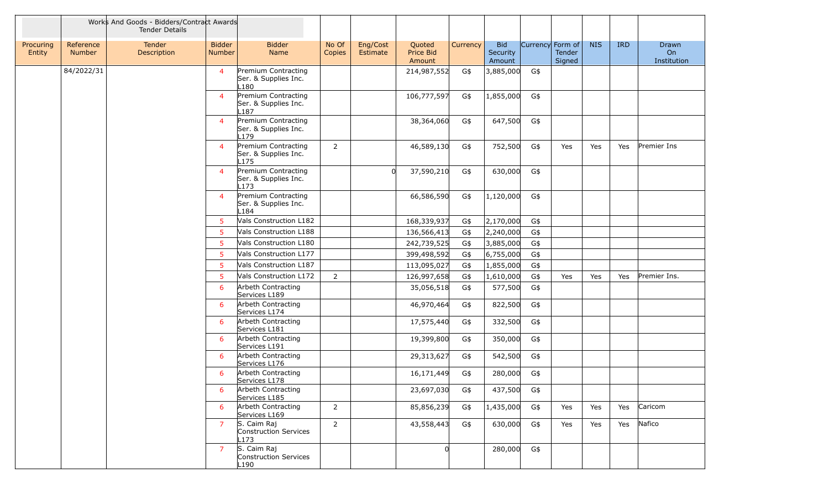|                     |                            | Works And Goods - Bidders/Contract Awards<br><b>Tender Details</b> |                                |                                                                 |                        |                                                       |          |                                  |                  |                  |            |            |                                   |
|---------------------|----------------------------|--------------------------------------------------------------------|--------------------------------|-----------------------------------------------------------------|------------------------|-------------------------------------------------------|----------|----------------------------------|------------------|------------------|------------|------------|-----------------------------------|
| Procuring<br>Entity | Reference<br><b>Number</b> | <b>Tender</b><br>Description                                       | <b>Bidder</b><br><b>Number</b> | <b>Bidder</b><br>Name                                           | No Of<br><b>Copies</b> | Eng/Cost<br>Quoted<br>Price Bid<br>Estimate<br>Amount | Currency | <b>Bid</b><br>Security<br>Amount | Currency Form of | Tender<br>Signed | <b>NIS</b> | <b>IRD</b> | <b>Drawn</b><br>On<br>Institution |
|                     | 84/2022/31                 |                                                                    | $\overline{4}$                 | Premium Contracting<br>Ser. & Supplies Inc.<br>L180             |                        | 214,987,552                                           | G\$      | 3,885,000                        | G\$              |                  |            |            |                                   |
|                     |                            |                                                                    | $\overline{4}$                 | Premium Contracting<br>Ser. & Supplies Inc.<br>L187             |                        | 106,777,597                                           | G\$      | 1,855,000                        | G\$              |                  |            |            |                                   |
|                     |                            |                                                                    | $\overline{4}$                 | Premium Contracting<br>Ser. & Supplies Inc.<br>L179             |                        | 38,364,060                                            | G\$      | 647,500                          | G\$              |                  |            |            |                                   |
|                     |                            |                                                                    | $\overline{4}$                 | Premium Contracting<br>Ser. & Supplies Inc.<br>L175             | $\overline{2}$         | 46,589,130                                            | G\$      | 752,500                          | G\$              | Yes              | Yes        | Yes        | Premier Ins                       |
|                     |                            |                                                                    | $\overline{4}$                 | Premium Contracting<br>Ser. & Supplies Inc.<br>L <sub>173</sub> |                        | 37,590,210<br>U                                       | G\$      | 630,000                          | G\$              |                  |            |            |                                   |
|                     |                            |                                                                    | $\overline{4}$                 | Premium Contracting<br>Ser. & Supplies Inc.<br>L184             |                        | 66,586,590                                            | G\$      | 1,120,000                        | G\$              |                  |            |            |                                   |
|                     |                            |                                                                    | 5                              | Vals Construction L182                                          |                        | 168,339,937                                           | G\$      | 2,170,000                        | G\$              |                  |            |            |                                   |
|                     |                            |                                                                    | 5                              | Vals Construction L188                                          |                        | 136,566,413                                           | G\$      | 2,240,000                        | G\$              |                  |            |            |                                   |
|                     |                            |                                                                    | 5                              | Vals Construction L180                                          |                        | 242,739,525                                           | G\$      | 3,885,000                        | G\$              |                  |            |            |                                   |
|                     |                            |                                                                    | $\overline{5}$                 | Vals Construction L177                                          |                        | 399,498,592                                           | G\$      | 6,755,000                        | G\$              |                  |            |            |                                   |
|                     |                            |                                                                    | 5                              | Vals Construction L187                                          |                        | 113,095,027                                           | G\$      | 1,855,000                        | G\$              |                  |            |            |                                   |
|                     |                            |                                                                    | 5 <sup>5</sup>                 | Vals Construction L172                                          | $\overline{2}$         | 126,997,658                                           | G\$      | 1,610,000                        | G\$              | Yes              | Yes        | Yes        | Premier Ins.                      |
|                     |                            |                                                                    | 6                              | Arbeth Contracting<br>Services L189                             |                        | 35,056,518                                            | G\$      | 577,500                          | G\$              |                  |            |            |                                   |
|                     |                            |                                                                    | 6                              | Arbeth Contracting<br>Services L174                             |                        | 46,970,464                                            | G\$      | 822,500                          | G\$              |                  |            |            |                                   |
|                     |                            |                                                                    | 6                              | Arbeth Contracting<br>Services L181                             |                        | 17,575,440                                            | G\$      | 332,500                          | G\$              |                  |            |            |                                   |
|                     |                            |                                                                    | 6                              | Arbeth Contracting<br>Services L191                             |                        | 19,399,800                                            | G\$      | 350,000                          | G\$              |                  |            |            |                                   |
|                     |                            |                                                                    | 6                              | Arbeth Contracting<br>Services L176                             |                        | 29,313,627                                            | G\$      | 542,500                          | G\$              |                  |            |            |                                   |
|                     |                            |                                                                    | 6                              | Arbeth Contracting<br>Services L178                             |                        | 16,171,449                                            | G\$      | 280,000                          | G\$              |                  |            |            |                                   |
|                     |                            |                                                                    | 6                              | Arbeth Contracting<br>Services L185                             |                        | 23,697,030                                            | G\$      | 437,500                          | G\$              |                  |            |            |                                   |
|                     |                            |                                                                    | 6                              | Arbeth Contracting<br>Services L169                             | $\overline{2}$         | 85,856,239                                            | G\$      | 1,435,000                        | G\$              | Yes              | Yes        | Yes        | Caricom                           |
|                     |                            |                                                                    | $\overline{7}$                 | S. Caim Raj<br>Construction Services<br>L173                    | $\overline{2}$         | 43,558,443                                            | G\$      | 630,000                          | G\$              | Yes              | Yes        | Yes        | Nafico                            |
|                     |                            |                                                                    | $\overline{7}$                 | S. Caim Raj<br>Construction Services<br>L190                    |                        | $\Omega$                                              |          | 280,000                          | G\$              |                  |            |            |                                   |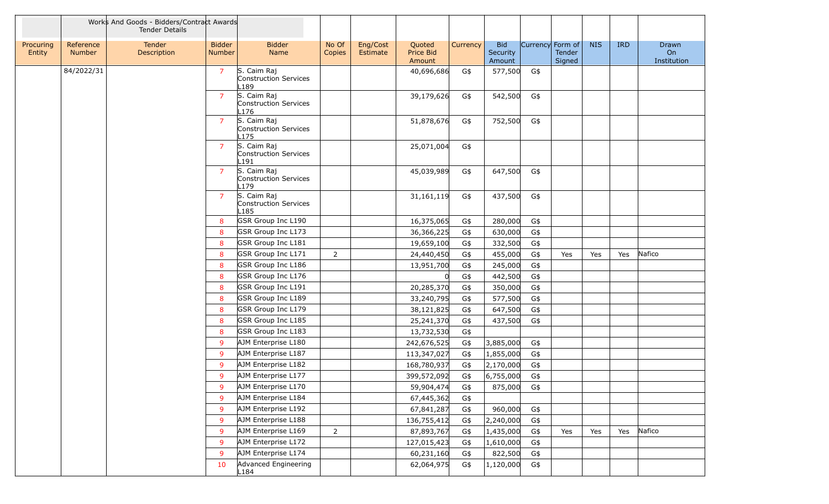|                     |                            | Works And Goods - Bidders/Contract Awards<br><b>Tender Details</b> |                                |                                                     |                 |                      |                               |                 |                                  |                  |                  |            |            |                            |
|---------------------|----------------------------|--------------------------------------------------------------------|--------------------------------|-----------------------------------------------------|-----------------|----------------------|-------------------------------|-----------------|----------------------------------|------------------|------------------|------------|------------|----------------------------|
| Procuring<br>Entity | Reference<br><b>Number</b> | Tender<br>Description                                              | <b>Bidder</b><br><b>Number</b> | <b>Bidder</b><br>Name                               | No Of<br>Copies | Eng/Cost<br>Estimate | Quoted<br>Price Bid<br>Amount | <b>Currency</b> | <b>Bid</b><br>Security<br>Amount | Currency Form of | Tender<br>Signed | <b>NIS</b> | <b>IRD</b> | Drawn<br>On<br>Institution |
|                     | 84/2022/31                 |                                                                    | $\overline{7}$                 | S. Caim Raj<br><b>Construction Services</b><br>.189 |                 |                      | 40,696,686                    | G\$             | 577,500                          | G\$              |                  |            |            |                            |
|                     |                            |                                                                    | 7                              | S. Caim Raj<br><b>Construction Services</b><br>.176 |                 |                      | 39,179,626                    | G\$             | 542,500                          | G\$              |                  |            |            |                            |
|                     |                            |                                                                    | $\overline{7}$                 | S. Caim Raj<br>Construction Services<br>L175        |                 |                      | 51,878,676                    | G\$             | 752,500                          | G\$              |                  |            |            |                            |
|                     |                            |                                                                    | $\overline{7}$                 | S. Caim Raj<br><b>Construction Services</b><br>.191 |                 |                      | 25,071,004                    | G\$             |                                  |                  |                  |            |            |                            |
|                     |                            |                                                                    | $\overline{7}$                 | S. Caim Raj<br>Construction Services<br>179         |                 |                      | 45,039,989                    | G\$             | 647,500                          | G\$              |                  |            |            |                            |
|                     |                            |                                                                    | $\overline{7}$                 | S. Caim Raj<br><b>Construction Services</b><br>.185 |                 |                      | 31,161,119                    | G\$             | 437,500                          | G\$              |                  |            |            |                            |
|                     |                            |                                                                    | 8                              | GSR Group Inc L190                                  |                 |                      | 16,375,065                    | G\$             | 280,000                          | G\$              |                  |            |            |                            |
|                     |                            |                                                                    | 8                              | GSR Group Inc L173                                  |                 |                      | 36,366,225                    | G\$             | 630,000                          | G\$              |                  |            |            |                            |
|                     |                            |                                                                    | 8                              | GSR Group Inc L181                                  |                 |                      | 19,659,100                    | G\$             | 332,500                          | G\$              |                  |            |            |                            |
|                     |                            |                                                                    | 8                              | GSR Group Inc L171                                  | 2               |                      | 24,440,450                    | G\$             | 455,000                          | G\$              | Yes              | Yes        | Yes        | Nafico                     |
|                     |                            |                                                                    | 8                              | GSR Group Inc L186                                  |                 |                      | 13,951,700                    | G\$             | 245,000                          | G\$              |                  |            |            |                            |
|                     |                            |                                                                    | 8                              | GSR Group Inc L176                                  |                 |                      |                               | G\$             | 442,500                          | G\$              |                  |            |            |                            |
|                     |                            |                                                                    | 8                              | GSR Group Inc L191                                  |                 |                      | 20,285,370                    | G\$             | 350,000                          | G\$              |                  |            |            |                            |
|                     |                            |                                                                    | 8                              | GSR Group Inc L189                                  |                 |                      | 33,240,795                    | G\$             | 577,500                          | G\$              |                  |            |            |                            |
|                     |                            |                                                                    | 8                              | GSR Group Inc L179                                  |                 |                      | 38,121,825                    | G\$             | 647,500                          | G\$              |                  |            |            |                            |
|                     |                            |                                                                    | 8                              | GSR Group Inc L185                                  |                 |                      | 25,241,370                    | G\$             | 437,500                          | G\$              |                  |            |            |                            |
|                     |                            |                                                                    | 8                              | GSR Group Inc L183                                  |                 |                      | 13,732,530                    | G\$             |                                  |                  |                  |            |            |                            |
|                     |                            |                                                                    | 9                              | AJM Enterprise L180                                 |                 |                      | 242,676,525                   | G\$             | 3,885,000                        | G\$              |                  |            |            |                            |
|                     |                            |                                                                    | 9                              | AJM Enterprise L187                                 |                 |                      | 113,347,027                   | G\$             | 1,855,000                        | G\$              |                  |            |            |                            |
|                     |                            |                                                                    | 9                              | AJM Enterprise L182                                 |                 |                      | 168,780,937                   | G\$             | 2,170,000                        | G\$              |                  |            |            |                            |
|                     |                            |                                                                    | 9                              | AJM Enterprise L177                                 |                 |                      | 399,572,092                   | G\$             | 6,755,000                        | G\$              |                  |            |            |                            |
|                     |                            |                                                                    | 9                              | AJM Enterprise L170                                 |                 |                      | 59,904,474                    | G\$             | 875,000                          | G\$              |                  |            |            |                            |
|                     |                            |                                                                    | 9                              | AJM Enterprise L184                                 |                 |                      | 67,445,362                    | G\$             |                                  |                  |                  |            |            |                            |
|                     |                            |                                                                    | 9                              | AJM Enterprise L192                                 |                 |                      | 67,841,287                    | G\$             | 960,000                          | G\$              |                  |            |            |                            |
|                     |                            |                                                                    | 9                              | AJM Enterprise L188                                 |                 |                      | 136,755,412                   | G\$             | 2,240,000                        | G\$              |                  |            |            |                            |
|                     |                            |                                                                    | 9                              | AJM Enterprise L169                                 | $\overline{2}$  |                      | 87,893,767                    | G\$             | 1,435,000                        | G\$              | Yes              | Yes        | Yes        | Nafico                     |
|                     |                            |                                                                    | 9                              | AJM Enterprise L172                                 |                 |                      | 127,015,423                   | G\$             | 1,610,000                        | G\$              |                  |            |            |                            |
|                     |                            |                                                                    | 9                              | AJM Enterprise L174                                 |                 |                      | 60,231,160                    | G\$             | 822,500                          | G\$              |                  |            |            |                            |
|                     |                            |                                                                    | 10                             | Advanced Engineering<br>L184                        |                 |                      | 62,064,975                    | G\$             | 1,120,000                        | G\$              |                  |            |            |                            |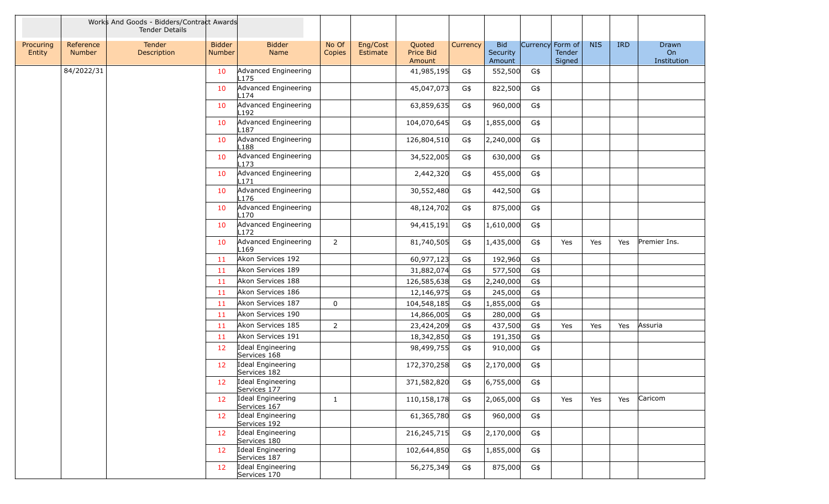|                     |                            | Works And Goods - Bidders/Contract Awards<br><b>Tender Details</b> |                                |                                   |                 |                      |                               |          |                                  |                  |                  |            |            |                            |
|---------------------|----------------------------|--------------------------------------------------------------------|--------------------------------|-----------------------------------|-----------------|----------------------|-------------------------------|----------|----------------------------------|------------------|------------------|------------|------------|----------------------------|
| Procuring<br>Entity | Reference<br><b>Number</b> | Tender<br>Description                                              | <b>Bidder</b><br><b>Number</b> | <b>Bidder</b><br>Name             | No Of<br>Copies | Eng/Cost<br>Estimate | Quoted<br>Price Bid<br>Amount | Currency | <b>Bid</b><br>Security<br>Amount | Currency Form of | Tender<br>Signed | <b>NIS</b> | <b>IRD</b> | Drawn<br>On<br>Institution |
|                     | 84/2022/31                 |                                                                    | 10                             | Advanced Engineering<br>L175      |                 |                      | 41,985,195                    | G\$      | 552,500                          | G\$              |                  |            |            |                            |
|                     |                            |                                                                    | 10                             | Advanced Engineering<br>L174      |                 |                      | 45,047,073                    | G\$      | 822,500                          | G\$              |                  |            |            |                            |
|                     |                            |                                                                    | 10                             | Advanced Engineering<br>.192      |                 |                      | 63,859,635                    | G\$      | 960,000                          | G\$              |                  |            |            |                            |
|                     |                            |                                                                    | 10                             | Advanced Engineering<br>L187      |                 |                      | 104,070,645                   | G\$      | 1,855,000                        | G\$              |                  |            |            |                            |
|                     |                            |                                                                    | 10                             | Advanced Engineering<br>L188      |                 |                      | 126,804,510                   | G\$      | 2,240,000                        | G\$              |                  |            |            |                            |
|                     |                            |                                                                    | 10                             | Advanced Engineering<br>L173      |                 |                      | 34,522,005                    | G\$      | 630,000                          | G\$              |                  |            |            |                            |
|                     |                            |                                                                    | 10                             | Advanced Engineering<br>171       |                 |                      | 2,442,320                     | G\$      | 455,000                          | G\$              |                  |            |            |                            |
|                     |                            |                                                                    | 10                             | Advanced Engineering<br>L176      |                 |                      | 30,552,480                    | G\$      | 442,500                          | G\$              |                  |            |            |                            |
|                     |                            |                                                                    | 10                             | Advanced Engineering<br>-170      |                 |                      | 48,124,702                    | G\$      | 875,000                          | G\$              |                  |            |            |                            |
|                     |                            |                                                                    | 10                             | Advanced Engineering<br>L172      |                 |                      | 94,415,191                    | G\$      | 1,610,000                        | G\$              |                  |            |            |                            |
|                     |                            |                                                                    | 10                             | Advanced Engineering<br>169       | $\overline{2}$  |                      | 81,740,505                    | G\$      | 1,435,000                        | G\$              | Yes              | Yes        | Yes        | Premier Ins.               |
|                     |                            |                                                                    | 11                             | Akon Services 192                 |                 |                      | 60,977,123                    | G\$      | 192,960                          | G\$              |                  |            |            |                            |
|                     |                            |                                                                    | 11                             | Akon Services 189                 |                 |                      | 31,882,074                    | G\$      | 577,500                          | G\$              |                  |            |            |                            |
|                     |                            |                                                                    | 11                             | Akon Services 188                 |                 |                      | 126,585,638                   | G\$      | 2,240,000                        | G\$              |                  |            |            |                            |
|                     |                            |                                                                    | 11                             | Akon Services 186                 |                 |                      | 12,146,975                    | G\$      | 245,000                          | G\$              |                  |            |            |                            |
|                     |                            |                                                                    | 11                             | Akon Services 187                 | $\mathbf 0$     |                      | 104,548,185                   | G\$      | 1,855,000                        | G\$              |                  |            |            |                            |
|                     |                            |                                                                    | 11                             | Akon Services 190                 |                 |                      | 14,866,005                    | G\$      | 280,000                          | G\$              |                  |            |            |                            |
|                     |                            |                                                                    | 11                             | Akon Services 185                 | $\overline{2}$  |                      | 23,424,209                    | G\$      | 437,500                          | G\$              | Yes              | Yes        | Yes        | Assuria                    |
|                     |                            |                                                                    | 11                             | Akon Services 191                 |                 |                      | 18,342,850                    | G\$      | 191,350                          | G\$              |                  |            |            |                            |
|                     |                            |                                                                    | 12                             | Ideal Engineering<br>Services 168 |                 |                      | 98,499,755                    | G\$      | 910,000                          | G\$              |                  |            |            |                            |
|                     |                            |                                                                    | 12                             | Ideal Engineering<br>Services 182 |                 |                      | 172,370,258                   | G\$      | 2,170,000                        | G\$              |                  |            |            |                            |
|                     |                            |                                                                    | 12                             | Ideal Engineering<br>Services 177 |                 |                      | 371,582,820                   | G\$      | 6,755,000                        | G\$              |                  |            |            |                            |
|                     |                            |                                                                    | 12                             | Ideal Engineering<br>Services 167 | $\mathbf{1}$    |                      | 110,158,178                   | G\$      | 2,065,000                        | G\$              | Yes              | Yes        | Yes        | Caricom                    |
|                     |                            |                                                                    | 12                             | Ideal Engineering<br>Services 192 |                 |                      | 61,365,780                    | G\$      | 960,000                          | G\$              |                  |            |            |                            |
|                     |                            |                                                                    | 12                             | Ideal Engineering<br>Services 180 |                 |                      | 216, 245, 715                 | G\$      | 2,170,000                        | G\$              |                  |            |            |                            |
|                     |                            |                                                                    | 12                             | Ideal Engineering<br>Services 187 |                 |                      | 102,644,850                   | G\$      | 1,855,000                        | G\$              |                  |            |            |                            |
|                     |                            |                                                                    | 12                             | Ideal Engineering<br>Services 170 |                 |                      | 56,275,349                    | G\$      | 875,000                          | G\$              |                  |            |            |                            |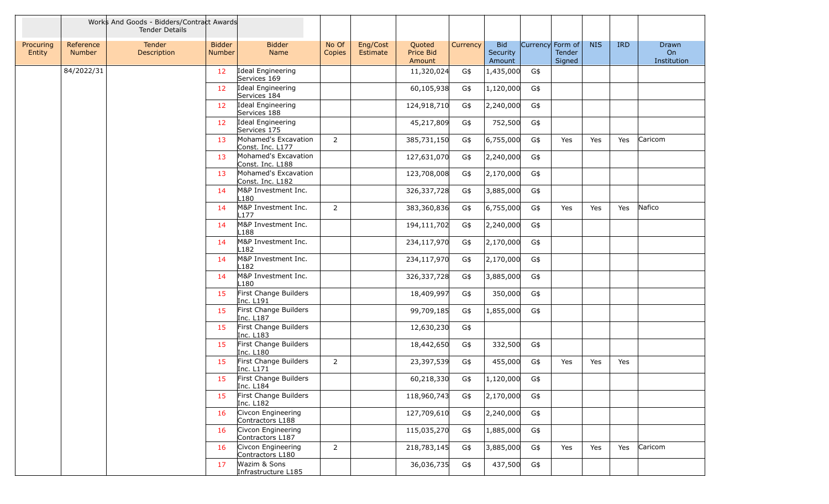|                     |                            | Works And Goods - Bidders/Contract Awards<br><b>Tender Details</b> |                                |                                              |                 |                      |                               |          |                                  |                  |                  |            |            |                            |
|---------------------|----------------------------|--------------------------------------------------------------------|--------------------------------|----------------------------------------------|-----------------|----------------------|-------------------------------|----------|----------------------------------|------------------|------------------|------------|------------|----------------------------|
| Procuring<br>Entity | Reference<br><b>Number</b> | Tender<br>Description                                              | <b>Bidder</b><br><b>Number</b> | <b>Bidder</b><br>Name                        | No Of<br>Copies | Eng/Cost<br>Estimate | Quoted<br>Price Bid<br>Amount | Currency | <b>Bid</b><br>Security<br>Amount | Currency Form of | Tender<br>Signed | <b>NIS</b> | <b>IRD</b> | Drawn<br>On<br>Institution |
|                     | 84/2022/31                 |                                                                    | 12                             | Ideal Engineering<br>Services 169            |                 |                      | 11,320,024                    | G\$      | 1,435,000                        | G\$              |                  |            |            |                            |
|                     |                            |                                                                    | 12                             | Ideal Engineering<br>Services <sub>184</sub> |                 |                      | 60,105,938                    | G\$      | 1,120,000                        | G\$              |                  |            |            |                            |
|                     |                            |                                                                    | 12                             | Ideal Engineering<br>Services 188            |                 |                      | 124,918,710                   | G\$      | 2,240,000                        | G\$              |                  |            |            |                            |
|                     |                            |                                                                    | 12                             | Ideal Engineering<br>Services 175            |                 |                      | 45,217,809                    | G\$      | 752,500                          | G\$              |                  |            |            |                            |
|                     |                            |                                                                    | 13                             | Mohamed's Excavation<br>Const. Inc. L177     | $\overline{2}$  |                      | 385,731,150                   | G\$      | 6,755,000                        | G\$              | Yes              | Yes        | Yes        | Caricom                    |
|                     |                            |                                                                    | 13                             | Mohamed's Excavation<br>Const. Inc. L188     |                 |                      | 127,631,070                   | G\$      | 2,240,000                        | G\$              |                  |            |            |                            |
|                     |                            |                                                                    | 13                             | Mohamed's Excavation<br>Const. Inc. L182     |                 |                      | 123,708,008                   | G\$      | 2,170,000                        | G\$              |                  |            |            |                            |
|                     |                            |                                                                    | 14                             | M&P Investment Inc.<br>.180                  |                 |                      | 326, 337, 728                 | G\$      | 3,885,000                        | G\$              |                  |            |            |                            |
|                     |                            |                                                                    | 14                             | M&P Investment Inc.<br>$-177$                | $2^{\circ}$     |                      | 383,360,836                   | G\$      | 6,755,000                        | G\$              | Yes              | Yes        | Yes        | Nafico                     |
|                     |                            |                                                                    | 14                             | M&P Investment Inc.<br>188.                  |                 |                      | 194,111,702                   | G\$      | 2,240,000                        | G\$              |                  |            |            |                            |
|                     |                            |                                                                    | 14                             | M&P Investment Inc.<br>.182                  |                 |                      | 234,117,970                   | G\$      | 2,170,000                        | G\$              |                  |            |            |                            |
|                     |                            |                                                                    | 14                             | M&P Investment Inc.<br>.182                  |                 |                      | 234,117,970                   | G\$      | 2,170,000                        | G\$              |                  |            |            |                            |
|                     |                            |                                                                    | 14                             | M&P Investment Inc.<br>-180                  |                 |                      | 326,337,728                   | G\$      | 3,885,000                        | G\$              |                  |            |            |                            |
|                     |                            |                                                                    | 15                             | First Change Builders<br>Inc. L191           |                 |                      | 18,409,997                    | G\$      | 350,000                          | G\$              |                  |            |            |                            |
|                     |                            |                                                                    | 15                             | First Change Builders<br>Inc. L187           |                 |                      | 99,709,185                    | G\$      | 1,855,000                        | G\$              |                  |            |            |                            |
|                     |                            |                                                                    | 15                             | First Change Builders<br>Inc. L183           |                 |                      | 12,630,230                    | G\$      |                                  |                  |                  |            |            |                            |
|                     |                            |                                                                    | 15                             | First Change Builders<br>Inc. L180           |                 |                      | 18,442,650                    | G\$      | 332,500                          | G\$              |                  |            |            |                            |
|                     |                            |                                                                    | 15                             | First Change Builders<br>Inc. L171           | $\overline{2}$  |                      | 23,397,539                    | G\$      | 455,000                          | G\$              | Yes              | Yes        | Yes        |                            |
|                     |                            |                                                                    | 15                             | First Change Builders<br>Inc. L184           |                 |                      | 60,218,330                    | G\$      | 1,120,000                        | G\$              |                  |            |            |                            |
|                     |                            |                                                                    | 15                             | First Change Builders<br>Inc. L182           |                 |                      | 118,960,743                   | G\$      | 2,170,000                        | G\$              |                  |            |            |                            |
|                     |                            |                                                                    | 16                             | Civcon Engineering<br>Contractors L188       |                 |                      | 127,709,610                   | G\$      | 2,240,000                        | G\$              |                  |            |            |                            |
|                     |                            |                                                                    | 16                             | Civcon Engineering<br>Contractors L187       |                 |                      | 115,035,270                   | G\$      | 1,885,000                        | G\$              |                  |            |            |                            |
|                     |                            |                                                                    | 16                             | Civcon Engineering<br>Contractors L180       | $\overline{2}$  |                      | 218,783,145                   | G\$      | 3,885,000                        | G\$              | Yes              | Yes        | Yes        | Caricom                    |
|                     |                            |                                                                    | 17                             | Wazim & Sons<br>Infrastructure L185          |                 |                      | 36,036,735                    | G\$      | 437,500                          | G\$              |                  |            |            |                            |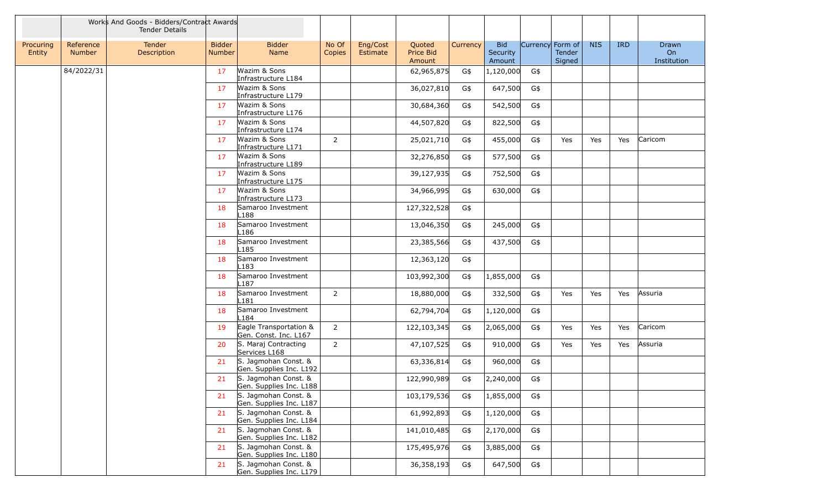|                     |                     | Works And Goods - Bidders/Contract Awards<br><b>Tender Details</b> |                                |                                                 |                 |                      |                               |          |                                  |                  |                  |            |            |                            |
|---------------------|---------------------|--------------------------------------------------------------------|--------------------------------|-------------------------------------------------|-----------------|----------------------|-------------------------------|----------|----------------------------------|------------------|------------------|------------|------------|----------------------------|
| Procuring<br>Entity | Reference<br>Number | Tender<br>Description                                              | <b>Bidder</b><br><b>Number</b> | <b>Bidder</b><br>Name                           | No Of<br>Copies | Eng/Cost<br>Estimate | Quoted<br>Price Bid<br>Amount | Currency | <b>Bid</b><br>Security<br>Amount | Currency Form of | Tender<br>Signed | <b>NIS</b> | <b>IRD</b> | Drawn<br>On<br>Institution |
|                     | 84/2022/31          |                                                                    | 17                             | Wazim & Sons<br>Infrastructure L184             |                 |                      | 62,965,875                    | G\$      | 1,120,000                        | G\$              |                  |            |            |                            |
|                     |                     |                                                                    | 17                             | Wazim & Sons<br>Infrastructure L179             |                 |                      | 36,027,810                    | G\$      | 647,500                          | G\$              |                  |            |            |                            |
|                     |                     |                                                                    | 17                             | Wazim & Sons<br>Infrastructure L176             |                 |                      | 30,684,360                    | G\$      | 542,500                          | G\$              |                  |            |            |                            |
|                     |                     |                                                                    | 17                             | Wazim & Sons<br>Infrastructure L174             |                 |                      | 44,507,820                    | G\$      | 822,500                          | G\$              |                  |            |            |                            |
|                     |                     |                                                                    | 17                             | Wazim & Sons<br>Infrastructure L171             | 2               |                      | 25,021,710                    | G\$      | 455,000                          | G\$              | Yes              | Yes        | Yes        | Caricom                    |
|                     |                     |                                                                    | 17                             | Wazim & Sons<br>Infrastructure L189             |                 |                      | 32,276,850                    | G\$      | 577,500                          | G\$              |                  |            |            |                            |
|                     |                     |                                                                    | 17                             | Wazim & Sons<br>Infrastructure L175             |                 |                      | 39,127,935                    | G\$      | 752,500                          | G\$              |                  |            |            |                            |
|                     |                     |                                                                    | 17                             | Wazim & Sons<br>Infrastructure L173             |                 |                      | 34,966,995                    | G\$      | 630,000                          | G\$              |                  |            |            |                            |
|                     |                     |                                                                    | 18                             | Samaroo Investment<br>L188                      |                 |                      | 127,322,528                   | G\$      |                                  |                  |                  |            |            |                            |
|                     |                     |                                                                    | 18                             | Samaroo Investment<br>.186                      |                 |                      | 13,046,350                    | G\$      | 245,000                          | G\$              |                  |            |            |                            |
|                     |                     |                                                                    | 18                             | Samaroo Investment<br>.185                      |                 |                      | 23,385,566                    | G\$      | 437,500                          | G\$              |                  |            |            |                            |
|                     |                     |                                                                    | 18                             | Samaroo Investment<br>.183                      |                 |                      | 12,363,120                    | G\$      |                                  |                  |                  |            |            |                            |
|                     |                     |                                                                    | 18                             | Samaroo Investment<br>L187                      |                 |                      | 103,992,300                   | G\$      | 1,855,000                        | G\$              |                  |            |            |                            |
|                     |                     |                                                                    | 18                             | Samaroo Investment<br>.181                      | 2               |                      | 18,880,000                    | G\$      | 332,500                          | G\$              | Yes              | Yes        | Yes        | Assuria                    |
|                     |                     |                                                                    | 18                             | Samaroo Investment<br>-184                      |                 |                      | 62,794,704                    | G\$      | 1,120,000                        | G\$              |                  |            |            |                            |
|                     |                     |                                                                    | 19                             | Eagle Transportation &<br>Gen. Const. Inc. L167 | $\overline{2}$  |                      | 122,103,345                   | G\$      | 2,065,000                        | G\$              | Yes              | Yes        | Yes        | Caricom                    |
|                     |                     |                                                                    | 20                             | S. Maraj Contracting<br>Services L168           | 2               |                      | 47,107,525                    | G\$      | 910,000                          | G\$              | Yes              | Yes        | Yes        | Assuria                    |
|                     |                     |                                                                    | 21                             | S. Jagmohan Const. &<br>Gen. Supplies Inc. L192 |                 |                      | 63,336,814                    | G\$      | 960,000                          | G\$              |                  |            |            |                            |
|                     |                     |                                                                    | 21                             | S. Jagmohan Const. &<br>Gen. Supplies Inc. L188 |                 |                      | 122,990,989                   | G\$      | 2,240,000                        | G\$              |                  |            |            |                            |
|                     |                     |                                                                    | 21                             | S. Jagmohan Const. &<br>Gen. Supplies Inc. L187 |                 |                      | 103,179,536                   | G\$      | 1,855,000                        | G\$              |                  |            |            |                            |
|                     |                     |                                                                    | 21                             | S. Jagmohan Const. &<br>Gen. Supplies Inc. L184 |                 |                      | 61,992,893                    | G\$      | 1,120,000                        | G\$              |                  |            |            |                            |
|                     |                     |                                                                    | 21                             | S. Jagmohan Const. &<br>Gen. Supplies Inc. L182 |                 |                      | 141,010,485                   | G\$      | 2,170,000                        | G\$              |                  |            |            |                            |
|                     |                     |                                                                    | 21                             | S. Jagmohan Const. &<br>Gen. Supplies Inc. L180 |                 |                      | 175,495,976                   | G\$      | 3,885,000                        | G\$              |                  |            |            |                            |
|                     |                     |                                                                    | 21                             | S. Jagmohan Const. &<br>Gen. Supplies Inc. L179 |                 |                      | 36,358,193                    | G\$      | 647,500                          | G\$              |                  |            |            |                            |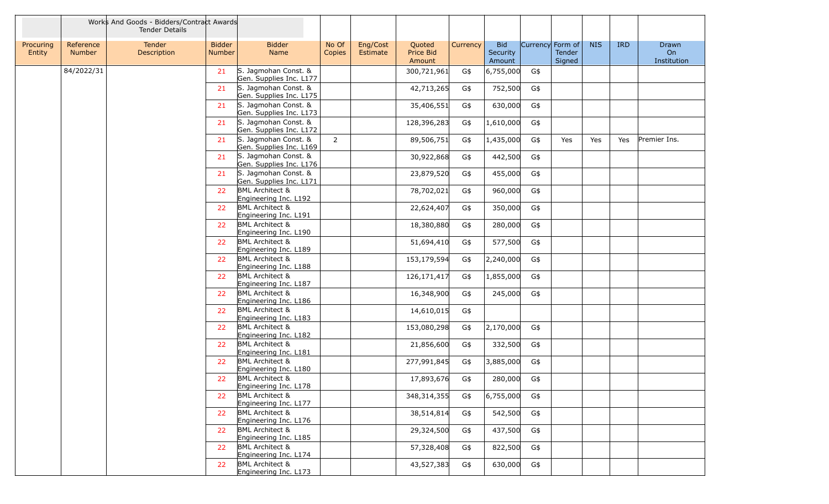|                     |                            | Works And Goods - Bidders/Contract Awards<br><b>Tender Details</b> |                                |                                                       |                 |                                                       |          |                                  |                  |                  |            |            |                            |
|---------------------|----------------------------|--------------------------------------------------------------------|--------------------------------|-------------------------------------------------------|-----------------|-------------------------------------------------------|----------|----------------------------------|------------------|------------------|------------|------------|----------------------------|
| Procuring<br>Entity | Reference<br><b>Number</b> | Tender<br>Description                                              | <b>Bidder</b><br><b>Number</b> | <b>Bidder</b><br>Name                                 | No Of<br>Copies | Eng/Cost<br>Quoted<br>Price Bid<br>Estimate<br>Amount | Currency | <b>Bid</b><br>Security<br>Amount | Currency Form of | Tender<br>Signed | <b>NIS</b> | <b>IRD</b> | Drawn<br>On<br>Institution |
|                     | 84/2022/31                 |                                                                    | 21                             | S. Jagmohan Const. &<br>Gen. Supplies Inc. L177       |                 | 300,721,961                                           | G\$      | 6,755,000                        | G\$              |                  |            |            |                            |
|                     |                            |                                                                    | 21                             | S. Jagmohan Const. &<br>Gen. Supplies Inc. L175       |                 | 42,713,265                                            | G\$      | 752,500                          | G\$              |                  |            |            |                            |
|                     |                            |                                                                    | 21                             | S. Jagmohan Const. &<br>Gen. Supplies Inc. L173       |                 | 35,406,551                                            | G\$      | 630,000                          | G\$              |                  |            |            |                            |
|                     |                            |                                                                    | 21                             | S. Jagmohan Const. &<br>Gen. Supplies Inc. L172       |                 | 128,396,283                                           | G\$      | 1,610,000                        | G\$              |                  |            |            |                            |
|                     |                            |                                                                    | 21                             | S. Jagmohan Const. &<br>Gen. Supplies Inc. L169       | $\overline{2}$  | 89,506,751                                            | G\$      | 1,435,000                        | G\$              | Yes              | Yes        | Yes        | Premier Ins.               |
|                     |                            |                                                                    | 21                             | S. Jagmohan Const. &<br>Gen. Supplies Inc. L176       |                 | 30,922,868                                            | G\$      | 442,500                          | G\$              |                  |            |            |                            |
|                     |                            |                                                                    | 21                             | S. Jagmohan Const. &<br>Gen. Supplies Inc. L171       |                 | 23,879,520                                            | G\$      | 455,000                          | G\$              |                  |            |            |                            |
|                     |                            |                                                                    | 22                             | <b>BML Architect &amp;</b><br>Engineering Inc. L192   |                 | 78,702,021                                            | G\$      | 960,000                          | G\$              |                  |            |            |                            |
|                     |                            |                                                                    | 22                             | <b>BML Architect &amp;</b><br>Engineering Inc. L191   |                 | 22,624,407                                            | G\$      | 350,000                          | G\$              |                  |            |            |                            |
|                     |                            |                                                                    | 22                             | <b>BML Architect &amp;</b><br>Engineering Inc. L190   |                 | 18,380,880                                            | G\$      | 280,000                          | G\$              |                  |            |            |                            |
|                     |                            |                                                                    | 22                             | <b>BML Architect &amp;</b><br>Engineering Inc. L189   |                 | 51,694,410                                            | G\$      | 577,500                          | G\$              |                  |            |            |                            |
|                     |                            |                                                                    | 22                             | <b>BML Architect &amp;</b><br>Engineering Inc. L188   |                 | 153,179,594                                           | G\$      | 2,240,000                        | G\$              |                  |            |            |                            |
|                     |                            |                                                                    | 22                             | <b>BML Architect &amp;</b><br>Engineering Inc. L187   |                 | 126, 171, 417                                         | G\$      | 1,855,000                        | G\$              |                  |            |            |                            |
|                     |                            |                                                                    | 22                             | <b>BML Architect &amp;</b><br>Engineering Inc. L186   |                 | 16,348,900                                            | G\$      | 245,000                          | G\$              |                  |            |            |                            |
|                     |                            |                                                                    | 22                             | <b>BML Architect &amp;</b><br>Engineering Inc. L183   |                 | 14,610,015                                            | G\$      |                                  |                  |                  |            |            |                            |
|                     |                            |                                                                    | 22                             | <b>BML Architect &amp;</b><br>Engineering Inc. L182   |                 | 153,080,298                                           | G\$      | 2,170,000                        | G\$              |                  |            |            |                            |
|                     |                            |                                                                    | 22                             | <b>BML Architect &amp;</b><br>Engineering Inc. L181   |                 | 21,856,600                                            | G\$      | 332,500                          | G\$              |                  |            |            |                            |
|                     |                            |                                                                    | 22                             | <b>BML Architect &amp;</b><br>Engineering Inc. L180   |                 | 277,991,845                                           | G\$      | 3,885,000                        | G\$              |                  |            |            |                            |
|                     |                            |                                                                    | 22                             | <b>BML Architect &amp;</b><br>Engineering Inc. $L1/8$ |                 | 17,893,676                                            | G\$      | 280,000                          | G\$              |                  |            |            |                            |
|                     |                            |                                                                    | 22                             | <b>BML Architect &amp;</b><br>Engineering Inc. L177   |                 | 348,314,355                                           | G\$      | 6,755,000                        | G\$              |                  |            |            |                            |
|                     |                            |                                                                    | 22                             | <b>BML Architect &amp;</b><br>Engineering Inc. L176   |                 | 38,514,814                                            | G\$      | 542,500                          | G\$              |                  |            |            |                            |
|                     |                            |                                                                    | 22                             | <b>BML Architect &amp;</b><br>Engineering Inc. L185   |                 | 29,324,500                                            | G\$      | 437,500                          | G\$              |                  |            |            |                            |
|                     |                            |                                                                    | 22                             | <b>BML Architect &amp;</b><br>Engineering Inc. L174   |                 | 57,328,408                                            | G\$      | 822,500                          | G\$              |                  |            |            |                            |
|                     |                            |                                                                    | 22                             | <b>BML Architect &amp;</b><br>Engineering Inc. L173   |                 | 43,527,383                                            | G\$      | 630,000                          | G\$              |                  |            |            |                            |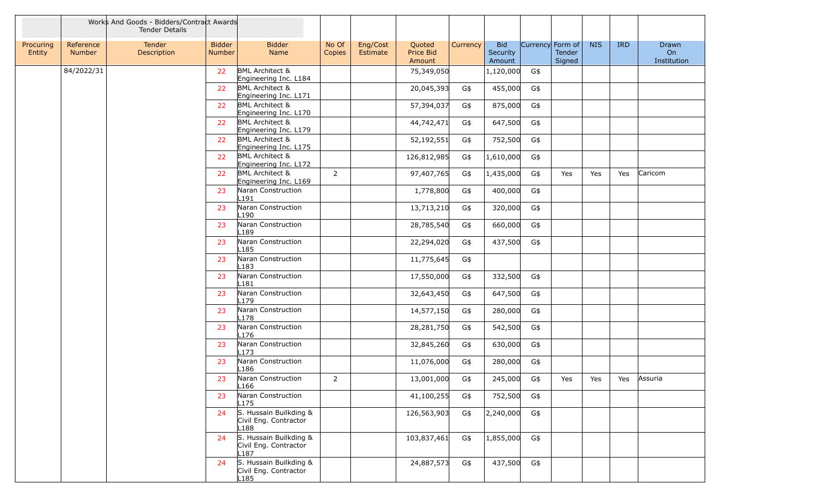|                     |                            | Works And Goods - Bidders/Contract Awards<br>Tender Details |                                |                                                         |                 |                      |                               |          |                                  |                  |                  |            |            |                            |
|---------------------|----------------------------|-------------------------------------------------------------|--------------------------------|---------------------------------------------------------|-----------------|----------------------|-------------------------------|----------|----------------------------------|------------------|------------------|------------|------------|----------------------------|
| Procuring<br>Entity | Reference<br><b>Number</b> | Tender<br>Description                                       | <b>Bidder</b><br><b>Number</b> | <b>Bidder</b><br>Name                                   | No Of<br>Copies | Eng/Cost<br>Estimate | Quoted<br>Price Bid<br>Amount | Currency | <b>Bid</b><br>Security<br>Amount | Currency Form of | Tender<br>Signed | <b>NIS</b> | <b>IRD</b> | Drawn<br>On<br>Institution |
|                     | 84/2022/31                 |                                                             | 22                             | <b>BML Architect &amp;</b><br>Engineering Inc. L184     |                 |                      | 75,349,050                    |          | 1,120,000                        | G\$              |                  |            |            |                            |
|                     |                            |                                                             | 22                             | <b>BML Architect &amp;</b><br>Engineering Inc. L171     |                 |                      | 20,045,393                    | G\$      | 455,000                          | G\$              |                  |            |            |                            |
|                     |                            |                                                             | 22                             | <b>BML Architect &amp;</b><br>Engineering Inc. L170     |                 |                      | 57,394,037                    | G\$      | 875,000                          | G\$              |                  |            |            |                            |
|                     |                            |                                                             | 22                             | <b>BML Architect &amp;</b><br>Engineering Inc. L179     |                 |                      | 44,742,471                    | G\$      | 647,500                          | G\$              |                  |            |            |                            |
|                     |                            |                                                             | 22                             | <b>BML Architect &amp;</b><br>Engineering Inc. L175     |                 |                      | 52,192,551                    | G\$      | 752,500                          | $G\$             |                  |            |            |                            |
|                     |                            |                                                             | 22                             | <b>BML Architect &amp;</b><br>Engineering Inc. L172     |                 |                      | 126,812,985                   | G\$      | 1,610,000                        | G\$              |                  |            |            |                            |
|                     |                            |                                                             | 22                             | <b>BML Architect &amp;</b><br>Engineering Inc. L169     | $\overline{2}$  |                      | 97,407,765                    | G\$      | 1,435,000                        | G\$              | Yes              | Yes        | Yes        | Caricom                    |
|                     |                            |                                                             | 23                             | Naran Construction<br>L191                              |                 |                      | 1,778,800                     | G\$      | 400,000                          | G\$              |                  |            |            |                            |
|                     |                            |                                                             | 23                             | Naran Construction<br>L <sub>190</sub>                  |                 |                      | 13,713,210                    | G\$      | 320,000                          | G\$              |                  |            |            |                            |
|                     |                            |                                                             | 23                             | Naran Construction<br>L189                              |                 |                      | 28,785,540                    | G\$      | 660,000                          | G\$              |                  |            |            |                            |
|                     |                            |                                                             | 23                             | Naran Construction<br>$\lfloor 185 \rfloor$             |                 |                      | 22,294,020                    | G\$      | 437,500                          | G\$              |                  |            |            |                            |
|                     |                            |                                                             | 23                             | Naran Construction<br>L <sub>183</sub>                  |                 |                      | 11,775,645                    | G\$      |                                  |                  |                  |            |            |                            |
|                     |                            |                                                             | 23                             | Naran Construction<br>L181                              |                 |                      | 17,550,000                    | G\$      | 332,500                          | G\$              |                  |            |            |                            |
|                     |                            |                                                             | 23                             | Naran Construction<br>L179                              |                 |                      | 32,643,450                    | G\$      | 647,500                          | G\$              |                  |            |            |                            |
|                     |                            |                                                             | 23                             | Naran Construction<br>L178                              |                 |                      | 14,577,150                    | G\$      | 280,000                          | G\$              |                  |            |            |                            |
|                     |                            |                                                             | 23                             | Naran Construction<br>L176                              |                 |                      | 28,281,750                    | G\$      | 542,500                          | G\$              |                  |            |            |                            |
|                     |                            |                                                             | 23                             | Naran Construction<br>L173                              |                 |                      | 32,845,260                    | G\$      | 630,000                          | G\$              |                  |            |            |                            |
|                     |                            |                                                             | 23                             | Naran Construction<br>L <sub>186</sub>                  |                 |                      | 11,076,000                    | G\$      | 280,000                          | G\$              |                  |            |            |                            |
|                     |                            |                                                             | 23                             | Naran Construction<br>L <sub>166</sub>                  | 2               |                      | 13,001,000                    | G\$      | 245,000                          | G\$              | Yes              | Yes        | Yes        | Assuria                    |
|                     |                            |                                                             | 23                             | Naran Construction<br>L175                              |                 |                      | 41,100,255                    | G\$      | 752,500                          | G\$              |                  |            |            |                            |
|                     |                            |                                                             | 24                             | S. Hussain Builkding &<br>Civil Eng. Contractor<br>L188 |                 |                      | 126,563,903                   | G\$      | 2,240,000                        | G\$              |                  |            |            |                            |
|                     |                            |                                                             | 24                             | S. Hussain Builkding &<br>Civil Eng. Contractor<br>L187 |                 |                      | 103,837,461                   | G\$      | 1,855,000                        | G\$              |                  |            |            |                            |
|                     |                            |                                                             | 24                             | S. Hussain Builkding &<br>Civil Eng. Contractor<br>L185 |                 |                      | 24,887,573                    | G\$      | 437,500                          | G\$              |                  |            |            |                            |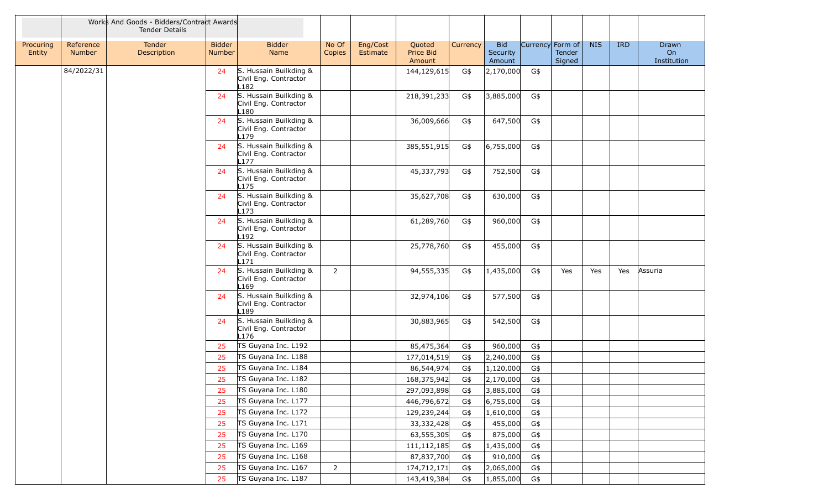|                     |                            | Works And Goods - Bidders/Contract Awards<br><b>Tender Details</b> |                         |                                                                     |                 |                      |                               |          |                                  |                  |                  |            |            |                            |
|---------------------|----------------------------|--------------------------------------------------------------------|-------------------------|---------------------------------------------------------------------|-----------------|----------------------|-------------------------------|----------|----------------------------------|------------------|------------------|------------|------------|----------------------------|
| Procuring<br>Entity | Reference<br><b>Number</b> | Tender<br>Description                                              | <b>Bidder</b><br>Number | <b>Bidder</b><br>Name                                               | No Of<br>Copies | Eng/Cost<br>Estimate | Quoted<br>Price Bid<br>Amount | Currency | <b>Bid</b><br>Security<br>Amount | Currency Form of | Tender<br>Signed | <b>NIS</b> | <b>IRD</b> | Drawn<br>On<br>Institution |
|                     | 84/2022/31                 |                                                                    | 24                      | S. Hussain Builkding &<br>Civil Eng. Contractor<br>L <sub>182</sub> |                 |                      | 144,129,615                   | G\$      | 2,170,000                        | G\$              |                  |            |            |                            |
|                     |                            |                                                                    | 24                      | S. Hussain Builkding &<br>Civil Eng. Contractor<br>L180             |                 |                      | 218,391,233                   | G\$      | 3,885,000                        | G\$              |                  |            |            |                            |
|                     |                            |                                                                    | 24                      | S. Hussain Builkding &<br>Civil Eng. Contractor<br>L179             |                 |                      | 36,009,666                    | G\$      | 647,500                          | G\$              |                  |            |            |                            |
|                     |                            |                                                                    | 24                      | S. Hussain Builkding &<br>Civil Eng. Contractor<br>L177             |                 |                      | 385,551,915                   | G\$      | 6,755,000                        | G\$              |                  |            |            |                            |
|                     |                            |                                                                    | 24                      | S. Hussain Builkding &<br>Civil Eng. Contractor<br>L <sub>175</sub> |                 |                      | 45,337,793                    | G\$      | 752,500                          | G\$              |                  |            |            |                            |
|                     |                            |                                                                    | 24                      | S. Hussain Builkding &<br>Civil Eng. Contractor<br>L <sub>173</sub> |                 |                      | 35,627,708                    | G\$      | 630,000                          | G\$              |                  |            |            |                            |
|                     |                            |                                                                    | 24                      | S. Hussain Builkding &<br>Civil Eng. Contractor<br>L <sub>192</sub> |                 |                      | 61,289,760                    | G\$      | 960,000                          | G\$              |                  |            |            |                            |
|                     |                            |                                                                    | 24                      | S. Hussain Builkding &<br>Civil Eng. Contractor<br>L <sub>171</sub> |                 |                      | 25,778,760                    | G\$      | 455,000                          | G\$              |                  |            |            |                            |
|                     |                            |                                                                    | 24                      | S. Hussain Builkding &<br>Civil Eng. Contractor<br>L <sub>169</sub> | $\overline{2}$  |                      | 94,555,335                    | G\$      | 1,435,000                        | G\$              | Yes              | Yes        | Yes        | Assuria                    |
|                     |                            |                                                                    | 24                      | S. Hussain Builkding &<br>Civil Eng. Contractor<br>L189             |                 |                      | 32,974,106                    | G\$      | 577,500                          | G\$              |                  |            |            |                            |
|                     |                            |                                                                    | 24                      | S. Hussain Builkding &<br>Civil Eng. Contractor<br>L <sub>176</sub> |                 |                      | 30,883,965                    | G\$      | 542,500                          | G\$              |                  |            |            |                            |
|                     |                            |                                                                    | 25                      | TS Guyana Inc. L192                                                 |                 |                      | 85,475,364                    | G\$      | 960,000                          | G\$              |                  |            |            |                            |
|                     |                            |                                                                    | 25                      | TS Guyana Inc. L188                                                 |                 |                      | 177,014,519                   | G\$      | 2,240,000                        | G\$              |                  |            |            |                            |
|                     |                            |                                                                    | 25                      | TS Guyana Inc. L184                                                 |                 |                      | 86,544,974                    | G\$      | 1,120,000                        | G\$              |                  |            |            |                            |
|                     |                            |                                                                    | 25                      | TS Guyana Inc. L182                                                 |                 |                      | 168,375,942                   | G\$      | 2,170,000                        | G\$              |                  |            |            |                            |
|                     |                            |                                                                    | 25                      | TS Guyana Inc. L180                                                 |                 |                      | 297,093,898                   | G\$      | 3,885,000                        | G\$              |                  |            |            |                            |
|                     |                            |                                                                    | 25                      | TS Guyana Inc. L177                                                 |                 |                      | 446,796,672                   | G\$      | 6,755,000                        | G\$              |                  |            |            |                            |
|                     |                            |                                                                    | 25                      | TS Guyana Inc. L172                                                 |                 |                      | 129,239,244                   | G\$      | 1,610,000                        | G\$              |                  |            |            |                            |
|                     |                            |                                                                    | 25                      | TS Guyana Inc. L171                                                 |                 |                      | 33, 332, 428                  | G\$      | 455,000                          | G\$              |                  |            |            |                            |
|                     |                            |                                                                    | 25                      | TS Guyana Inc. L170                                                 |                 |                      | 63,555,305                    | G\$      | 875,000                          | G\$              |                  |            |            |                            |
|                     |                            |                                                                    | 25                      | TS Guyana Inc. L169                                                 |                 |                      | 111, 112, 185                 | G\$      | 1,435,000                        | G\$              |                  |            |            |                            |
|                     |                            |                                                                    | 25                      | TS Guyana Inc. L168                                                 |                 |                      | 87,837,700                    | G\$      | 910,000                          | G\$              |                  |            |            |                            |
|                     |                            |                                                                    | 25                      | TS Guyana Inc. L167                                                 | $\overline{2}$  |                      | 174,712,171                   | G\$      | 2,065,000                        | G\$              |                  |            |            |                            |
|                     |                            |                                                                    | 25                      | TS Guyana Inc. L187                                                 |                 |                      | 143,419,384                   | G\$      | 1,855,000                        | G\$              |                  |            |            |                            |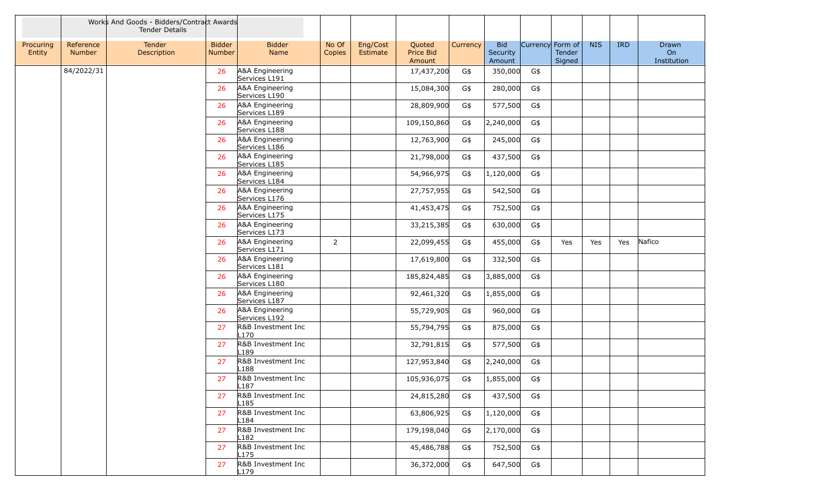|                     |                            | Works And Goods - Bidders/Contract Awards<br><b>Tender Details</b> |                                |                                        |                 |                                                       |          |                                  |                  |                  |            |            |                            |
|---------------------|----------------------------|--------------------------------------------------------------------|--------------------------------|----------------------------------------|-----------------|-------------------------------------------------------|----------|----------------------------------|------------------|------------------|------------|------------|----------------------------|
| Procuring<br>Entity | Reference<br><b>Number</b> | Tender<br>Description                                              | <b>Bidder</b><br><b>Number</b> | <b>Bidder</b><br>Name                  | No Of<br>Copies | Eng/Cost<br>Quoted<br>Price Bid<br>Estimate<br>Amount | Currency | <b>Bid</b><br>Security<br>Amount | Currency Form of | Tender<br>Signed | <b>NIS</b> | <b>IRD</b> | Drawn<br>On<br>Institution |
|                     | 84/2022/31                 |                                                                    | 26                             | A&A Engineering<br>Services L191       |                 | 17,437,200                                            | G\$      | 350,000                          | G\$              |                  |            |            |                            |
|                     |                            |                                                                    | 26                             | A&A Engineering<br>Services L190       |                 | 15,084,300                                            | G\$      | 280,000                          | G\$              |                  |            |            |                            |
|                     |                            |                                                                    | 26                             | A&A Engineering<br>Services L189       |                 | 28,809,900                                            | G\$      | 577,500                          | G\$              |                  |            |            |                            |
|                     |                            |                                                                    | 26                             | A&A Engineering<br>Services L188       |                 | 109,150,860                                           | G\$      | 2,240,000                        | G\$              |                  |            |            |                            |
|                     |                            |                                                                    | 26                             | A&A Engineering<br>Services L186       |                 | 12,763,900                                            | G\$      | 245,000                          | G\$              |                  |            |            |                            |
|                     |                            |                                                                    | 26                             | A&A Engineering<br>Services L185       |                 | 21,798,000                                            | G\$      | 437,500                          | G\$              |                  |            |            |                            |
|                     |                            |                                                                    | 26                             | A&A Engineering<br>Services L184       |                 | 54,966,975                                            | G\$      | 1,120,000                        | G\$              |                  |            |            |                            |
|                     |                            |                                                                    | 26                             | A&A Engineering<br>Services L176       |                 | 27,757,955                                            | G\$      | 542,500                          | G\$              |                  |            |            |                            |
|                     |                            |                                                                    | 26                             | A&A Engineering<br>Services L175       |                 | 41,453,475                                            | G\$      | 752,500                          | G\$              |                  |            |            |                            |
|                     |                            |                                                                    | 26                             | A&A Engineering<br>Services L173       |                 | 33,215,385                                            | G\$      | 630,000                          | G\$              |                  |            |            |                            |
|                     |                            |                                                                    | 26                             | A&A Engineering<br>Services L171       | $\overline{2}$  | 22,099,455                                            | G\$      | 455,000                          | G\$              | Yes              | Yes        | Yes        | Nafico                     |
|                     |                            |                                                                    | 26                             | A&A Engineering<br>Services L181       |                 | 17,619,800                                            | G\$      | 332,500                          | G\$              |                  |            |            |                            |
|                     |                            |                                                                    | 26                             | A&A Engineering<br>Services L180       |                 | 185,824,485                                           | G\$      | 3,885,000                        | G\$              |                  |            |            |                            |
|                     |                            |                                                                    | 26                             | A&A Engineering<br>Services L187       |                 | 92,461,320                                            | G\$      | 1,855,000                        | G\$              |                  |            |            |                            |
|                     |                            |                                                                    | 26                             | A&A Engineering<br>Services L192       |                 | 55,729,905                                            | G\$      | 960,000                          | G\$              |                  |            |            |                            |
|                     |                            |                                                                    | 27                             | R&B Investment Inc<br>L <sub>170</sub> |                 | 55,794,795                                            | G\$      | 875,000                          | G\$              |                  |            |            |                            |
|                     |                            |                                                                    | 27                             | R&B Investment Inc<br>L189             |                 | 32,791,815                                            | G\$      | 577,500                          | G\$              |                  |            |            |                            |
|                     |                            |                                                                    | 27                             | R&B Investment Inc<br>L188             |                 | 127,953,840                                           | G\$      | 2,240,000                        | G\$              |                  |            |            |                            |
|                     |                            |                                                                    | 27                             | R&B Investment Inc<br>L18/             |                 | 105,936,075                                           | G\$      | 1,855,000                        | G\$              |                  |            |            |                            |
|                     |                            |                                                                    | 27                             | R&B Investment Inc<br>L185             |                 | 24,815,280                                            | G\$      | 437,500                          | G\$              |                  |            |            |                            |
|                     |                            |                                                                    | 27                             | R&B Investment Inc<br>L184             |                 | 63,806,925                                            | G\$      | 1,120,000                        | G\$              |                  |            |            |                            |
|                     |                            |                                                                    | 27                             | R&B Investment Inc<br>L182             |                 | 179,198,040                                           | G\$      | 2,170,000                        | G\$              |                  |            |            |                            |
|                     |                            |                                                                    | 27                             | R&B Investment Inc<br>L <sub>175</sub> |                 | 45,486,788                                            | G\$      | 752,500                          | G\$              |                  |            |            |                            |
|                     |                            |                                                                    | 27                             | R&B Investment Inc<br>L179             |                 | 36,372,000                                            | G\$      | 647,500                          | G\$              |                  |            |            |                            |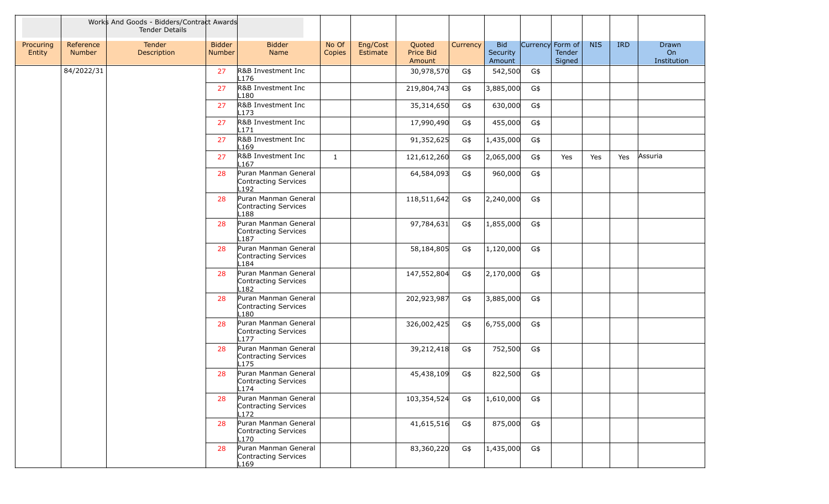|                     |                     | Works And Goods - Bidders/Contract Awards<br><b>Tender Details</b> |                                |                                                                  |                 |                      |                               |          |                                  |                  |                  |            |            |                            |
|---------------------|---------------------|--------------------------------------------------------------------|--------------------------------|------------------------------------------------------------------|-----------------|----------------------|-------------------------------|----------|----------------------------------|------------------|------------------|------------|------------|----------------------------|
| Procuring<br>Entity | Reference<br>Number | Tender<br>Description                                              | <b>Bidder</b><br><b>Number</b> | <b>Bidder</b><br>Name                                            | No Of<br>Copies | Eng/Cost<br>Estimate | Quoted<br>Price Bid<br>Amount | Currency | <b>Bid</b><br>Security<br>Amount | Currency Form of | Tender<br>Signed | <b>NIS</b> | <b>IRD</b> | Drawn<br>On<br>Institution |
|                     | 84/2022/31          |                                                                    | 27                             | R&B Investment Inc<br>L176                                       |                 |                      | 30,978,570                    | G\$      | 542,500                          | G\$              |                  |            |            |                            |
|                     |                     |                                                                    | 27                             | R&B Investment Inc<br>-180                                       |                 |                      | 219,804,743                   | G\$      | 3,885,000                        | G\$              |                  |            |            |                            |
|                     |                     |                                                                    | 27                             | R&B Investment Inc<br>173.                                       |                 |                      | 35,314,650                    | G\$      | 630,000                          | G\$              |                  |            |            |                            |
|                     |                     |                                                                    | 27                             | R&B Investment Inc<br>.171                                       |                 |                      | 17,990,490                    | G\$      | 455,000                          | G\$              |                  |            |            |                            |
|                     |                     |                                                                    | 27                             | R&B Investment Inc<br>-169                                       |                 |                      | 91,352,625                    | G\$      | 1,435,000                        | G\$              |                  |            |            |                            |
|                     |                     |                                                                    | 27                             | R&B Investment Inc<br>.167                                       | 1               |                      | 121,612,260                   | G\$      | 2,065,000                        | G\$              | Yes              | Yes        | Yes        | Assuria                    |
|                     |                     |                                                                    | 28                             | Puran Manman General<br>Contracting Services<br>192.             |                 |                      | 64,584,093                    | G\$      | 960,000                          | G\$              |                  |            |            |                            |
|                     |                     |                                                                    | 28                             | Puran Manman General<br>Contracting Services<br>188.             |                 |                      | 118,511,642                   | G\$      | 2,240,000                        | G\$              |                  |            |            |                            |
|                     |                     |                                                                    | 28                             | Puran Manman General<br>Contracting Services<br>L <sub>187</sub> |                 |                      | 97,784,631                    | G\$      | 1,855,000                        | G\$              |                  |            |            |                            |
|                     |                     |                                                                    | 28                             | Puran Manman General<br>Contracting Services<br>184              |                 |                      | 58,184,805                    | G\$      | 1,120,000                        | G\$              |                  |            |            |                            |
|                     |                     |                                                                    | 28                             | Puran Manman General<br>Contracting Services<br>182              |                 |                      | 147,552,804                   | G\$      | 2,170,000                        | G\$              |                  |            |            |                            |
|                     |                     |                                                                    | 28                             | Puran Manman General<br>Contracting Services<br>.180             |                 |                      | 202,923,987                   | G\$      | 3,885,000                        | G\$              |                  |            |            |                            |
|                     |                     |                                                                    | 28                             | Puran Manman General<br>Contracting Services<br>177              |                 |                      | 326,002,425                   | G\$      | 6,755,000                        | G\$              |                  |            |            |                            |
|                     |                     |                                                                    | 28                             | Puran Manman General<br>Contracting Services<br>175              |                 |                      | 39,212,418                    | G\$      | 752,500                          | G\$              |                  |            |            |                            |
|                     |                     |                                                                    | 28                             | Puran Manman General<br>Contracting Services<br>L174             |                 |                      | 45,438,109                    | G\$      | 822,500                          | G\$              |                  |            |            |                            |
|                     |                     |                                                                    | 28                             | Puran Manman General<br>Contracting Services<br>L172             |                 |                      | 103,354,524                   | G\$      | 1,610,000                        | G\$              |                  |            |            |                            |
|                     |                     |                                                                    | 28                             | Puran Manman General<br>Contracting Services<br>L170             |                 |                      | 41,615,516                    | G\$      | 875,000                          | G\$              |                  |            |            |                            |
|                     |                     |                                                                    | 28                             | Puran Manman General<br>Contracting Services<br>∟169             |                 |                      | 83,360,220                    | G\$      | 1,435,000                        | G\$              |                  |            |            |                            |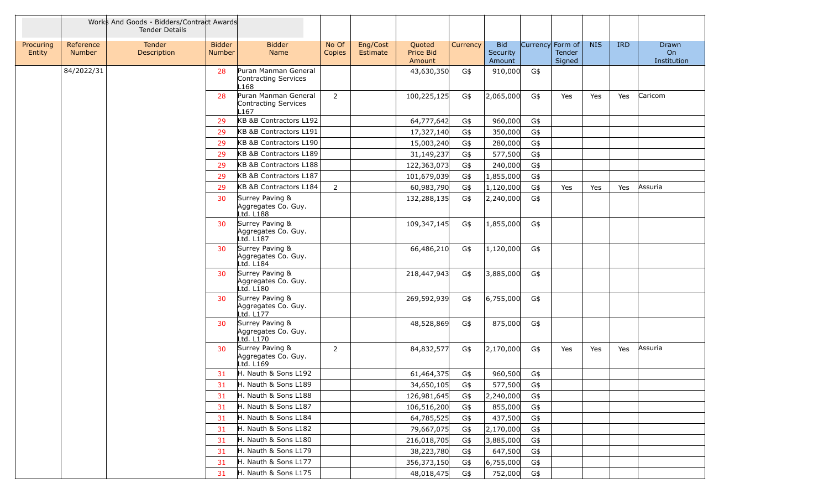|                     |                            | Works And Goods - Bidders/Contract Awards<br><b>Tender Details</b> |                                |                                                                  |                 |                      |                               |          |                                  |                  |                         |            |            |                            |
|---------------------|----------------------------|--------------------------------------------------------------------|--------------------------------|------------------------------------------------------------------|-----------------|----------------------|-------------------------------|----------|----------------------------------|------------------|-------------------------|------------|------------|----------------------------|
| Procuring<br>Entity | Reference<br><b>Number</b> | <b>Tender</b><br>Description                                       | <b>Bidder</b><br><b>Number</b> | <b>Bidder</b><br><b>Name</b>                                     | No Of<br>Copies | Eng/Cost<br>Estimate | Quoted<br>Price Bid<br>Amount | Currency | <b>Bid</b><br>Security<br>Amount | Currency Form of | <b>Tender</b><br>Signed | <b>NIS</b> | <b>IRD</b> | Drawn<br>On<br>Institution |
|                     | 84/2022/31                 |                                                                    | 28                             | Puran Manman General<br>Contracting Services<br>L168             |                 |                      | 43,630,350                    | G\$      | 910,000                          | G\$              |                         |            |            |                            |
|                     |                            |                                                                    | 28                             | Puran Manman General<br>Contracting Services<br>L <sub>167</sub> | $\overline{2}$  |                      | 100,225,125                   | G\$      | 2,065,000                        | G\$              | Yes                     | Yes        | Yes        | Caricom                    |
|                     |                            |                                                                    | 29                             | KB &B Contractors L192                                           |                 |                      | 64,777,642                    | G\$      | 960,000                          | G\$              |                         |            |            |                            |
|                     |                            |                                                                    | 29                             | KB &B Contractors L191                                           |                 |                      | 17,327,140                    | G\$      | 350,000                          | G\$              |                         |            |            |                            |
|                     |                            |                                                                    | 29                             | KB &B Contractors L190                                           |                 |                      | 15,003,240                    | G\$      | 280,000                          | G\$              |                         |            |            |                            |
|                     |                            |                                                                    | 29                             | KB &B Contractors L189                                           |                 |                      | 31,149,237                    | G\$      | 577,500                          | G\$              |                         |            |            |                            |
|                     |                            |                                                                    | 29                             | KB &B Contractors L188                                           |                 |                      | 122,363,073                   | G\$      | 240,000                          | G\$              |                         |            |            |                            |
|                     |                            |                                                                    | 29                             | KB &B Contractors L187                                           |                 |                      | 101,679,039                   | G\$      | 1,855,000                        | G\$              |                         |            |            |                            |
|                     |                            |                                                                    | 29                             | KB &B Contractors L184                                           | $\overline{2}$  |                      | 60,983,790                    | G\$      | 1,120,000                        | G\$              | Yes                     | Yes        | Yes        | Assuria                    |
|                     |                            |                                                                    | 30                             | Surrey Paving &<br>Aggregates Co. Guy.<br>Ltd. L188              |                 |                      | 132,288,135                   | G\$      | 2,240,000                        | G\$              |                         |            |            |                            |
|                     |                            |                                                                    | 30                             | Surrey Paving &<br>Aggregates Co. Guy.<br>Ltd. L187              |                 |                      | 109,347,145                   | G\$      | 1,855,000                        | G\$              |                         |            |            |                            |
|                     |                            |                                                                    | 30                             | Surrey Paving &<br>Aggregates Co. Guy.<br>Ltd. L184              |                 |                      | 66,486,210                    | G\$      | 1,120,000                        | G\$              |                         |            |            |                            |
|                     |                            |                                                                    | 30                             | Surrey Paving &<br>Aggregates Co. Guy.<br>Ltd. L180              |                 |                      | 218,447,943                   | G\$      | 3,885,000                        | G\$              |                         |            |            |                            |
|                     |                            |                                                                    | 30                             | Surrey Paving &<br>Aggregates Co. Guy.<br>Ltd. L177              |                 |                      | 269,592,939                   | G\$      | 6,755,000                        | G\$              |                         |            |            |                            |
|                     |                            |                                                                    | 30                             | Surrey Paving &<br>Aggregates Co. Guy.<br>Ltd. L170              |                 |                      | 48,528,869                    | G\$      | 875,000                          | G\$              |                         |            |            |                            |
|                     |                            |                                                                    | 30                             | Surrey Paving &<br>Aggregates Co. Guy.<br>Ltd. $Li69$            | $\overline{2}$  |                      | 84,832,577                    | G\$      | 2,170,000                        | G\$              | Yes                     | Yes        | Yes        | Assuria                    |
|                     |                            |                                                                    | 31                             | H. Nauth & Sons L192                                             |                 |                      | 61,464,375                    | G\$      | 960,500                          | G\$              |                         |            |            |                            |
|                     |                            |                                                                    | 31                             | H. Nauth & Sons L189                                             |                 |                      | 34,650,105                    | G\$      | 577,500                          | $G\$             |                         |            |            |                            |
|                     |                            |                                                                    | 31                             | H. Nauth & Sons L188                                             |                 |                      | 126,981,645                   | G\$      | 2,240,000                        | G\$              |                         |            |            |                            |
|                     |                            |                                                                    | 31                             | H. Nauth & Sons L187                                             |                 |                      | 106,516,200                   | G\$      | 855,000                          | G\$              |                         |            |            |                            |
|                     |                            |                                                                    | 31                             | H. Nauth & Sons L184                                             |                 |                      | 64,785,525                    | G\$      | 437,500                          | G\$              |                         |            |            |                            |
|                     |                            |                                                                    | 31                             | H. Nauth & Sons L182                                             |                 |                      | 79,667,075                    | G\$      | 2,170,000                        | G\$              |                         |            |            |                            |
|                     |                            |                                                                    | 31                             | H. Nauth & Sons L180                                             |                 |                      | 216,018,705                   | G\$      | 3,885,000                        | G\$              |                         |            |            |                            |
|                     |                            |                                                                    | 31                             | H. Nauth & Sons L179                                             |                 |                      | 38,223,780                    | G\$      | 647,500                          | G\$              |                         |            |            |                            |
|                     |                            |                                                                    | 31                             | H. Nauth & Sons L177                                             |                 |                      | 356,373,150                   | G\$      | 6,755,000                        | G\$              |                         |            |            |                            |
|                     |                            |                                                                    | 31                             | H. Nauth & Sons L175                                             |                 |                      | 48,018,475                    | G\$      | 752,000                          | G\$              |                         |            |            |                            |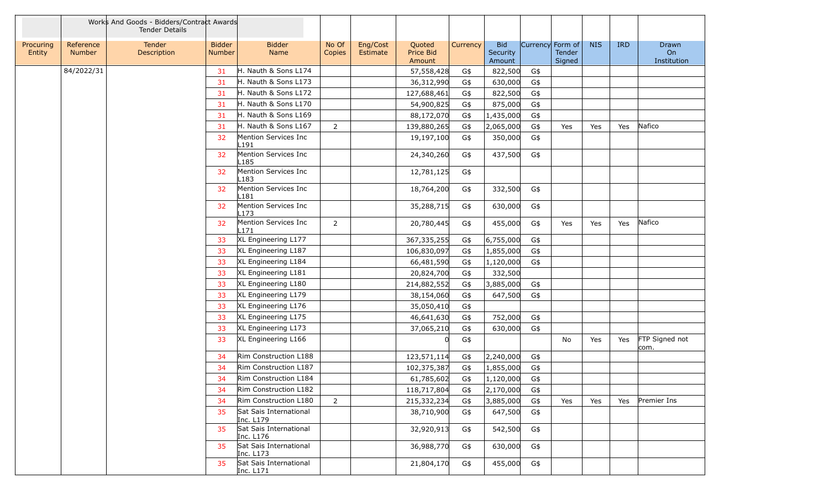|                     |                            | Works And Goods - Bidders/Contract Awards<br><b>Tender Details</b> |                                |                                          |                 |                      |                               |          |                                  |                  |                  |            |            |                            |
|---------------------|----------------------------|--------------------------------------------------------------------|--------------------------------|------------------------------------------|-----------------|----------------------|-------------------------------|----------|----------------------------------|------------------|------------------|------------|------------|----------------------------|
| Procuring<br>Entity | Reference<br><b>Number</b> | Tender<br>Description                                              | <b>Bidder</b><br><b>Number</b> | <b>Bidder</b><br>Name                    | No Of<br>Copies | Eng/Cost<br>Estimate | Quoted<br>Price Bid<br>Amount | Currency | <b>Bid</b><br>Security<br>Amount | Currency Form of | Tender<br>Signed | <b>NIS</b> | <b>IRD</b> | Drawn<br>On<br>Institution |
|                     | 84/2022/31                 |                                                                    | 31                             | H. Nauth & Sons L174                     |                 |                      | 57,558,428                    | G\$      | 822,500                          | G\$              |                  |            |            |                            |
|                     |                            |                                                                    | 31                             | H. Nauth & Sons L173                     |                 |                      | 36,312,990                    | G\$      | 630,000                          | G\$              |                  |            |            |                            |
|                     |                            |                                                                    | 31                             | H. Nauth & Sons L172                     |                 |                      | 127,688,461                   | G\$      | 822,500                          | G\$              |                  |            |            |                            |
|                     |                            |                                                                    | 31                             | H. Nauth & Sons L170                     |                 |                      | 54,900,825                    | G\$      | 875,000                          | G\$              |                  |            |            |                            |
|                     |                            |                                                                    | 31                             | H. Nauth & Sons L169                     |                 |                      | 88,172,070                    | G\$      | 1,435,000                        | G\$              |                  |            |            |                            |
|                     |                            |                                                                    | 31                             | H. Nauth & Sons L167                     | $\overline{2}$  |                      | 139,880,265                   | G\$      | 2,065,000                        | G\$              | Yes              | Yes        | Yes        | Nafico                     |
|                     |                            |                                                                    | 32                             | Mention Services Inc<br>L191             |                 |                      | 19,197,100                    | G\$      | 350,000                          | G\$              |                  |            |            |                            |
|                     |                            |                                                                    | 32                             | Mention Services Inc<br>L185             |                 |                      | 24,340,260                    | G\$      | 437,500                          | G\$              |                  |            |            |                            |
|                     |                            |                                                                    | 32                             | Mention Services Inc<br>L183             |                 |                      | 12,781,125                    | G\$      |                                  |                  |                  |            |            |                            |
|                     |                            |                                                                    | 32                             | Mention Services Inc<br>L181             |                 |                      | 18,764,200                    | G\$      | 332,500                          | G\$              |                  |            |            |                            |
|                     |                            |                                                                    | 32                             | Mention Services Inc<br>L173             |                 |                      | 35,288,715                    | G\$      | 630,000                          | G\$              |                  |            |            |                            |
|                     |                            |                                                                    | 32                             | Mention Services Inc<br>L <sub>171</sub> | $\overline{2}$  |                      | 20,780,445                    | G\$      | 455,000                          | G\$              | Yes              | Yes        | Yes        | Nafico                     |
|                     |                            |                                                                    | 33                             | XL Engineering L177                      |                 |                      | 367,335,255                   | G\$      | 6,755,000                        | G\$              |                  |            |            |                            |
|                     |                            |                                                                    | 33                             | XL Engineering L187                      |                 |                      | 106,830,097                   | G\$      | 1,855,000                        | G\$              |                  |            |            |                            |
|                     |                            |                                                                    | 33                             | XL Engineering L184                      |                 |                      | 66,481,590                    | G\$      | 1,120,000                        | G\$              |                  |            |            |                            |
|                     |                            |                                                                    | 33                             | XL Engineering L181                      |                 |                      | 20,824,700                    | G\$      | 332,500                          |                  |                  |            |            |                            |
|                     |                            |                                                                    | 33                             | XL Engineering L180                      |                 |                      | 214,882,552                   | G\$      | 3,885,000                        | G\$              |                  |            |            |                            |
|                     |                            |                                                                    | 33                             | XL Engineering L179                      |                 |                      | 38,154,060                    | G\$      | 647,500                          | G\$              |                  |            |            |                            |
|                     |                            |                                                                    | 33                             | XL Engineering L176                      |                 |                      | 35,050,410                    | G\$      |                                  |                  |                  |            |            |                            |
|                     |                            |                                                                    | 33                             | XL Engineering L175                      |                 |                      | 46,641,630                    | G\$      | 752,000                          | G\$              |                  |            |            |                            |
|                     |                            |                                                                    | 33                             | XL Engineering L173                      |                 |                      | 37,065,210                    | G\$      | 630,000                          | G\$              |                  |            |            |                            |
|                     |                            |                                                                    | 33                             | XL Engineering L166                      |                 |                      |                               | G\$      |                                  |                  | No               | Yes        | Yes        | FTP Signed not<br>com.     |
|                     |                            |                                                                    | 34                             | Rim Construction L188                    |                 |                      | 123,571,114                   | G\$      | 2,240,000                        | G\$              |                  |            |            |                            |
|                     |                            |                                                                    | 34                             | Rim Construction L187                    |                 |                      | 102,375,387                   | G\$      | 1,855,000                        | G\$              |                  |            |            |                            |
|                     |                            |                                                                    | 34                             | Rim Construction L184                    |                 |                      | 61,785,602                    | G\$      | 1,120,000                        | G\$              |                  |            |            |                            |
|                     |                            |                                                                    | 34                             | Rim Construction L182                    |                 |                      | 118,717,804                   | G\$      | 2,170,000                        | G\$              |                  |            |            |                            |
|                     |                            |                                                                    | 34                             | Rim Construction L180                    | $\overline{2}$  |                      | 215,332,234                   | G\$      | 3,885,000                        | G\$              | Yes              | Yes        | Yes        | Premier Ins                |
|                     |                            |                                                                    | 35                             | Sat Sais International<br>Inc. L179      |                 |                      | 38,710,900                    | G\$      | 647,500                          | G\$              |                  |            |            |                            |
|                     |                            |                                                                    | 35                             | Sat Sais International<br>Inc. L176      |                 |                      | 32,920,913                    | G\$      | 542,500                          | G\$              |                  |            |            |                            |
|                     |                            |                                                                    | 35                             | Sat Sais International<br>Inc. L173      |                 |                      | 36,988,770                    | G\$      | 630,000                          | G\$              |                  |            |            |                            |
|                     |                            |                                                                    | 35                             | Sat Sais International<br>Inc. L171      |                 |                      | 21,804,170                    | G\$      | 455,000                          | G\$              |                  |            |            |                            |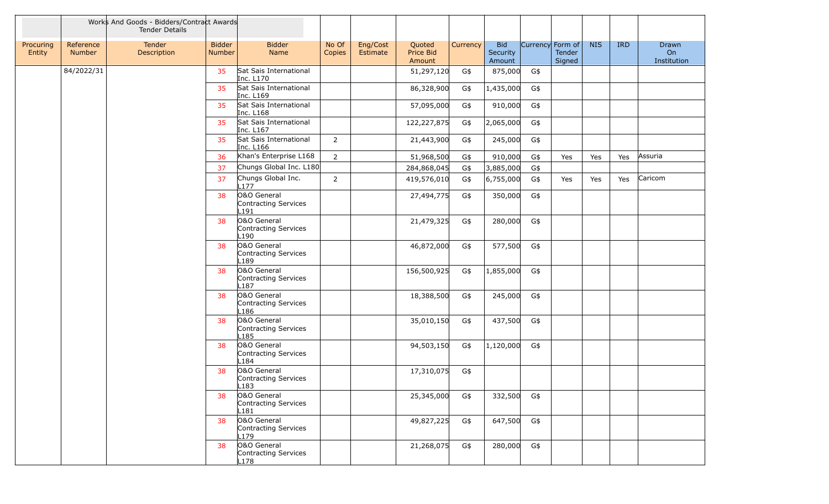|                     |                            | Works And Goods - Bidders/Contract Awards<br><b>Tender Details</b> |                         |                                             |                 |                      |                               |          |                                  |                  |                  |            |            |                            |
|---------------------|----------------------------|--------------------------------------------------------------------|-------------------------|---------------------------------------------|-----------------|----------------------|-------------------------------|----------|----------------------------------|------------------|------------------|------------|------------|----------------------------|
| Procuring<br>Entity | Reference<br><b>Number</b> | Tender<br>Description                                              | <b>Bidder</b><br>Number | <b>Bidder</b><br>Name                       | No Of<br>Copies | Eng/Cost<br>Estimate | Quoted<br>Price Bid<br>Amount | Currency | <b>Bid</b><br>Security<br>Amount | Currency Form of | Tender<br>Signed | <b>NIS</b> | <b>IRD</b> | Drawn<br>On<br>Institution |
|                     | 84/2022/31                 |                                                                    | 35                      | Sat Sais International<br>Inc. L170         |                 |                      | 51,297,120                    | G\$      | 875,000                          | G\$              |                  |            |            |                            |
|                     |                            |                                                                    | 35                      | Sat Sais International<br>Inc. L169         |                 |                      | 86,328,900                    | G\$      | 1,435,000                        | G\$              |                  |            |            |                            |
|                     |                            |                                                                    | 35                      | Sat Sais International<br>Inc. L168         |                 |                      | 57,095,000                    | G\$      | 910,000                          | G\$              |                  |            |            |                            |
|                     |                            |                                                                    | 35                      | Sat Sais International<br>Inc. L167         |                 |                      | 122,227,875                   | G\$      | 2,065,000                        | G\$              |                  |            |            |                            |
|                     |                            |                                                                    | 35                      | Sat Sais International<br>Inc. L166         | $2^{\circ}$     |                      | 21,443,900                    | G\$      | 245,000                          | G\$              |                  |            |            |                            |
|                     |                            |                                                                    | 36                      | Khan's Enterprise L168                      | $\overline{2}$  |                      | 51,968,500                    | G\$      | 910,000                          | G\$              | Yes              | Yes        | Yes        | Assuria                    |
|                     |                            |                                                                    | 37                      | Chungs Global Inc. L180                     |                 |                      | 284,868,045                   | G\$      | 3,885,000                        | G\$              |                  |            |            |                            |
|                     |                            |                                                                    | 37                      | Chungs Global Inc.<br>L <sub>177</sub>      | $2^{\circ}$     |                      | 419,576,010                   | G\$      | 6,755,000                        | G\$              | Yes              | Yes        | Yes        | Caricom                    |
|                     |                            |                                                                    | 38                      | O&O General<br>Contracting Services<br>L191 |                 |                      | 27,494,775                    | G\$      | 350,000                          | G\$              |                  |            |            |                            |
|                     |                            |                                                                    | 38                      | O&O General<br>Contracting Services<br>L190 |                 |                      | 21,479,325                    | G\$      | 280,000                          | G\$              |                  |            |            |                            |
|                     |                            |                                                                    | 38                      | O&O General<br>Contracting Services<br>L189 |                 |                      | 46,872,000                    | G\$      | 577,500                          | G\$              |                  |            |            |                            |
|                     |                            |                                                                    | 38                      | O&O General<br>Contracting Services<br>L187 |                 |                      | 156,500,925                   | G\$      | 1,855,000                        | G\$              |                  |            |            |                            |
|                     |                            |                                                                    | 38                      | O&O General<br>Contracting Services<br>L186 |                 |                      | 18,388,500                    | G\$      | 245,000                          | G\$              |                  |            |            |                            |
|                     |                            |                                                                    | 38                      | O&O General<br>Contracting Services<br>L185 |                 |                      | 35,010,150                    | G\$      | 437,500                          | G\$              |                  |            |            |                            |
|                     |                            |                                                                    | 38                      | O&O General<br>Contracting Services<br>L184 |                 |                      | 94,503,150                    | G\$      | 1,120,000                        | G\$              |                  |            |            |                            |
|                     |                            |                                                                    | 38                      | O&O General<br>Contracting Services<br>L183 |                 |                      | 17,310,075                    | G\$      |                                  |                  |                  |            |            |                            |
|                     |                            |                                                                    | 38                      | O&O General<br>Contracting Services<br>L181 |                 |                      | 25,345,000                    | G\$      | 332,500                          | G\$              |                  |            |            |                            |
|                     |                            |                                                                    | 38                      | O&O General<br>Contracting Services<br>L179 |                 |                      | 49,827,225                    | G\$      | 647,500                          | G\$              |                  |            |            |                            |
|                     |                            |                                                                    | 38                      | O&O General<br>Contracting Services<br>L178 |                 |                      | 21,268,075                    | G\$      | 280,000                          | G\$              |                  |            |            |                            |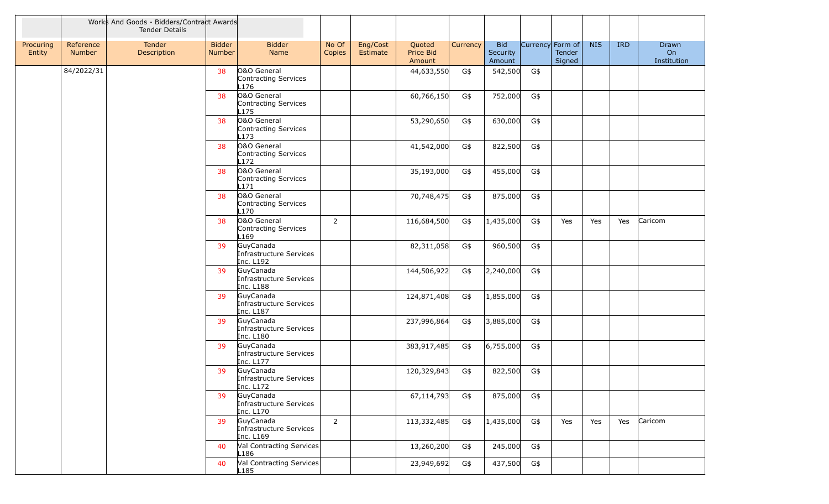|                     |                            | Works And Goods - Bidders/Contract Awards<br><b>Tender Details</b> |                                |                                                         |                 |                      |                               |          |                                  |                  |                  |            |            |                            |
|---------------------|----------------------------|--------------------------------------------------------------------|--------------------------------|---------------------------------------------------------|-----------------|----------------------|-------------------------------|----------|----------------------------------|------------------|------------------|------------|------------|----------------------------|
| Procuring<br>Entity | Reference<br><b>Number</b> | Tender<br>Description                                              | <b>Bidder</b><br><b>Number</b> | <b>Bidder</b><br>Name                                   | No Of<br>Copies | Eng/Cost<br>Estimate | Quoted<br>Price Bid<br>Amount | Currency | <b>Bid</b><br>Security<br>Amount | Currency Form of | Tender<br>Signed | <b>NIS</b> | <b>IRD</b> | Drawn<br>On<br>Institution |
|                     | 84/2022/31                 |                                                                    | 38                             | O&O General<br>Contracting Services<br>L176             |                 |                      | 44,633,550                    | G\$      | 542,500                          | G\$              |                  |            |            |                            |
|                     |                            |                                                                    | 38                             | O&O General<br>Contracting Services<br>L175             |                 |                      | 60,766,150                    | G\$      | 752,000                          | G\$              |                  |            |            |                            |
|                     |                            |                                                                    | 38                             | O&O General<br>Contracting Services<br>L173             |                 |                      | 53,290,650                    | G\$      | 630,000                          | G\$              |                  |            |            |                            |
|                     |                            |                                                                    | 38                             | O&O General<br>Contracting Services<br>L172             |                 |                      | 41,542,000                    | G\$      | 822,500                          | G\$              |                  |            |            |                            |
|                     |                            |                                                                    | 38                             | O&O General<br>Contracting Services<br>L171             |                 |                      | 35,193,000                    | G\$      | 455,000                          | G\$              |                  |            |            |                            |
|                     |                            |                                                                    | 38                             | O&O General<br>Contracting Services<br>L170             |                 |                      | 70,748,475                    | G\$      | 875,000                          | G\$              |                  |            |            |                            |
|                     |                            |                                                                    | 38                             | O&O General<br>Contracting Services<br>L <sub>169</sub> | $\overline{2}$  |                      | 116,684,500                   | G\$      | 1,435,000                        | G\$              | Yes              | Yes        | Yes        | Caricom                    |
|                     |                            |                                                                    | 39                             | GuyCanada<br>Infrastructure Services<br>Inc. L192       |                 |                      | 82,311,058                    | G\$      | 960,500                          | G\$              |                  |            |            |                            |
|                     |                            |                                                                    | 39                             | GuyCanada<br>Infrastructure Services<br>Inc. L188       |                 |                      | 144,506,922                   | G\$      | 2,240,000                        | G\$              |                  |            |            |                            |
|                     |                            |                                                                    | 39                             | GuyCanada<br>Infrastructure Services<br>Inc. L187       |                 |                      | 124,871,408                   | G\$      | 1,855,000                        | G\$              |                  |            |            |                            |
|                     |                            |                                                                    | 39                             | GuyCanada<br>Infrastructure Services<br>Inc. L180       |                 |                      | 237,996,864                   | G\$      | 3,885,000                        | G\$              |                  |            |            |                            |
|                     |                            |                                                                    | 39                             | GuyCanada<br>Infrastructure Services<br>Inc. L177       |                 |                      | 383,917,485                   | G\$      | 6,755,000                        | G\$              |                  |            |            |                            |
|                     |                            |                                                                    | 39                             | GuyCanada<br>Infrastructure Services<br> Inc. L1/2      |                 |                      | 120,329,843                   | G\$      | 822,500                          | G\$              |                  |            |            |                            |
|                     |                            |                                                                    | 39                             | GuyCanada<br>Infrastructure Services<br>Inc. L170       |                 |                      | 67,114,793                    | G\$      | 875,000                          | G\$              |                  |            |            |                            |
|                     |                            |                                                                    | 39                             | GuyCanada<br>Infrastructure Services<br>Inc. L169       | $\overline{2}$  |                      | 113,332,485                   | G\$      | 1,435,000                        | G\$              | Yes              | Yes        | Yes        | Caricom                    |
|                     |                            |                                                                    | 40                             | Val Contracting Services<br>L186                        |                 |                      | 13,260,200                    | G\$      | 245,000                          | G\$              |                  |            |            |                            |
|                     |                            |                                                                    | 40                             | Val Contracting Services<br>L <sub>185</sub>            |                 |                      | 23,949,692                    | G\$      | 437,500                          | G\$              |                  |            |            |                            |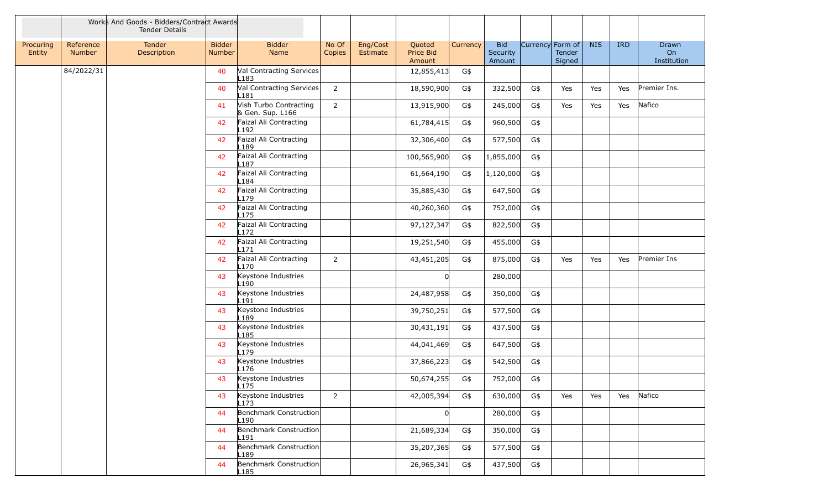|                     |                     | Works And Goods - Bidders/Contract Awards<br><b>Tender Details</b> |                         |                                            |                        |                      |                               |          |                                  |                  |                  |            |            |                            |
|---------------------|---------------------|--------------------------------------------------------------------|-------------------------|--------------------------------------------|------------------------|----------------------|-------------------------------|----------|----------------------------------|------------------|------------------|------------|------------|----------------------------|
| Procuring<br>Entity | Reference<br>Number | Tender<br>Description                                              | <b>Bidder</b><br>Number | <b>Bidder</b><br>Name                      | No Of<br><b>Copies</b> | Eng/Cost<br>Estimate | Quoted<br>Price Bid<br>Amount | Currency | <b>Bid</b><br>Security<br>Amount | Currency Form of | Tender<br>Signed | <b>NIS</b> | <b>IRD</b> | Drawn<br>On<br>Institution |
|                     | 84/2022/31          |                                                                    | 40                      | Val Contracting Services<br>L183           |                        |                      | 12,855,413                    | G\$      |                                  |                  |                  |            |            |                            |
|                     |                     |                                                                    | 40                      | Val Contracting Services<br>.181           | $2^{\circ}$            |                      | 18,590,900                    | G\$      | 332,500                          | G\$              | Yes              | Yes        | Yes        | Premier Ins.               |
|                     |                     |                                                                    | 41                      | Vish Turbo Contracting<br>& Gen. Sup. L166 | $2^{\circ}$            |                      | 13,915,900                    | G\$      | 245,000                          | G\$              | Yes              | Yes        | Yes        | Nafico                     |
|                     |                     |                                                                    | 42                      | Faizal Ali Contracting<br>L192             |                        |                      | 61,784,415                    | G\$      | 960,500                          | G\$              |                  |            |            |                            |
|                     |                     |                                                                    | 42                      | Faizal Ali Contracting<br>.189             |                        |                      | 32,306,400                    | G\$      | 577,500                          | G\$              |                  |            |            |                            |
|                     |                     |                                                                    | 42                      | Faizal Ali Contracting<br>187              |                        |                      | 100,565,900                   | G\$      | 1,855,000                        | G\$              |                  |            |            |                            |
|                     |                     |                                                                    | 42                      | Faizal Ali Contracting<br>.184             |                        |                      | 61,664,190                    | G\$      | 1,120,000                        | G\$              |                  |            |            |                            |
|                     |                     |                                                                    | 42                      | Faizal Ali Contracting<br>.179             |                        |                      | 35,885,430                    | G\$      | 647,500                          | G\$              |                  |            |            |                            |
|                     |                     |                                                                    | 42                      | Faizal Ali Contracting<br>L175             |                        |                      | 40,260,360                    | G\$      | 752,000                          | G\$              |                  |            |            |                            |
|                     |                     |                                                                    | 42                      | Faizal Ali Contracting<br>172              |                        |                      | 97,127,347                    | G\$      | 822,500                          | G\$              |                  |            |            |                            |
|                     |                     |                                                                    | 42                      | Faizal Ali Contracting<br>.171             |                        |                      | 19,251,540                    | G\$      | 455,000                          | G\$              |                  |            |            |                            |
|                     |                     |                                                                    | 42                      | Faizal Ali Contracting<br>.170             | $\overline{2}$         |                      | 43,451,205                    | G\$      | 875,000                          | G\$              | Yes              | Yes        | Yes        | Premier Ins                |
|                     |                     |                                                                    | 43                      | Keystone Industries<br>-190                |                        |                      | $\Omega$                      |          | 280,000                          |                  |                  |            |            |                            |
|                     |                     |                                                                    | 43                      | Keystone Industries<br>.191                |                        |                      | 24,487,958                    | G\$      | 350,000                          | G\$              |                  |            |            |                            |
|                     |                     |                                                                    | 43                      | Keystone Industries<br>.189                |                        |                      | 39,750,251                    | G\$      | 577,500                          | G\$              |                  |            |            |                            |
|                     |                     |                                                                    | 43                      | Keystone Industries<br>.185                |                        |                      | 30,431,191                    | G\$      | 437,500                          | G\$              |                  |            |            |                            |
|                     |                     |                                                                    | 43                      | Keystone Industries<br>179                 |                        |                      | 44,041,469                    | G\$      | 647,500                          | G\$              |                  |            |            |                            |
|                     |                     |                                                                    | 43                      | Keystone Industries<br>176                 |                        |                      | 37,866,223                    | G\$      | 542,500                          | G\$              |                  |            |            |                            |
|                     |                     |                                                                    | 43                      | Keystone Industries<br>L1/5                |                        |                      | 50,674,255                    | G\$      | 752,000                          | G\$              |                  |            |            |                            |
|                     |                     |                                                                    | 43                      | Keystone Industries<br>L173                | $2^{\circ}$            |                      | 42,005,394                    | G\$      | 630,000                          | G\$              | Yes              | Yes        | Yes        | Nafico                     |
|                     |                     |                                                                    | 44                      | Benchmark Construction<br>.190             |                        |                      | 0                             |          | 280,000                          | G\$              |                  |            |            |                            |
|                     |                     |                                                                    | 44                      | Benchmark Construction<br>191.             |                        |                      | 21,689,334                    | G\$      | 350,000                          | G\$              |                  |            |            |                            |
|                     |                     |                                                                    | 44                      | Benchmark Construction<br>189.             |                        |                      | 35,207,365                    | G\$      | 577,500                          | G\$              |                  |            |            |                            |
|                     |                     |                                                                    | 44                      | Benchmark Construction<br>L185             |                        |                      | 26,965,341                    | G\$      | 437,500                          | G\$              |                  |            |            |                            |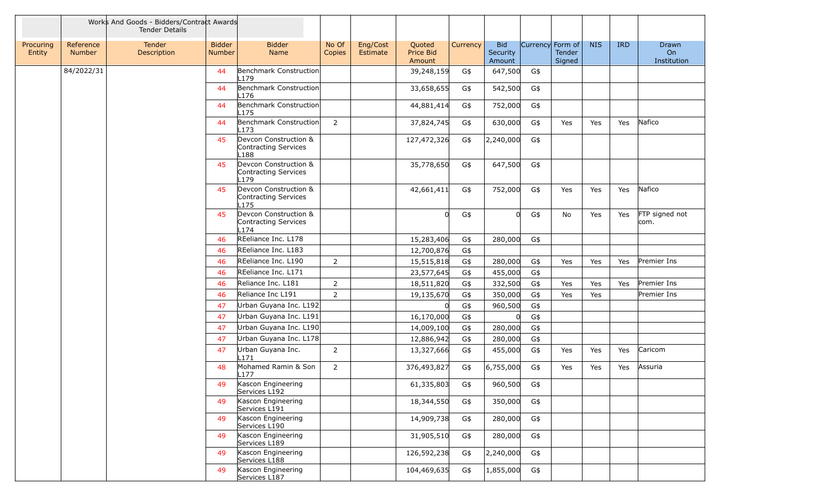|                     |                            | Works And Goods - Bidders/Contract Awards<br><b>Tender Details</b> |                         |                                                             |                 |                      |                               |          |                                  |                  |                         |            |            |                            |
|---------------------|----------------------------|--------------------------------------------------------------------|-------------------------|-------------------------------------------------------------|-----------------|----------------------|-------------------------------|----------|----------------------------------|------------------|-------------------------|------------|------------|----------------------------|
| Procuring<br>Entity | Reference<br><b>Number</b> | Tender<br>Description                                              | <b>Bidder</b><br>Number | <b>Bidder</b><br>Name                                       | No Of<br>Copies | Eng/Cost<br>Estimate | Quoted<br>Price Bid<br>Amount | Currency | <b>Bid</b><br>Security<br>Amount | Currency Form of | <b>Tender</b><br>Signed | <b>NIS</b> | <b>IRD</b> | Drawn<br>On<br>Institution |
|                     | 84/2022/31                 |                                                                    | 44                      | Benchmark Construction<br>L179                              |                 |                      | 39,248,159                    | G\$      | 647,500                          | G\$              |                         |            |            |                            |
|                     |                            |                                                                    | 44                      | Benchmark Construction<br>L176                              |                 |                      | 33,658,655                    | G\$      | 542,500                          | G\$              |                         |            |            |                            |
|                     |                            |                                                                    | 44                      | Benchmark Construction<br>175                               |                 |                      | 44,881,414                    | G\$      | 752,000                          | G\$              |                         |            |            |                            |
|                     |                            |                                                                    | 44                      | Benchmark Construction<br>-173                              | $\overline{2}$  |                      | 37,824,745                    | G\$      | 630,000                          | G\$              | Yes                     | Yes        | Yes        | Nafico                     |
|                     |                            |                                                                    | 45                      | Devcon Construction &<br>Contracting Services<br>.188       |                 |                      | 127,472,326                   | G\$      | 2,240,000                        | G\$              |                         |            |            |                            |
|                     |                            |                                                                    | 45                      | Devcon Construction &<br>Contracting Services<br>179        |                 |                      | 35,778,650                    | G\$      | 647,500                          | G\$              |                         |            |            |                            |
|                     |                            |                                                                    | 45                      | Devcon Construction &<br>Contracting Services<br>175        |                 |                      | 42,661,411                    | G\$      | 752,000                          | G\$              | Yes                     | Yes        | Yes        | Nafico                     |
|                     |                            |                                                                    | 45                      | Devcon Construction &<br><b>Contracting Services</b><br>174 |                 |                      | U                             | G\$      | 0l                               | G\$              | No                      | Yes        | Yes        | FTP signed not<br>com.     |
|                     |                            |                                                                    | 46                      | REeliance Inc. L178                                         |                 |                      | 15,283,406                    | G\$      | 280,000                          | G\$              |                         |            |            |                            |
|                     |                            |                                                                    | 46                      | REeliance Inc. L183                                         |                 |                      | 12,700,876                    | G\$      |                                  |                  |                         |            |            |                            |
|                     |                            |                                                                    | 46                      | REeliance Inc. L190                                         | $\overline{2}$  |                      | 15,515,818                    | G\$      | 280,000                          | G\$              | Yes                     | Yes        | Yes        | Premier Ins                |
|                     |                            |                                                                    | 46                      | REeliance Inc. L171                                         |                 |                      | 23,577,645                    | G\$      | 455,000                          | G\$              |                         |            |            |                            |
|                     |                            |                                                                    | 46                      | Reliance Inc. L181                                          | $\overline{2}$  |                      | 18,511,820                    | G\$      | 332,500                          | G\$              | Yes                     | Yes        | Yes        | Premier Ins                |
|                     |                            |                                                                    | 46                      | Reliance Inc L191                                           | $\overline{2}$  |                      | 19,135,670                    | G\$      | 350,000                          | G\$              | Yes                     | Yes        |            | Premier Ins                |
|                     |                            |                                                                    | 47                      | Urban Guyana Inc. L192                                      |                 |                      |                               | G\$      | 960,500                          | G\$              |                         |            |            |                            |
|                     |                            |                                                                    | 47                      | Urban Guyana Inc. L191                                      |                 |                      | 16,170,000                    | G\$      |                                  | G\$              |                         |            |            |                            |
|                     |                            |                                                                    | 47                      | Urban Guyana Inc. L190                                      |                 |                      | 14,009,100                    | G\$      | 280,000                          | G\$              |                         |            |            |                            |
|                     |                            |                                                                    | 47                      | Urban Guyana Inc. L178                                      |                 |                      | 12,886,942                    | G\$      | 280,000                          | G\$              |                         |            |            |                            |
|                     |                            |                                                                    | 47                      | Urban Guyana Inc.<br>171                                    | $\overline{2}$  |                      | 13,327,666                    | G\$      | 455,000                          | G\$              | Yes                     | Yes        | Yes        | Caricom                    |
|                     |                            |                                                                    | 48                      | Mohamed Ramin & Son<br>L177                                 | 2               |                      | 376,493,827                   | G\$      | 6,755,000                        | G\$              | Yes                     | Yes        | Yes        | Assuria                    |
|                     |                            |                                                                    | 49                      | Kascon Engineering<br>Services L192                         |                 |                      | 61,335,803                    | G\$      | 960,500                          | G\$              |                         |            |            |                            |
|                     |                            |                                                                    | 49                      | Kascon Engineering<br>Services L191                         |                 |                      | 18,344,550                    | G\$      | 350,000                          | G\$              |                         |            |            |                            |
|                     |                            |                                                                    | 49                      | Kascon Engineering<br>Services L190                         |                 |                      | 14,909,738                    | G\$      | 280,000                          | G\$              |                         |            |            |                            |
|                     |                            |                                                                    | 49                      | Kascon Engineering<br>Services L189                         |                 |                      | 31,905,510                    | G\$      | 280,000                          | G\$              |                         |            |            |                            |
|                     |                            |                                                                    | 49                      | Kascon Engineering<br>Services L188                         |                 |                      | 126,592,238                   | G\$      | 2,240,000                        | G\$              |                         |            |            |                            |
|                     |                            |                                                                    | 49                      | Kascon Engineering<br>Services L187                         |                 |                      | 104,469,635                   | G\$      | 1,855,000                        | G\$              |                         |            |            |                            |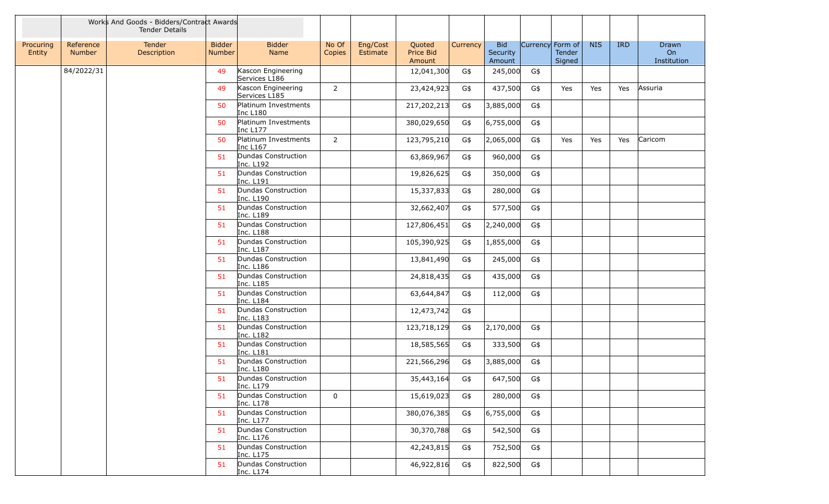|                     |                            | Works And Goods - Bidders/Contract Awards<br><b>Tender Details</b> |                         |                                     |                 |                      |                               |          |                                  |                  |                         |            |            |                            |
|---------------------|----------------------------|--------------------------------------------------------------------|-------------------------|-------------------------------------|-----------------|----------------------|-------------------------------|----------|----------------------------------|------------------|-------------------------|------------|------------|----------------------------|
| Procuring<br>Entity | Reference<br><b>Number</b> | Tender<br>Description                                              | <b>Bidder</b><br>Number | <b>Bidder</b><br>Name               | No Of<br>Copies | Eng/Cost<br>Estimate | Quoted<br>Price Bid<br>Amount | Currency | <b>Bid</b><br>Security<br>Amount | Currency Form of | <b>Tender</b><br>Signed | <b>NIS</b> | <b>IRD</b> | Drawn<br>On<br>Institution |
|                     | 84/2022/31                 |                                                                    | 49                      | Kascon Engineering<br>Services L186 |                 |                      | 12,041,300                    | G\$      | 245,000                          | G\$              |                         |            |            |                            |
|                     |                            |                                                                    | 49                      | Kascon Engineering<br>Services L185 | $\overline{2}$  |                      | 23,424,923                    | G\$      | 437,500                          | G\$              | Yes                     | Yes        | Yes        | Assuria                    |
|                     |                            |                                                                    | 50                      | Platinum Investments<br>Inc L180    |                 |                      | 217,202,213                   | G\$      | 3,885,000                        | G\$              |                         |            |            |                            |
|                     |                            |                                                                    | 50                      | Platinum Investments<br>Inc L177    |                 |                      | 380,029,650                   | G\$      | 6,755,000                        | G\$              |                         |            |            |                            |
|                     |                            |                                                                    | 50                      | Platinum Investments<br>Inc L167    | $2^{\circ}$     |                      | 123,795,210                   | G\$      | 2,065,000                        | G\$              | Yes                     | Yes        | Yes        | Caricom                    |
|                     |                            |                                                                    | 51                      | Dundas Construction<br>Inc. L192    |                 |                      | 63,869,967                    | G\$      | 960,000                          | G\$              |                         |            |            |                            |
|                     |                            |                                                                    | 51                      | Dundas Construction<br>Inc. L191    |                 |                      | 19,826,625                    | G\$      | 350,000                          | G\$              |                         |            |            |                            |
|                     |                            |                                                                    | 51                      | Dundas Construction<br>Inc. L190    |                 |                      | 15,337,833                    | G\$      | 280,000                          | G\$              |                         |            |            |                            |
|                     |                            |                                                                    | 51                      | Dundas Construction<br>Inc. L189    |                 |                      | 32,662,407                    | G\$      | 577,500                          | G\$              |                         |            |            |                            |
|                     |                            |                                                                    | 51                      | Dundas Construction<br>Inc. L188    |                 |                      | 127,806,451                   | G\$      | 2,240,000                        | G\$              |                         |            |            |                            |
|                     |                            |                                                                    | 51                      | Dundas Construction<br>Inc. L187    |                 |                      | 105,390,925                   | G\$      | 1,855,000                        | G\$              |                         |            |            |                            |
|                     |                            |                                                                    | 51                      | Dundas Construction<br>Inc. L186    |                 |                      | 13,841,490                    | G\$      | 245,000                          | G\$              |                         |            |            |                            |
|                     |                            |                                                                    | 51                      | Dundas Construction<br>Inc. L185    |                 |                      | 24,818,435                    | G\$      | 435,000                          | G\$              |                         |            |            |                            |
|                     |                            |                                                                    | 51                      | Dundas Construction<br>Inc. L184    |                 |                      | 63,644,847                    | G\$      | 112,000                          | G\$              |                         |            |            |                            |
|                     |                            |                                                                    | 51                      | Dundas Construction<br>Inc. L183    |                 |                      | 12,473,742                    | G\$      |                                  |                  |                         |            |            |                            |
|                     |                            |                                                                    | 51                      | Dundas Construction<br>Inc. L182    |                 |                      | 123,718,129                   | G\$      | 2,170,000                        | G\$              |                         |            |            |                            |
|                     |                            |                                                                    | 51                      | Dundas Construction<br>Inc. L181    |                 |                      | 18,585,565                    | G\$      | 333,500                          | G\$              |                         |            |            |                            |
|                     |                            |                                                                    | 51                      | Dundas Construction<br>Inc. L180    |                 |                      | 221,566,296                   | G\$      | 3,885,000                        | G\$              |                         |            |            |                            |
|                     |                            |                                                                    | 51                      | Dundas Construction<br> Inc. L179   |                 |                      | 35,443,164                    | G\$      | 647,500                          | G\$              |                         |            |            |                            |
|                     |                            |                                                                    | 51                      | Dundas Construction<br>Inc. L178    | 0               |                      | 15,619,023                    | G\$      | 280,000                          | G\$              |                         |            |            |                            |
|                     |                            |                                                                    | 51                      | Dundas Construction<br>Inc. L177    |                 |                      | 380,076,385                   | G\$      | 6,755,000                        | G\$              |                         |            |            |                            |
|                     |                            |                                                                    | 51                      | Dundas Construction<br>Inc. L176    |                 |                      | 30,370,788                    | G\$      | 542,500                          | G\$              |                         |            |            |                            |
|                     |                            |                                                                    | 51                      | Dundas Construction<br>Inc. L175    |                 |                      | 42,243,815                    | G\$      | 752,500                          | G\$              |                         |            |            |                            |
|                     |                            |                                                                    | 51                      | Dundas Construction<br>Inc. L174    |                 |                      | 46,922,816                    | G\$      | 822,500                          | G\$              |                         |            |            |                            |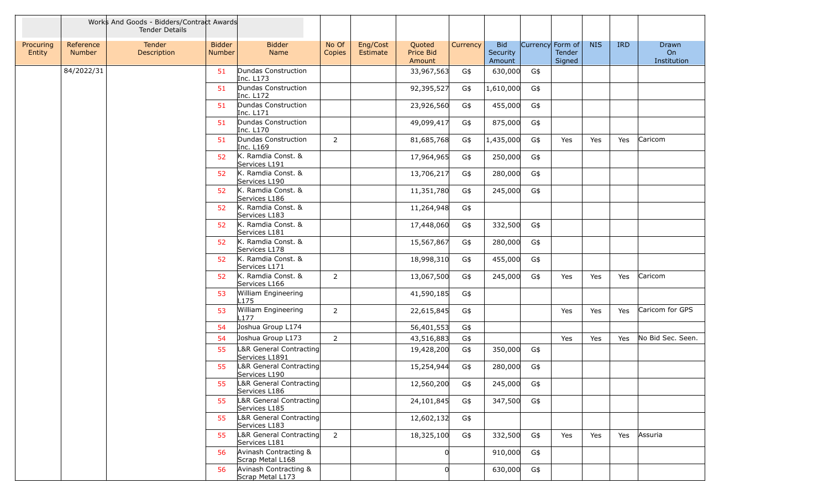|                     |                            | Works And Goods - Bidders/Contract Awards<br><b>Tender Details</b> |                                |                                           |                 |                                                       |          |                                  |                  |                  |            |            |                            |
|---------------------|----------------------------|--------------------------------------------------------------------|--------------------------------|-------------------------------------------|-----------------|-------------------------------------------------------|----------|----------------------------------|------------------|------------------|------------|------------|----------------------------|
| Procuring<br>Entity | Reference<br><b>Number</b> | Tender<br>Description                                              | <b>Bidder</b><br><b>Number</b> | <b>Bidder</b><br>Name                     | No Of<br>Copies | Eng/Cost<br>Quoted<br>Price Bid<br>Estimate<br>Amount | Currency | <b>Bid</b><br>Security<br>Amount | Currency Form of | Tender<br>Signed | <b>NIS</b> | <b>IRD</b> | Drawn<br>On<br>Institution |
|                     | 84/2022/31                 |                                                                    | 51                             | Dundas Construction<br>Inc. L173          |                 | 33,967,563                                            | G\$      | 630,000                          | G\$              |                  |            |            |                            |
|                     |                            |                                                                    | 51                             | Dundas Construction<br>Inc. L172          |                 | 92,395,527                                            | G\$      | 1,610,000                        | G\$              |                  |            |            |                            |
|                     |                            |                                                                    | 51                             | Dundas Construction<br>Inc. L171          |                 | 23,926,560                                            | G\$      | 455,000                          | G\$              |                  |            |            |                            |
|                     |                            |                                                                    | 51                             | Dundas Construction<br>Inc. L170          |                 | 49,099,417                                            | G\$      | 875,000                          | G\$              |                  |            |            |                            |
|                     |                            |                                                                    | 51                             | Dundas Construction<br>Inc. L169          | $\overline{2}$  | 81,685,768                                            | G\$      | 1,435,000                        | G\$              | Yes              | Yes        | Yes        | Caricom                    |
|                     |                            |                                                                    | 52                             | K. Ramdia Const. &<br>Services L191       |                 | 17,964,965                                            | G\$      | 250,000                          | G\$              |                  |            |            |                            |
|                     |                            |                                                                    | 52                             | K. Ramdia Const. &<br>Services L190       |                 | 13,706,217                                            | G\$      | 280,000                          | G\$              |                  |            |            |                            |
|                     |                            |                                                                    | 52                             | K. Ramdia Const. &<br>Services L186       |                 | 11,351,780                                            | G\$      | 245,000                          | G\$              |                  |            |            |                            |
|                     |                            |                                                                    | 52                             | K. Ramdia Const. &<br>Services L183       |                 | 11,264,948                                            | G\$      |                                  |                  |                  |            |            |                            |
|                     |                            |                                                                    | 52                             | K. Ramdia Const. &<br>Services L181       |                 | 17,448,060                                            | G\$      | 332,500                          | G\$              |                  |            |            |                            |
|                     |                            |                                                                    | 52                             | K. Ramdia Const. &<br>Services L178       |                 | 15,567,867                                            | G\$      | 280,000                          | G\$              |                  |            |            |                            |
|                     |                            |                                                                    | 52                             | K. Ramdia Const. &<br>Services L171       |                 | 18,998,310                                            | G\$      | 455,000                          | G\$              |                  |            |            |                            |
|                     |                            |                                                                    | 52                             | K. Ramdia Const. &<br>Services L166       | $\overline{2}$  | 13,067,500                                            | G\$      | 245,000                          | G\$              | Yes              | Yes        | Yes        | Caricom                    |
|                     |                            |                                                                    | 53                             | William Engineering<br>L175               |                 | 41,590,185                                            | G\$      |                                  |                  |                  |            |            |                            |
|                     |                            |                                                                    | 53                             | William Engineering<br>L177               | $\overline{2}$  | 22,615,845                                            | G\$      |                                  |                  | Yes              | Yes        | Yes        | Caricom for GPS            |
|                     |                            |                                                                    | 54                             | Joshua Group L174                         |                 | 56,401,553                                            | G\$      |                                  |                  |                  |            |            |                            |
|                     |                            |                                                                    | 54                             | Joshua Group L173                         | $\overline{2}$  | 43,516,883                                            | G\$      |                                  |                  | Yes              | Yes        | Yes        | No Bid Sec. Seen.          |
|                     |                            |                                                                    | 55                             | L&R General Contracting<br>Services L1891 |                 | 19,428,200                                            | G\$      | 350,000                          | G\$              |                  |            |            |                            |
|                     |                            |                                                                    | 55                             | L&R General Contracting<br>Services L190  |                 | 15,254,944                                            | G\$      | 280,000                          | G\$              |                  |            |            |                            |
|                     |                            |                                                                    | 55                             | L&R General Contracting<br>Services L186  |                 | 12,560,200                                            | G\$      | 245,000                          | G\$              |                  |            |            |                            |
|                     |                            |                                                                    | 55                             | L&R General Contracting<br>Services L185  |                 | 24,101,845                                            | G\$      | 347,500                          | G\$              |                  |            |            |                            |
|                     |                            |                                                                    | 55                             | L&R General Contracting<br>Services L183  |                 | 12,602,132                                            | G\$      |                                  |                  |                  |            |            |                            |
|                     |                            |                                                                    | 55                             | L&R General Contracting<br>Services L181  | $\overline{2}$  | 18,325,100                                            | G\$      | 332,500                          | G\$              | Yes              | Yes        | Yes        | Assuria                    |
|                     |                            |                                                                    | 56                             | Avinash Contracting &<br>Scrap Metal L168 |                 |                                                       |          | 910,000                          | G\$              |                  |            |            |                            |
|                     |                            |                                                                    | 56                             | Avinash Contracting &<br>Scrap Metal L173 |                 | $\overline{0}$                                        |          | 630,000                          | G\$              |                  |            |            |                            |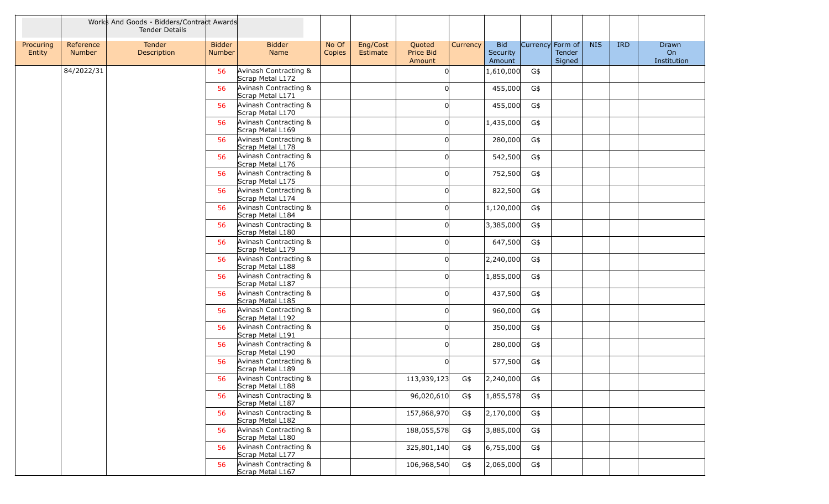|                     |                            | Works And Goods - Bidders/Contract Awards<br><b>Tender Details</b> |                                |                                           |                 |                      |                               |          |                                  |                  |                  |            |            |                            |
|---------------------|----------------------------|--------------------------------------------------------------------|--------------------------------|-------------------------------------------|-----------------|----------------------|-------------------------------|----------|----------------------------------|------------------|------------------|------------|------------|----------------------------|
| Procuring<br>Entity | Reference<br><b>Number</b> | Tender<br>Description                                              | <b>Bidder</b><br><b>Number</b> | <b>Bidder</b><br>Name                     | No Of<br>Copies | Eng/Cost<br>Estimate | Quoted<br>Price Bid<br>Amount | Currency | <b>Bid</b><br>Security<br>Amount | Currency Form of | Tender<br>Signed | <b>NIS</b> | <b>IRD</b> | Drawn<br>On<br>Institution |
|                     | 84/2022/31                 |                                                                    | 56                             | Avinash Contracting &<br>Scrap Metal L172 |                 |                      |                               |          | 1,610,000                        | G\$              |                  |            |            |                            |
|                     |                            |                                                                    | 56                             | Avinash Contracting &<br>Scrap Metal L171 |                 |                      |                               |          | 455,000                          | G\$              |                  |            |            |                            |
|                     |                            |                                                                    | 56                             | Avinash Contracting &<br>Scrap Metal L170 |                 |                      |                               |          | 455,000                          | G\$              |                  |            |            |                            |
|                     |                            |                                                                    | 56                             | Avinash Contracting &<br>Scrap Metal L169 |                 |                      | U                             |          | 1,435,000                        | G\$              |                  |            |            |                            |
|                     |                            |                                                                    | 56                             | Avinash Contracting &<br>Scrap Metal L178 |                 |                      |                               |          | 280,000                          | G\$              |                  |            |            |                            |
|                     |                            |                                                                    | 56                             | Avinash Contracting &<br>Scrap Metal L176 |                 |                      | U                             |          | 542,500                          | G\$              |                  |            |            |                            |
|                     |                            |                                                                    | 56                             | Avinash Contracting &<br>Scrap Metal L175 |                 |                      |                               |          | 752,500                          | G\$              |                  |            |            |                            |
|                     |                            |                                                                    | 56                             | Avinash Contracting &<br>Scrap Metal L174 |                 |                      |                               |          | 822,500                          | G\$              |                  |            |            |                            |
|                     |                            |                                                                    | 56                             | Avinash Contracting &<br>Scrap Metal L184 |                 |                      | U                             |          | 1,120,000                        | G\$              |                  |            |            |                            |
|                     |                            |                                                                    | 56                             | Avinash Contracting &<br>Scrap Metal L180 |                 |                      | U                             |          | 3,385,000                        | G\$              |                  |            |            |                            |
|                     |                            |                                                                    | 56                             | Avinash Contracting &<br>Scrap Metal L179 |                 |                      | U                             |          | 647,500                          | G\$              |                  |            |            |                            |
|                     |                            |                                                                    | 56                             | Avinash Contracting &<br>Scrap Metal L188 |                 |                      |                               |          | 2,240,000                        | G\$              |                  |            |            |                            |
|                     |                            |                                                                    | 56                             | Avinash Contracting &<br>Scrap Metal L187 |                 |                      |                               |          | 1,855,000                        | G\$              |                  |            |            |                            |
|                     |                            |                                                                    | 56                             | Avinash Contracting &<br>Scrap Metal L185 |                 |                      |                               |          | 437,500                          | G\$              |                  |            |            |                            |
|                     |                            |                                                                    | 56                             | Avinash Contracting &<br>Scrap Metal L192 |                 |                      | U                             |          | 960,000                          | G\$              |                  |            |            |                            |
|                     |                            |                                                                    | 56                             | Avinash Contracting &<br>Scrap Metal L191 |                 |                      | U                             |          | 350,000                          | G\$              |                  |            |            |                            |
|                     |                            |                                                                    | 56                             | Avinash Contracting &<br>Scrap Metal L190 |                 |                      |                               |          | 280,000                          | G\$              |                  |            |            |                            |
|                     |                            |                                                                    | 56                             | Avinash Contracting &<br>Scrap Metal L189 |                 |                      |                               |          | 577,500                          | G\$              |                  |            |            |                            |
|                     |                            |                                                                    | 56                             | Avinash Contracting &<br>Scrap Metal L188 |                 |                      | 113,939,123                   | G\$      | 2,240,000                        | G\$              |                  |            |            |                            |
|                     |                            |                                                                    | 56                             | Avinash Contracting &<br>Scrap Metal L187 |                 |                      | 96,020,610                    | G\$      | 1,855,578                        | G\$              |                  |            |            |                            |
|                     |                            |                                                                    | 56                             | Avinash Contracting &<br>Scrap Metal L182 |                 |                      | 157,868,970                   | G\$      | 2,170,000                        | G\$              |                  |            |            |                            |
|                     |                            |                                                                    | 56                             | Avinash Contracting &<br>Scrap Metal L180 |                 |                      | 188,055,578                   | G\$      | 3,885,000                        | G\$              |                  |            |            |                            |
|                     |                            |                                                                    | 56                             | Avinash Contracting &<br>Scrap Metal L177 |                 |                      | 325,801,140                   | G\$      | 6,755,000                        | G\$              |                  |            |            |                            |
|                     |                            |                                                                    | 56                             | Avinash Contracting &<br>Scrap Metal L167 |                 |                      | 106,968,540                   | G\$      | 2,065,000                        | G\$              |                  |            |            |                            |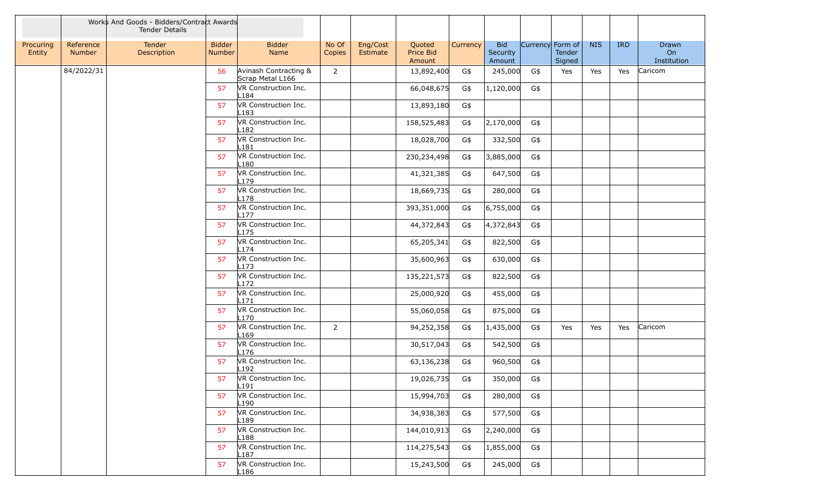|                     |                     | Works And Goods - Bidders/Contract Awards<br><b>Tender Details</b> |                         |                                               |                 |                      |                               |          |                                  |                  |                  |            |            |                            |
|---------------------|---------------------|--------------------------------------------------------------------|-------------------------|-----------------------------------------------|-----------------|----------------------|-------------------------------|----------|----------------------------------|------------------|------------------|------------|------------|----------------------------|
| Procuring<br>Entity | Reference<br>Number | Tender<br>Description                                              | <b>Bidder</b><br>Number | <b>Bidder</b><br>Name                         | No Of<br>Copies | Eng/Cost<br>Estimate | Quoted<br>Price Bid<br>Amount | Currency | <b>Bid</b><br>Security<br>Amount | Currency Form of | Tender<br>Signed | <b>NIS</b> | <b>IRD</b> | Drawn<br>On<br>Institution |
|                     | 84/2022/31          |                                                                    | 56                      | Avinash Contracting &<br>Scrap Metal L166     | $\overline{2}$  |                      | 13,892,400                    | G\$      | 245,000                          | G\$              | Yes              | Yes        | Yes        | Caricom                    |
|                     |                     |                                                                    | 57                      | VR Construction Inc.<br>L184                  |                 |                      | 66,048,675                    | G\$      | 1,120,000                        | G\$              |                  |            |            |                            |
|                     |                     |                                                                    | 57                      | VR Construction Inc.<br>L183                  |                 |                      | 13,893,180                    | G\$      |                                  |                  |                  |            |            |                            |
|                     |                     |                                                                    | 57                      | VR Construction Inc.<br>L182                  |                 |                      | 158,525,483                   | G\$      | 2,170,000                        | G\$              |                  |            |            |                            |
|                     |                     |                                                                    | 57                      | VR Construction Inc.<br>L181                  |                 |                      | 18,028,700                    | G\$      | 332,500                          | G\$              |                  |            |            |                            |
|                     |                     |                                                                    | 57                      | VR Construction Inc.<br>L180                  |                 |                      | 230,234,498                   | G\$      | 3,885,000                        | G\$              |                  |            |            |                            |
|                     |                     |                                                                    | 57                      | VR Construction Inc.<br>179                   |                 |                      | 41,321,385                    | G\$      | 647,500                          | G\$              |                  |            |            |                            |
|                     |                     |                                                                    | 57                      | VR Construction Inc.<br>.178                  |                 |                      | 18,669,735                    | G\$      | 280,000                          | G\$              |                  |            |            |                            |
|                     |                     |                                                                    | 57                      | VR Construction Inc.<br>$\lfloor 177 \rfloor$ |                 |                      | 393,351,000                   | G\$      | 6,755,000                        | G\$              |                  |            |            |                            |
|                     |                     |                                                                    | 57                      | VR Construction Inc.<br>L175                  |                 |                      | 44,372,843                    | G\$      | 4,372,843                        | G\$              |                  |            |            |                            |
|                     |                     |                                                                    | 57                      | VR Construction Inc.<br>L174                  |                 |                      | 65,205,341                    | G\$      | 822,500                          | G\$              |                  |            |            |                            |
|                     |                     |                                                                    | 57                      | VR Construction Inc.<br>L173                  |                 |                      | 35,600,963                    | G\$      | 630,000                          | G\$              |                  |            |            |                            |
|                     |                     |                                                                    | 57                      | VR Construction Inc.<br>L172                  |                 |                      | 135,221,573                   | G\$      | 822,500                          | G\$              |                  |            |            |                            |
|                     |                     |                                                                    | 57                      | VR Construction Inc.<br>171                   |                 |                      | 25,000,920                    | G\$      | 455,000                          | G\$              |                  |            |            |                            |
|                     |                     |                                                                    | 57                      | VR Construction Inc.<br>L170                  |                 |                      | 55,060,058                    | G\$      | 875,000                          | G\$              |                  |            |            |                            |
|                     |                     |                                                                    | 57                      | VR Construction Inc.<br>L169                  | $\overline{2}$  |                      | 94,252,358                    | G\$      | 1,435,000                        | G\$              | Yes              | Yes        | Yes        | Caricom                    |
|                     |                     |                                                                    | 57                      | VR Construction Inc.<br>L176                  |                 |                      | 30,517,043                    | G\$      | 542,500                          | G\$              |                  |            |            |                            |
|                     |                     |                                                                    | 57                      | VR Construction Inc.<br>192                   |                 |                      | 63,136,238                    | G\$      | 960,500                          | G\$              |                  |            |            |                            |
|                     |                     |                                                                    | 57                      | VR Construction Inc.<br>L191                  |                 |                      | 19,026,735                    | G\$      | 350,000                          | G\$              |                  |            |            |                            |
|                     |                     |                                                                    | 57                      | VR Construction Inc.<br>190-                  |                 |                      | 15,994,703                    | G\$      | 280,000                          | G\$              |                  |            |            |                            |
|                     |                     |                                                                    | 57                      | VR Construction Inc.<br>L189                  |                 |                      | 34,938,383                    | G\$      | 577,500                          | G\$              |                  |            |            |                            |
|                     |                     |                                                                    | 57                      | VR Construction Inc.<br>L188                  |                 |                      | 144,010,913                   | G\$      | 2,240,000                        | G\$              |                  |            |            |                            |
|                     |                     |                                                                    | 57                      | VR Construction Inc.<br>∟187                  |                 |                      | 114,275,543                   | G\$      | 1,855,000                        | G\$              |                  |            |            |                            |
|                     |                     |                                                                    | 57                      | VR Construction Inc.<br>L186                  |                 |                      | 15,243,500                    | G\$      | 245,000                          | G\$              |                  |            |            |                            |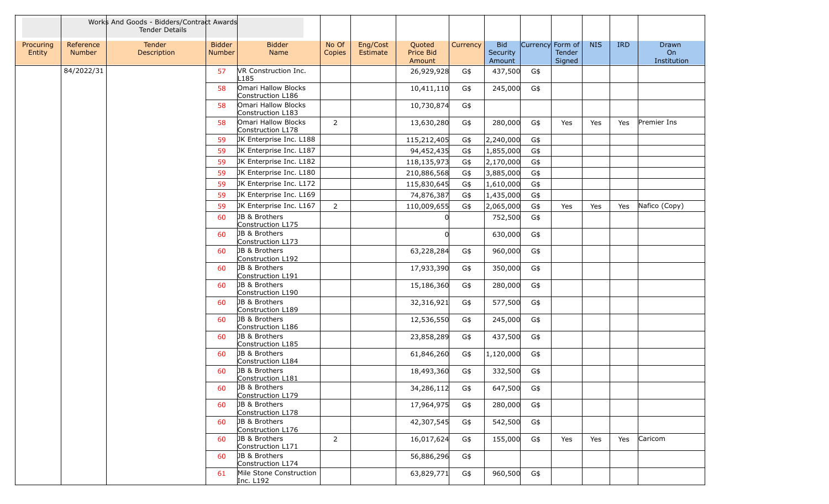|                     |                            | Works And Goods - Bidders/Contract Awards<br><b>Tender Details</b> |                                |                                               |                 |                      |                               |          |                                  |                  |                  |            |            |                            |
|---------------------|----------------------------|--------------------------------------------------------------------|--------------------------------|-----------------------------------------------|-----------------|----------------------|-------------------------------|----------|----------------------------------|------------------|------------------|------------|------------|----------------------------|
| Procuring<br>Entity | Reference<br><b>Number</b> | Tender<br>Description                                              | <b>Bidder</b><br><b>Number</b> | <b>Bidder</b><br>Name                         | No Of<br>Copies | Eng/Cost<br>Estimate | Quoted<br>Price Bid<br>Amount | Currency | <b>Bid</b><br>Security<br>Amount | Currency Form of | Tender<br>Signed | <b>NIS</b> | <b>IRD</b> | Drawn<br>On<br>Institution |
|                     | 84/2022/31                 |                                                                    | 57                             | VR Construction Inc.<br>L185                  |                 |                      | 26,929,928                    | G\$      | 437,500                          | G\$              |                  |            |            |                            |
|                     |                            |                                                                    | 58                             | Omari Hallow Blocks<br>Construction L186      |                 |                      | 10,411,110                    | G\$      | 245,000                          | G\$              |                  |            |            |                            |
|                     |                            |                                                                    | 58                             | Omari Hallow Blocks<br>Construction L183      |                 |                      | 10,730,874                    | G\$      |                                  |                  |                  |            |            |                            |
|                     |                            |                                                                    | 58                             | Omari Hallow Blocks<br>Construction L178      | $\overline{2}$  |                      | 13,630,280                    | G\$      | 280,000                          | G\$              | Yes              | Yes        | Yes        | Premier Ins                |
|                     |                            |                                                                    | 59                             | JK Enterprise Inc. L188                       |                 |                      | 115,212,405                   | G\$      | 2,240,000                        | G\$              |                  |            |            |                            |
|                     |                            |                                                                    | 59                             | JK Enterprise Inc. L187                       |                 |                      | 94,452,435                    | G\$      | 1,855,000                        | G\$              |                  |            |            |                            |
|                     |                            |                                                                    | 59                             | JK Enterprise Inc. L182                       |                 |                      | 118,135,973                   | G\$      | 2,170,000                        | G\$              |                  |            |            |                            |
|                     |                            |                                                                    | 59                             | JK Enterprise Inc. L180                       |                 |                      | 210,886,568                   | G\$      | 3,885,000                        | G\$              |                  |            |            |                            |
|                     |                            |                                                                    | 59                             | JK Enterprise Inc. L172                       |                 |                      | 115,830,645                   | G\$      | 1,610,000                        | G\$              |                  |            |            |                            |
|                     |                            |                                                                    | 59                             | JK Enterprise Inc. L169                       |                 |                      | 74,876,387                    | G\$      | 1,435,000                        | G\$              |                  |            |            |                            |
|                     |                            |                                                                    | 59                             | JK Enterprise Inc. L167                       | $\overline{2}$  |                      | 110,009,655                   | G\$      | 2,065,000                        | G\$              | Yes              | Yes        | Yes        | Nafico (Copy)              |
|                     |                            |                                                                    | 60                             | JB & Brothers<br>Construction L175            |                 |                      |                               |          | 752,500                          | G\$              |                  |            |            |                            |
|                     |                            |                                                                    | 60                             | JB & Brothers<br>Construction L173            |                 |                      | $\Omega$                      |          | 630,000                          | G\$              |                  |            |            |                            |
|                     |                            |                                                                    | 60                             | <b>JB &amp; Brothers</b><br>Construction L192 |                 |                      | 63,228,284                    | G\$      | 960,000                          | G\$              |                  |            |            |                            |
|                     |                            |                                                                    | 60                             | JB & Brothers<br>Construction L191            |                 |                      | 17,933,390                    | G\$      | 350,000                          | G\$              |                  |            |            |                            |
|                     |                            |                                                                    | 60                             | JB & Brothers<br>Construction L190            |                 |                      | 15,186,360                    | G\$      | 280,000                          | G\$              |                  |            |            |                            |
|                     |                            |                                                                    | 60                             | JB & Brothers<br>Construction L189            |                 |                      | 32,316,921                    | G\$      | 577,500                          | G\$              |                  |            |            |                            |
|                     |                            |                                                                    | 60                             | JB & Brothers<br>Construction L186            |                 |                      | 12,536,550                    | G\$      | 245,000                          | G\$              |                  |            |            |                            |
|                     |                            |                                                                    | 60                             | JB & Brothers<br>Construction L185            |                 |                      | 23,858,289                    | G\$      | 437,500                          | G\$              |                  |            |            |                            |
|                     |                            |                                                                    | 60                             | JB & Brothers<br>Construction L184            |                 |                      | 61,846,260                    | G\$      | 1,120,000                        | G\$              |                  |            |            |                            |
|                     |                            |                                                                    | 60                             | JB & Brothers<br>Construction L181            |                 |                      | 18,493,360                    | G\$      | 332,500                          | G\$              |                  |            |            |                            |
|                     |                            |                                                                    | -60                            | JB & Brothers<br>Construction L179            |                 |                      | 34,286,112                    | G\$      | 647,500                          | G\$              |                  |            |            |                            |
|                     |                            |                                                                    | 60                             | JB & Brothers<br>Construction L178            |                 |                      | 17,964,975                    | G\$      | 280,000                          | G\$              |                  |            |            |                            |
|                     |                            |                                                                    | 60                             | JB & Brothers<br>Construction L176            |                 |                      | 42,307,545                    | G\$      | 542,500                          | G\$              |                  |            |            |                            |
|                     |                            |                                                                    | 60                             | JB & Brothers<br>Construction L171            | 2               |                      | 16,017,624                    | G\$      | 155,000                          | G\$              | Yes              | Yes        | Yes        | Caricom                    |
|                     |                            |                                                                    | 60                             | JB & Brothers<br>Construction L174            |                 |                      | 56,886,296                    | G\$      |                                  |                  |                  |            |            |                            |
|                     |                            |                                                                    | 61                             | Mile Stone Construction<br>Inc. L192          |                 |                      | 63,829,771                    | G\$      | 960,500                          | G\$              |                  |            |            |                            |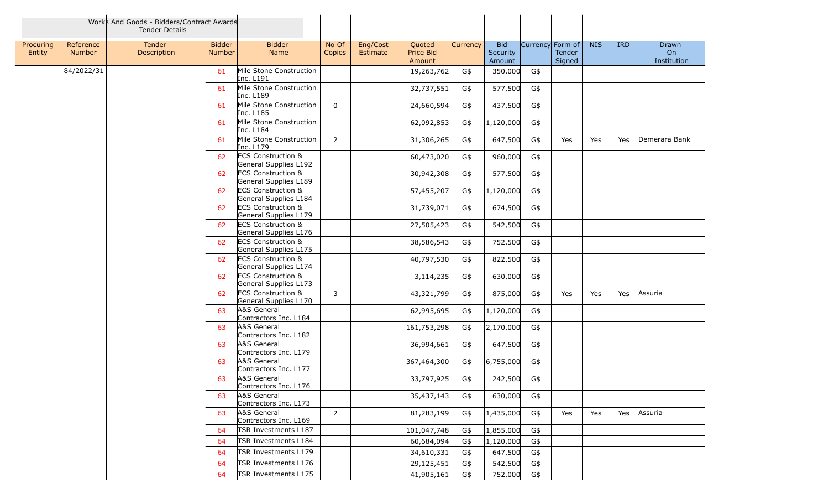|                     |                            | Works And Goods - Bidders/Contract Awards<br><b>Tender Details</b> |                                |                                                        |                 |                      |                               |          |                                  |                  |                         |            |            |                            |
|---------------------|----------------------------|--------------------------------------------------------------------|--------------------------------|--------------------------------------------------------|-----------------|----------------------|-------------------------------|----------|----------------------------------|------------------|-------------------------|------------|------------|----------------------------|
| Procuring<br>Entity | Reference<br><b>Number</b> | Tender<br>Description                                              | <b>Bidder</b><br><b>Number</b> | <b>Bidder</b><br>Name                                  | No Of<br>Copies | Eng/Cost<br>Estimate | Quoted<br>Price Bid<br>Amount | Currency | <b>Bid</b><br>Security<br>Amount | Currency Form of | <b>Tender</b><br>Signed | <b>NIS</b> | <b>IRD</b> | Drawn<br>On<br>Institution |
|                     | 84/2022/31                 |                                                                    | 61                             | Mile Stone Construction<br>Inc. L191                   |                 |                      | 19,263,762                    | G\$      | 350,000                          | G\$              |                         |            |            |                            |
|                     |                            |                                                                    | 61                             | Mile Stone Construction<br>Inc. L189                   |                 |                      | 32,737,551                    | G\$      | 577,500                          | G\$              |                         |            |            |                            |
|                     |                            |                                                                    | 61                             | Mile Stone Construction<br>Inc. L185                   | $\Omega$        |                      | 24,660,594                    | G\$      | 437,500                          | G\$              |                         |            |            |                            |
|                     |                            |                                                                    | 61                             | Mile Stone Construction<br>Inc. L184                   |                 |                      | 62,092,853                    | G\$      | 1,120,000                        | G\$              |                         |            |            |                            |
|                     |                            |                                                                    | 61                             | Mile Stone Construction<br>Inc. L179                   | $\overline{2}$  |                      | 31,306,265                    | G\$      | 647,500                          | G\$              | Yes                     | Yes        | Yes        | Demerara Bank              |
|                     |                            |                                                                    | 62                             | <b>ECS Construction &amp;</b><br>General Supplies L192 |                 |                      | 60,473,020                    | G\$      | 960,000                          | G\$              |                         |            |            |                            |
|                     |                            |                                                                    | 62                             | <b>ECS Construction &amp;</b><br>General Supplies L189 |                 |                      | 30,942,308                    | G\$      | 577,500                          | G\$              |                         |            |            |                            |
|                     |                            |                                                                    | 62                             | <b>ECS Construction &amp;</b><br>General Supplies L184 |                 |                      | 57,455,207                    | G\$      | 1,120,000                        | G\$              |                         |            |            |                            |
|                     |                            |                                                                    | 62                             | <b>ECS Construction &amp;</b><br>General Supplies L179 |                 |                      | 31,739,071                    | G\$      | 674,500                          | G\$              |                         |            |            |                            |
|                     |                            |                                                                    | 62                             | <b>ECS Construction &amp;</b><br>General Supplies L176 |                 |                      | 27,505,423                    | G\$      | 542,500                          | G\$              |                         |            |            |                            |
|                     |                            |                                                                    | 62                             | <b>ECS Construction &amp;</b><br>General Supplies L175 |                 |                      | 38,586,543                    | G\$      | 752,500                          | G\$              |                         |            |            |                            |
|                     |                            |                                                                    | 62                             | <b>ECS Construction &amp;</b><br>General Supplies L174 |                 |                      | 40,797,530                    | G\$      | 822,500                          | G\$              |                         |            |            |                            |
|                     |                            |                                                                    | 62                             | <b>ECS Construction &amp;</b><br>General Supplies L173 |                 |                      | 3,114,235                     | G\$      | 630,000                          | G\$              |                         |            |            |                            |
|                     |                            |                                                                    | 62                             | <b>ECS Construction &amp;</b><br>General Supplies L170 | 3               |                      | 43,321,799                    | G\$      | 875,000                          | G\$              | Yes                     | Yes        | Yes        | Assuria                    |
|                     |                            |                                                                    | 63                             | A&S General<br>Contractors Inc. L184                   |                 |                      | 62,995,695                    | G\$      | 1,120,000                        | G\$              |                         |            |            |                            |
|                     |                            |                                                                    | 63                             | A&S General<br>Contractors Inc. L182                   |                 |                      | 161,753,298                   | G\$      | 2,170,000                        | G\$              |                         |            |            |                            |
|                     |                            |                                                                    | 63                             | A&S General<br>Contractors Inc. L179                   |                 |                      | 36,994,661                    | G\$      | 647,500                          | G\$              |                         |            |            |                            |
|                     |                            |                                                                    | 63                             | A&S General<br>Contractors Inc. L177                   |                 |                      | 367,464,300                   | G\$      | 6,755,000                        | G\$              |                         |            |            |                            |
|                     |                            |                                                                    | 63                             | A&S General<br>Contractors Inc. L176                   |                 |                      | 33,797,925                    | G\$      | 242,500                          | G\$              |                         |            |            |                            |
|                     |                            |                                                                    | 63                             | A&S General<br>Contractors Inc. L173                   |                 |                      | 35,437,143                    | G\$      | 630,000                          | G\$              |                         |            |            |                            |
|                     |                            |                                                                    | 63                             | A&S General<br>Contractors Inc. L169                   | $\overline{2}$  |                      | 81,283,199                    | G\$      | 1,435,000                        | G\$              | Yes                     | Yes        | Yes        | Assuria                    |
|                     |                            |                                                                    | 64                             | TSR Investments L187                                   |                 |                      | 101,047,748                   | G\$      | 1,855,000                        | G\$              |                         |            |            |                            |
|                     |                            |                                                                    | 64                             | TSR Investments L184                                   |                 |                      | 60,684,094                    | G\$      | 1,120,000                        | G\$              |                         |            |            |                            |
|                     |                            |                                                                    | 64                             | TSR Investments L179                                   |                 |                      | 34,610,331                    | G\$      | 647,500                          | G\$              |                         |            |            |                            |
|                     |                            |                                                                    | 64                             | TSR Investments L176                                   |                 |                      | 29,125,451                    | G\$      | 542,500                          | G\$              |                         |            |            |                            |
|                     |                            |                                                                    | 64                             | TSR Investments L175                                   |                 |                      | 41,905,161                    | G\$      | 752,000                          | G\$              |                         |            |            |                            |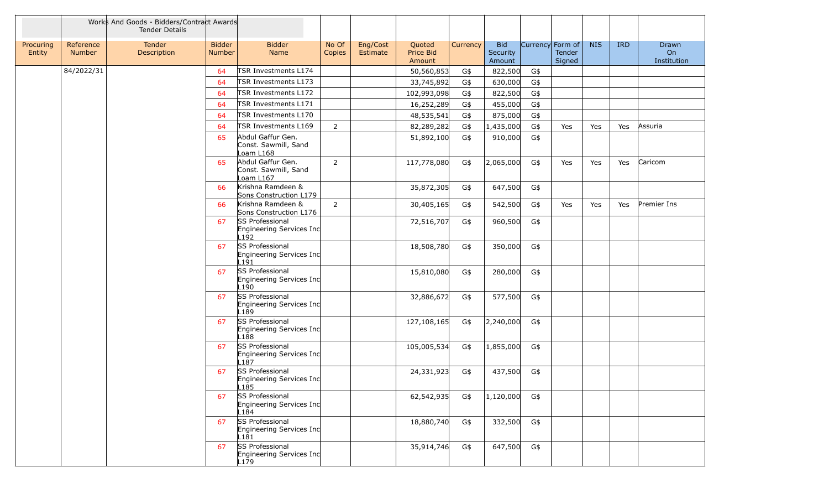|                     |                     | Works And Goods - Bidders/Contract Awards<br><b>Tender Details</b> |                         |                                                                 |                 |                      |                               |          |                                  |                  |                  |            |            |                            |
|---------------------|---------------------|--------------------------------------------------------------------|-------------------------|-----------------------------------------------------------------|-----------------|----------------------|-------------------------------|----------|----------------------------------|------------------|------------------|------------|------------|----------------------------|
| Procuring<br>Entity | Reference<br>Number | Tender<br>Description                                              | <b>Bidder</b><br>Number | <b>Bidder</b><br>Name                                           | No Of<br>Copies | Eng/Cost<br>Estimate | Quoted<br>Price Bid<br>Amount | Currency | <b>Bid</b><br>Security<br>Amount | Currency Form of | Tender<br>Signed | <b>NIS</b> | <b>IRD</b> | Drawn<br>On<br>Institution |
|                     | 84/2022/31          |                                                                    | 64                      | TSR Investments L174                                            |                 |                      | 50,560,853                    | G\$      | 822,500                          | G\$              |                  |            |            |                            |
|                     |                     |                                                                    | 64                      | TSR Investments L173                                            |                 |                      | 33,745,892                    | G\$      | 630,000                          | G\$              |                  |            |            |                            |
|                     |                     |                                                                    | 64                      | TSR Investments L172                                            |                 |                      | 102,993,098                   | G\$      | 822,500                          | G\$              |                  |            |            |                            |
|                     |                     |                                                                    | 64                      | TSR Investments L171                                            |                 |                      | 16,252,289                    | G\$      | 455,000                          | G\$              |                  |            |            |                            |
|                     |                     |                                                                    | 64                      | TSR Investments L170                                            |                 |                      | 48,535,541                    | G\$      | 875,000                          | G\$              |                  |            |            |                            |
|                     |                     |                                                                    | 64                      | TSR Investments L169                                            | $\overline{2}$  |                      | 82,289,282                    | G\$      | 1,435,000                        | G\$              | Yes              | Yes        | Yes        | Assuria                    |
|                     |                     |                                                                    | 65                      | Abdul Gaffur Gen.<br>Const. Sawmill, Sand<br>oam L168           |                 |                      | 51,892,100                    | G\$      | 910,000                          | G\$              |                  |            |            |                            |
|                     |                     |                                                                    | 65                      | Abdul Gaffur Gen.<br>Const. Sawmill, Sand<br>oam L167           | $\overline{2}$  |                      | 117,778,080                   | G\$      | 2,065,000                        | G\$              | Yes              | Yes        | Yes        | Caricom                    |
|                     |                     |                                                                    | 66                      | Krishna Ramdeen &<br>Sons Construction L179                     |                 |                      | 35,872,305                    | G\$      | 647,500                          | G\$              |                  |            |            |                            |
|                     |                     |                                                                    | 66                      | Krishna Ramdeen &<br>Sons Construction L176                     | $\overline{2}$  |                      | 30,405,165                    | G\$      | 542,500                          | G\$              | Yes              | Yes        | Yes        | Premier Ins                |
|                     |                     |                                                                    | 67                      | <b>SS Professional</b><br>Engineering Services Inc<br>L192      |                 |                      | 72,516,707                    | G\$      | 960,500                          | G\$              |                  |            |            |                            |
|                     |                     |                                                                    | 67                      | SS Professional<br>Engineering Services Inc<br>L191             |                 |                      | 18,508,780                    | G\$      | 350,000                          | G\$              |                  |            |            |                            |
|                     |                     |                                                                    | 67                      | SS Professional<br>Engineering Services Inc<br>L190             |                 |                      | 15,810,080                    | G\$      | 280,000                          | G\$              |                  |            |            |                            |
|                     |                     |                                                                    | 67                      | SS Professional<br>Engineering Services Inc<br>L189             |                 |                      | 32,886,672                    | G\$      | 577,500                          | G\$              |                  |            |            |                            |
|                     |                     |                                                                    | 67                      | SS Professional<br>Engineering Services Inc<br>-188             |                 |                      | 127,108,165                   | G\$      | 2,240,000                        | G\$              |                  |            |            |                            |
|                     |                     |                                                                    | 67                      | SS Professional<br>Engineering Services Inc<br>L <sub>187</sub> |                 |                      | 105,005,534                   | G\$      | 1,855,000                        | G\$              |                  |            |            |                            |
|                     |                     |                                                                    | 67                      | SS Professional<br>Engineering Services Inc<br>L <sub>185</sub> |                 |                      | 24,331,923                    | G\$      | 437,500                          | G\$              |                  |            |            |                            |
|                     |                     |                                                                    | 67                      | SS Professional<br>Engineering Services Inc<br>L184             |                 |                      | 62,542,935                    | G\$      | 1,120,000                        | G\$              |                  |            |            |                            |
|                     |                     |                                                                    | 67                      | SS Professional<br>Engineering Services Inc<br>L181             |                 |                      | 18,880,740                    | G\$      | 332,500                          | G\$              |                  |            |            |                            |
|                     |                     |                                                                    | 67                      | SS Professional<br>Engineering Services Inc<br>L179             |                 |                      | 35,914,746                    | G\$      | 647,500                          | G\$              |                  |            |            |                            |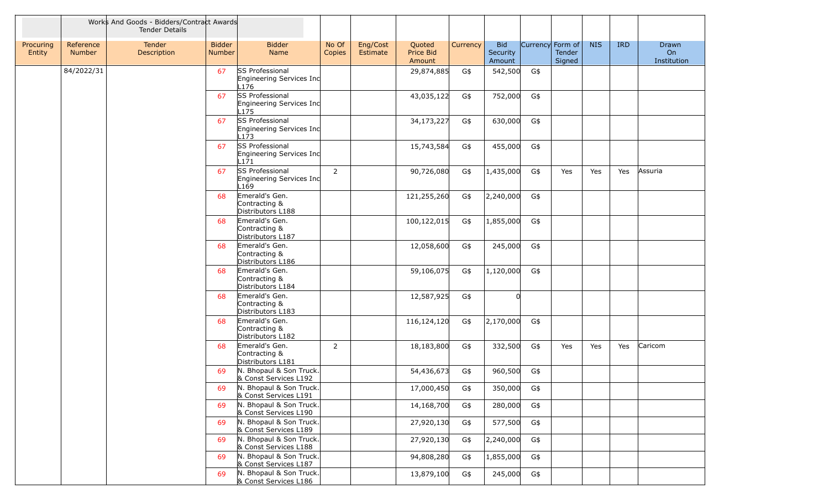|                     |                            | Works And Goods - Bidders/Contract Awards<br><b>Tender Details</b> |                         |                                                            |                 |                      |                               |          |                                  |                  |                  |            |            |                            |
|---------------------|----------------------------|--------------------------------------------------------------------|-------------------------|------------------------------------------------------------|-----------------|----------------------|-------------------------------|----------|----------------------------------|------------------|------------------|------------|------------|----------------------------|
| Procuring<br>Entity | Reference<br><b>Number</b> | Tender<br>Description                                              | <b>Bidder</b><br>Number | <b>Bidder</b><br>Name                                      | No Of<br>Copies | Eng/Cost<br>Estimate | Quoted<br>Price Bid<br>Amount | Currency | <b>Bid</b><br>Security<br>Amount | Currency Form of | Tender<br>Signed | <b>NIS</b> | <b>IRD</b> | Drawn<br>On<br>Institution |
|                     | 84/2022/31                 |                                                                    | 67                      | <b>SS Professional</b><br>Engineering Services Inc<br>L176 |                 |                      | 29,874,885                    | G\$      | 542,500                          | G\$              |                  |            |            |                            |
|                     |                            |                                                                    | 67                      | <b>SS Professional</b><br>Engineering Services Inc<br>L175 |                 |                      | 43,035,122                    | G\$      | 752,000                          | G\$              |                  |            |            |                            |
|                     |                            |                                                                    | 67                      | SS Professional<br>Engineering Services Inc<br>L173        |                 |                      | 34,173,227                    | G\$      | 630,000                          | G\$              |                  |            |            |                            |
|                     |                            |                                                                    | 67                      | SS Professional<br>Engineering Services Inc<br>171         |                 |                      | 15,743,584                    | G\$      | 455,000                          | G\$              |                  |            |            |                            |
|                     |                            |                                                                    | 67                      | SS Professional<br>Engineering Services Inc<br>-169        | $2^{\circ}$     |                      | 90,726,080                    | G\$      | 1,435,000                        | G\$              | Yes              | Yes        | Yes        | Assuria                    |
|                     |                            |                                                                    | 68                      | Emerald's Gen.<br>Contracting &<br>Distributors L188       |                 |                      | 121,255,260                   | G\$      | 2,240,000                        | G\$              |                  |            |            |                            |
|                     |                            |                                                                    | 68                      | Emerald's Gen.<br>Contracting &<br>Distributors L187       |                 |                      | 100,122,015                   | G\$      | 1,855,000                        | G\$              |                  |            |            |                            |
|                     |                            |                                                                    | 68                      | Emerald's Gen.<br>Contracting &<br>Distributors L186       |                 |                      | 12,058,600                    | G\$      | 245,000                          | G\$              |                  |            |            |                            |
|                     |                            |                                                                    | 68                      | Emerald's Gen.<br>Contracting &<br>Distributors L184       |                 |                      | 59,106,075                    | G\$      | 1,120,000                        | G\$              |                  |            |            |                            |
|                     |                            |                                                                    | 68                      | Emerald's Gen.<br>Contracting &<br>Distributors L183       |                 |                      | 12,587,925                    | G\$      | <sup>n</sup>                     |                  |                  |            |            |                            |
|                     |                            |                                                                    | 68                      | Emerald's Gen.<br>Contracting &<br>Distributors L182       |                 |                      | 116,124,120                   | G\$      | 2,170,000                        | G\$              |                  |            |            |                            |
|                     |                            |                                                                    | 68                      | Emerald's Gen.<br>Contracting &<br>Distributors L181       | $\overline{2}$  |                      | 18,183,800                    | G\$      | 332,500                          | G\$              | Yes              | Yes        | Yes        | Caricom                    |
|                     |                            |                                                                    | 69                      | N. Bhopaul & Son Truck.<br>& Const Services L192           |                 |                      | 54,436,673                    | G\$      | 960,500                          | G\$              |                  |            |            |                            |
|                     |                            |                                                                    | 69                      | N. Bhopaul & Son Truck.<br>& Const Services L191           |                 |                      | 17,000,450                    | G\$      | 350,000                          | G\$              |                  |            |            |                            |
|                     |                            |                                                                    | 69                      | N. Bhopaul & Son Truck.<br>& Const Services L190           |                 |                      | 14,168,700                    | G\$      | 280,000                          | G\$              |                  |            |            |                            |
|                     |                            |                                                                    | 69                      | N. Bhopaul & Son Truck.<br>& Const Services L189           |                 |                      | 27,920,130                    | G\$      | 577,500                          | G\$              |                  |            |            |                            |
|                     |                            |                                                                    | 69                      | N. Bhopaul & Son Truck.<br>& Const Services L188           |                 |                      | 27,920,130                    | G\$      | 2,240,000                        | G\$              |                  |            |            |                            |
|                     |                            |                                                                    | 69                      | N. Bhopaul & Son Truck.<br>& Const Services L187           |                 |                      | 94,808,280                    | G\$      | 1,855,000                        | G\$              |                  |            |            |                            |
|                     |                            |                                                                    | 69                      | N. Bhopaul & Son Truck.<br>& Const Services L186           |                 |                      | 13,879,100                    | G\$      | 245,000                          | G\$              |                  |            |            |                            |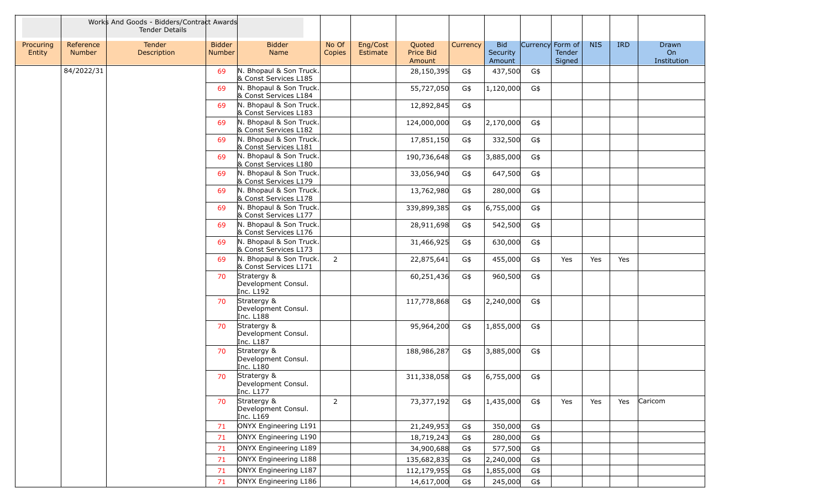|                     |                            | Works And Goods - Bidders/Contract Awards<br><b>Tender Details</b> |                                |                                                  |                 |                      |                               |          |                                  |     |                                             |            |            |                            |
|---------------------|----------------------------|--------------------------------------------------------------------|--------------------------------|--------------------------------------------------|-----------------|----------------------|-------------------------------|----------|----------------------------------|-----|---------------------------------------------|------------|------------|----------------------------|
| Procuring<br>Entity | Reference<br><b>Number</b> | Tender<br>Description                                              | <b>Bidder</b><br><b>Number</b> | <b>Bidder</b><br>Name                            | No Of<br>Copies | Eng/Cost<br>Estimate | Quoted<br>Price Bid<br>Amount | Currency | <b>Bid</b><br>Security<br>Amount |     | Currency Form of<br><b>Tender</b><br>Signed | <b>NIS</b> | <b>IRD</b> | Drawn<br>On<br>Institution |
|                     | 84/2022/31                 |                                                                    | 69                             | N. Bhopaul & Son Truck.<br>& Const Services L185 |                 |                      | 28,150,395                    | G\$      | 437,500                          | G\$ |                                             |            |            |                            |
|                     |                            |                                                                    | 69                             | N. Bhopaul & Son Truck.<br>& Const Services L184 |                 |                      | 55,727,050                    | G\$      | 1,120,000                        | G\$ |                                             |            |            |                            |
|                     |                            |                                                                    | 69                             | N. Bhopaul & Son Truck.<br>& Const Services L183 |                 |                      | 12,892,845                    | G\$      |                                  |     |                                             |            |            |                            |
|                     |                            |                                                                    | 69                             | N. Bhopaul & Son Truck.<br>& Const Services L182 |                 |                      | 124,000,000                   | G\$      | 2,170,000                        | G\$ |                                             |            |            |                            |
|                     |                            |                                                                    | 69                             | N. Bhopaul & Son Truck.<br>& Const Services L181 |                 |                      | 17,851,150                    | G\$      | 332,500                          | G\$ |                                             |            |            |                            |
|                     |                            |                                                                    | 69                             | N. Bhopaul & Son Truck.<br>& Const Services L180 |                 |                      | 190,736,648                   | G\$      | 3,885,000                        | G\$ |                                             |            |            |                            |
|                     |                            |                                                                    | 69                             | N. Bhopaul & Son Truck.<br>& Const Services L179 |                 |                      | 33,056,940                    | G\$      | 647,500                          | G\$ |                                             |            |            |                            |
|                     |                            |                                                                    | 69                             | N. Bhopaul & Son Truck.<br>& Const Services L178 |                 |                      | 13,762,980                    | G\$      | 280,000                          | G\$ |                                             |            |            |                            |
|                     |                            |                                                                    | 69                             | N. Bhopaul & Son Truck.<br>& Const Services L177 |                 |                      | 339,899,385                   | G\$      | 6,755,000                        | G\$ |                                             |            |            |                            |
|                     |                            |                                                                    | 69                             | N. Bhopaul & Son Truck.<br>& Const Services L176 |                 |                      | 28,911,698                    | G\$      | 542,500                          | G\$ |                                             |            |            |                            |
|                     |                            |                                                                    | 69                             | N. Bhopaul & Son Truck.<br>& Const Services L173 |                 |                      | 31,466,925                    | G\$      | 630,000                          | G\$ |                                             |            |            |                            |
|                     |                            |                                                                    | 69                             | N. Bhopaul & Son Truck.<br>& Const Services L171 | $\overline{2}$  |                      | 22,875,641                    | G\$      | 455,000                          | G\$ | Yes                                         | Yes        | Yes        |                            |
|                     |                            |                                                                    | 70                             | Stratergy &<br>Development Consul.<br>Inc. L192  |                 |                      | 60,251,436                    | G\$      | 960,500                          | G\$ |                                             |            |            |                            |
|                     |                            |                                                                    | 70                             | Stratergy &<br>Development Consul.<br>Inc. L188  |                 |                      | 117,778,868                   | G\$      | 2,240,000                        | G\$ |                                             |            |            |                            |
|                     |                            |                                                                    | 70                             | Stratergy &<br>Development Consul.<br>Inc. L187  |                 |                      | 95,964,200                    | G\$      | 1,855,000                        | G\$ |                                             |            |            |                            |
|                     |                            |                                                                    | 70                             | Stratergy &<br>Development Consul.<br>Inc. L180  |                 |                      | 188,986,287                   | G\$      | 3,885,000                        | G\$ |                                             |            |            |                            |
|                     |                            |                                                                    | 70                             | Stratergy &<br>Development Consul.<br>Inc. L177  |                 |                      | 311,338,058                   | G\$      | 6,755,000                        | G\$ |                                             |            |            |                            |
|                     |                            |                                                                    | 70                             | Stratergy &<br>Development Consul.<br>Inc. L169  | $\overline{2}$  |                      | 73,377,192                    | G\$      | 1,435,000                        | G\$ | Yes                                         | Yes        | Yes        | Caricom                    |
|                     |                            |                                                                    | 71                             | ONYX Engineering L191                            |                 |                      | 21,249,953                    | G\$      | 350,000                          | G\$ |                                             |            |            |                            |
|                     |                            |                                                                    | 71                             | ONYX Engineering L190                            |                 |                      | 18,719,243                    | G\$      | 280,000                          | G\$ |                                             |            |            |                            |
|                     |                            |                                                                    | 71                             | ONYX Engineering L189                            |                 |                      | 34,900,688                    | G\$      | 577,500                          | G\$ |                                             |            |            |                            |
|                     |                            |                                                                    | 71                             | ONYX Engineering L188                            |                 |                      | 135,682,835                   | G\$      | 2,240,000                        | G\$ |                                             |            |            |                            |
|                     |                            |                                                                    | 71                             | ONYX Engineering L187                            |                 |                      | 112,179,955                   | G\$      | 1,855,000                        | G\$ |                                             |            |            |                            |
|                     |                            |                                                                    | 71                             | ONYX Engineering L186                            |                 |                      | 14,617,000                    | G\$      | 245,000                          | G\$ |                                             |            |            |                            |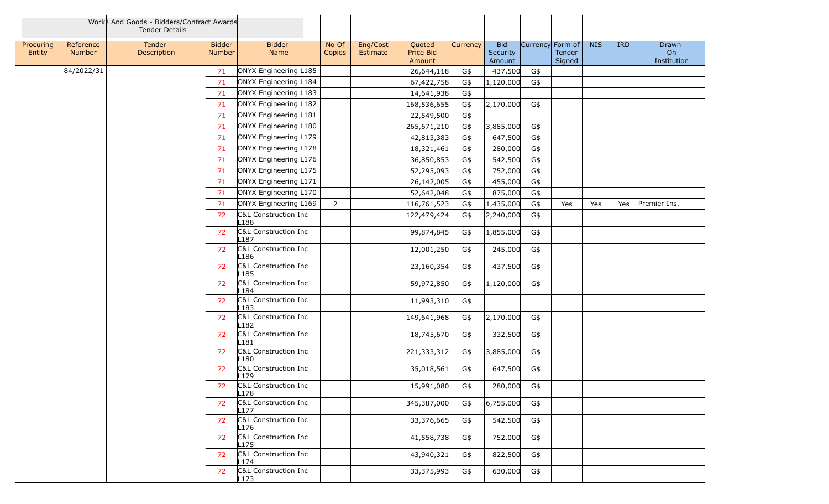|                     |                            | Works And Goods - Bidders/Contract Awards<br><b>Tender Details</b> |                         |                                          |                 |                      |                               |          |                                  |                  |                  |            |            |                            |
|---------------------|----------------------------|--------------------------------------------------------------------|-------------------------|------------------------------------------|-----------------|----------------------|-------------------------------|----------|----------------------------------|------------------|------------------|------------|------------|----------------------------|
| Procuring<br>Entity | Reference<br><b>Number</b> | Tender<br>Description                                              | <b>Bidder</b><br>Number | <b>Bidder</b><br>Name                    | No Of<br>Copies | Eng/Cost<br>Estimate | Quoted<br>Price Bid<br>Amount | Currency | <b>Bid</b><br>Security<br>Amount | Currency Form of | Tender<br>Signed | <b>NIS</b> | <b>IRD</b> | Drawn<br>On<br>Institution |
|                     | 84/2022/31                 |                                                                    | 71                      | ONYX Engineering L185                    |                 |                      | 26,644,118                    | G\$      | 437,500                          | G\$              |                  |            |            |                            |
|                     |                            |                                                                    | 71                      | ONYX Engineering L184                    |                 |                      | 67,422,758                    | G\$      | 1,120,000                        | G\$              |                  |            |            |                            |
|                     |                            |                                                                    | 71                      | ONYX Engineering L183                    |                 |                      | 14,641,938                    | G\$      |                                  |                  |                  |            |            |                            |
|                     |                            |                                                                    | 71                      | ONYX Engineering L182                    |                 |                      | 168,536,655                   | G\$      | 2,170,000                        | G\$              |                  |            |            |                            |
|                     |                            |                                                                    | 71                      | ONYX Engineering L181                    |                 |                      | 22,549,500                    | G\$      |                                  |                  |                  |            |            |                            |
|                     |                            |                                                                    | 71                      | ONYX Engineering L180                    |                 |                      | 265,671,210                   | G\$      | 3,885,000                        | G\$              |                  |            |            |                            |
|                     |                            |                                                                    | 71                      | ONYX Engineering L179                    |                 |                      | 42,813,383                    | G\$      | 647,500                          | G\$              |                  |            |            |                            |
|                     |                            |                                                                    | 71                      | ONYX Engineering L178                    |                 |                      | 18,321,461                    | G\$      | 280,000                          | G\$              |                  |            |            |                            |
|                     |                            |                                                                    | 71                      | ONYX Engineering L176                    |                 |                      | 36,850,853                    | G\$      | 542,500                          | G\$              |                  |            |            |                            |
|                     |                            |                                                                    | 71                      | ONYX Engineering L175                    |                 |                      | 52,295,093                    | G\$      | 752,000                          | G\$              |                  |            |            |                            |
|                     |                            |                                                                    | 71                      | ONYX Engineering L171                    |                 |                      | 26,142,005                    | G\$      | 455,000                          | G\$              |                  |            |            |                            |
|                     |                            |                                                                    | 71                      | ONYX Engineering L170                    |                 |                      | 52,642,048                    | G\$      | 875,000                          | G\$              |                  |            |            |                            |
|                     |                            |                                                                    | 71                      | ONYX Engineering L169                    | $\overline{2}$  |                      | 116,761,523                   | G\$      | 1,435,000                        | G\$              | Yes              | Yes        | Yes        | Premier Ins.               |
|                     |                            |                                                                    | 72                      | C&L Construction Inc<br>L188             |                 |                      | 122,479,424                   | G\$      | 2,240,000                        | G\$              |                  |            |            |                            |
|                     |                            |                                                                    | 72                      | C&L Construction Inc<br>L <sub>187</sub> |                 |                      | 99,874,845                    | G\$      | 1,855,000                        | G\$              |                  |            |            |                            |
|                     |                            |                                                                    | 72                      | C&L Construction Inc<br>L186             |                 |                      | 12,001,250                    | G\$      | 245,000                          | G\$              |                  |            |            |                            |
|                     |                            |                                                                    | 72                      | C&L Construction Inc<br>L185             |                 |                      | 23,160,354                    | G\$      | 437,500                          | G\$              |                  |            |            |                            |
|                     |                            |                                                                    | 72                      | C&L Construction Inc<br>L <sub>184</sub> |                 |                      | 59,972,850                    | G\$      | 1,120,000                        | G\$              |                  |            |            |                            |
|                     |                            |                                                                    | 72                      | C&L Construction Inc<br>L <sub>183</sub> |                 |                      | 11,993,310                    | G\$      |                                  |                  |                  |            |            |                            |
|                     |                            |                                                                    | 72                      | C&L Construction Inc<br>L182             |                 |                      | 149,641,968                   | G\$      | 2,170,000                        | G\$              |                  |            |            |                            |
|                     |                            |                                                                    | 72                      | C&L Construction Inc<br>L181             |                 |                      | 18,745,670                    | G\$      | 332,500                          | G\$              |                  |            |            |                            |
|                     |                            |                                                                    | 72                      | C&L Construction Inc<br>L180             |                 |                      | 221,333,312                   | G\$      | 3,885,000                        | G\$              |                  |            |            |                            |
|                     |                            |                                                                    | 72                      | C&L Construction Inc<br>L179             |                 |                      | 35,018,561                    | G\$      | 647,500                          | G\$              |                  |            |            |                            |
|                     |                            |                                                                    | 72                      | C&L Construction Inc<br>L178             |                 |                      | 15,991,080                    | G\$      | 280,000                          | G\$              |                  |            |            |                            |
|                     |                            |                                                                    | 72                      | C&L Construction Inc<br>L177             |                 |                      | 345,387,000                   | G\$      | 6,755,000                        | G\$              |                  |            |            |                            |
|                     |                            |                                                                    | 72                      | C&L Construction Inc<br>L <sub>176</sub> |                 |                      | 33,376,665                    | G\$      | 542,500                          | G\$              |                  |            |            |                            |
|                     |                            |                                                                    | 72                      | C&L Construction Inc<br>L175             |                 |                      | 41,558,738                    | G\$      | 752,000                          | G\$              |                  |            |            |                            |
|                     |                            |                                                                    | 72                      | C&L Construction Inc<br>L174             |                 |                      | 43,940,321                    | G\$      | 822,500                          | G\$              |                  |            |            |                            |
|                     |                            |                                                                    | 72                      | C&L Construction Inc<br>L173             |                 |                      | 33,375,993                    | G\$      | 630,000                          | G\$              |                  |            |            |                            |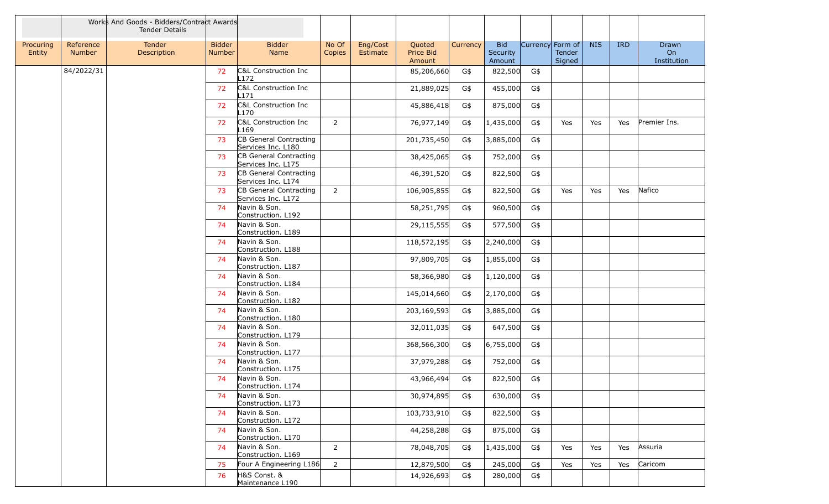|                     |                     | Works And Goods - Bidders/Contract Awards<br><b>Tender Details</b> |                                |                                              |                        |                      |                               |          |                                  |                  |                         |            |            |                                   |
|---------------------|---------------------|--------------------------------------------------------------------|--------------------------------|----------------------------------------------|------------------------|----------------------|-------------------------------|----------|----------------------------------|------------------|-------------------------|------------|------------|-----------------------------------|
| Procuring<br>Entity | Reference<br>Number | Tender<br>Description                                              | <b>Bidder</b><br><b>Number</b> | <b>Bidder</b><br>Name                        | No Of<br><b>Copies</b> | Eng/Cost<br>Estimate | Quoted<br>Price Bid<br>Amount | Currency | <b>Bid</b><br>Security<br>Amount | Currency Form of | <b>Tender</b><br>Signed | <b>NIS</b> | <b>IRD</b> | <b>Drawn</b><br>On<br>Institution |
|                     | 84/2022/31          |                                                                    | 72                             | C&L Construction Inc<br>L <sub>172</sub>     |                        |                      | 85,206,660                    | G\$      | 822,500                          | G\$              |                         |            |            |                                   |
|                     |                     |                                                                    | 72                             | C&L Construction Inc<br>L <sub>171</sub>     |                        |                      | 21,889,025                    | G\$      | 455,000                          | G\$              |                         |            |            |                                   |
|                     |                     |                                                                    | 72                             | C&L Construction Inc<br>L170                 |                        |                      | 45,886,418                    | G\$      | 875,000                          | G\$              |                         |            |            |                                   |
|                     |                     |                                                                    | 72                             | C&L Construction Inc<br>L <sub>169</sub>     | $\overline{2}$         |                      | 76,977,149                    | G\$      | 1,435,000                        | G\$              | Yes                     | Yes        | Yes        | Premier Ins.                      |
|                     |                     |                                                                    | 73                             | CB General Contracting<br>Services Inc. L180 |                        |                      | 201,735,450                   | G\$      | 3,885,000                        | G\$              |                         |            |            |                                   |
|                     |                     |                                                                    | 73                             | CB General Contracting<br>Services Inc. L175 |                        |                      | 38,425,065                    | G\$      | 752,000                          | G\$              |                         |            |            |                                   |
|                     |                     |                                                                    | 73                             | CB General Contracting<br>Services Inc. L174 |                        |                      | 46,391,520                    | G\$      | 822,500                          | G\$              |                         |            |            |                                   |
|                     |                     |                                                                    | 73                             | CB General Contracting<br>Services Inc. L172 | $\overline{2}$         |                      | 106,905,855                   | G\$      | 822,500                          | G\$              | Yes                     | Yes        | Yes        | Nafico                            |
|                     |                     |                                                                    | 74                             | Navin & Son.<br>Construction. L192           |                        |                      | 58,251,795                    | G\$      | 960,500                          | G\$              |                         |            |            |                                   |
|                     |                     |                                                                    | 74                             | Navin & Son.<br>Construction. L189           |                        |                      | 29,115,555                    | G\$      | 577,500                          | G\$              |                         |            |            |                                   |
|                     |                     |                                                                    | 74                             | Navin & Son.<br>Construction. L188           |                        |                      | 118,572,195                   | G\$      | 2,240,000                        | G\$              |                         |            |            |                                   |
|                     |                     |                                                                    | 74                             | Navin & Son.<br>Construction. L187           |                        |                      | 97,809,705                    | G\$      | 1,855,000                        | G\$              |                         |            |            |                                   |
|                     |                     |                                                                    | 74                             | Navin & Son.<br>Construction. L184           |                        |                      | 58,366,980                    | G\$      | 1,120,000                        | G\$              |                         |            |            |                                   |
|                     |                     |                                                                    | 74                             | Navin & Son.<br>Construction. L182           |                        |                      | 145,014,660                   | G\$      | 2,170,000                        | G\$              |                         |            |            |                                   |
|                     |                     |                                                                    | 74                             | Navin & Son.<br>Construction. L180           |                        |                      | 203,169,593                   | G\$      | 3,885,000                        | G\$              |                         |            |            |                                   |
|                     |                     |                                                                    | 74                             | Navin & Son.<br>Construction. L179           |                        |                      | 32,011,035                    | G\$      | 647,500                          | G\$              |                         |            |            |                                   |
|                     |                     |                                                                    | 74                             | Navin & Son.<br>Construction. L177           |                        |                      | 368,566,300                   | G\$      | 6,755,000                        | G\$              |                         |            |            |                                   |
|                     |                     |                                                                    | 74                             | Navin & Son.<br>Construction. L175           |                        |                      | 37,979,288                    | G\$      | 752,000                          | G\$              |                         |            |            |                                   |
|                     |                     |                                                                    | 74                             | Navin & Son.<br>Construction. L174           |                        |                      | 43,966,494                    | G\$      | 822,500                          | G\$              |                         |            |            |                                   |
|                     |                     |                                                                    | 74                             | Navin & Son.<br>Construction. L173           |                        |                      | 30,974,895                    | G\$      | 630,000                          | G\$              |                         |            |            |                                   |
|                     |                     |                                                                    | 74                             | Navin & Son.<br>Construction. L172           |                        |                      | 103,733,910                   | G\$      | 822,500                          | G\$              |                         |            |            |                                   |
|                     |                     |                                                                    | 74                             | Navin & Son.<br>Construction. L170           |                        |                      | 44,258,288                    | G\$      | 875,000                          | G\$              |                         |            |            |                                   |
|                     |                     |                                                                    | 74                             | Navin & Son.<br>Construction. L169           | $\overline{2}$         |                      | 78,048,705                    | G\$      | 1,435,000                        | G\$              | Yes                     | Yes        | Yes        | Assuria                           |
|                     |                     |                                                                    | 75                             | Four A Engineering L186                      | $\overline{2}$         |                      | 12,879,500                    | G\$      | 245,000                          | G\$              | Yes                     | Yes        | Yes        | Caricom                           |
|                     |                     |                                                                    | 76                             | H&S Const. &<br>Maintenance L190             |                        |                      | 14,926,693                    | G\$      | 280,000                          | G\$              |                         |            |            |                                   |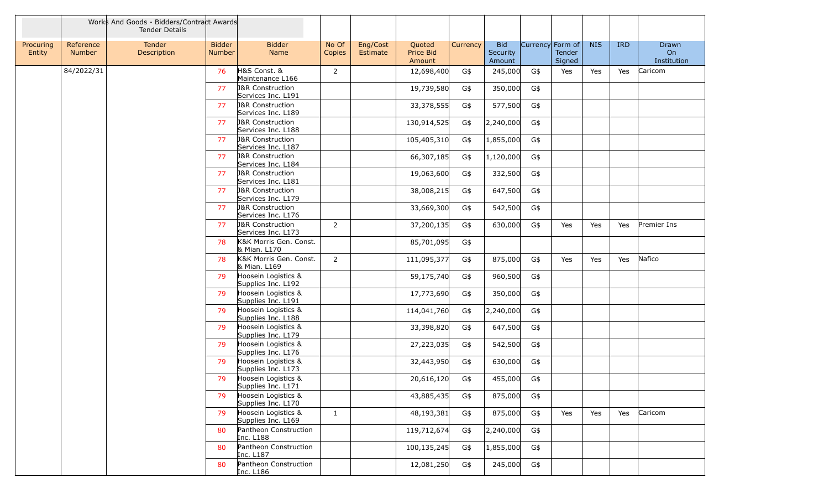|                     |                            | Works And Goods - Bidders/Contract Awards<br><b>Tender Details</b> |                                |                                                   |                 |                      |                               |          |                                  |                  |                  |            |            |                            |
|---------------------|----------------------------|--------------------------------------------------------------------|--------------------------------|---------------------------------------------------|-----------------|----------------------|-------------------------------|----------|----------------------------------|------------------|------------------|------------|------------|----------------------------|
| Procuring<br>Entity | Reference<br><b>Number</b> | Tender<br>Description                                              | <b>Bidder</b><br><b>Number</b> | <b>Bidder</b><br>Name                             | No Of<br>Copies | Eng/Cost<br>Estimate | Quoted<br>Price Bid<br>Amount | Currency | <b>Bid</b><br>Security<br>Amount | Currency Form of | Tender<br>Signed | <b>NIS</b> | <b>IRD</b> | Drawn<br>On<br>Institution |
|                     | 84/2022/31                 |                                                                    | 76                             | H&S Const. &<br>Maintenance L166                  | 2               |                      | 12,698,400                    | G\$      | 245,000                          | G\$              | Yes              | Yes        | Yes        | Caricom                    |
|                     |                            |                                                                    | 77                             | <b>J&amp;R</b> Construction<br>Services Inc. L191 |                 |                      | 19,739,580                    | G\$      | 350,000                          | G\$              |                  |            |            |                            |
|                     |                            |                                                                    | 77                             | <b>J&amp;R</b> Construction<br>Services Inc. L189 |                 |                      | 33,378,555                    | G\$      | 577,500                          | G\$              |                  |            |            |                            |
|                     |                            |                                                                    | 77                             | <b>J&amp;R</b> Construction<br>Services Inc. L188 |                 |                      | 130,914,525                   | G\$      | 2,240,000                        | G\$              |                  |            |            |                            |
|                     |                            |                                                                    | 77                             | <b>J&amp;R</b> Construction<br>Services Inc. L187 |                 |                      | 105,405,310                   | G\$      | 1,855,000                        | G\$              |                  |            |            |                            |
|                     |                            |                                                                    | 77                             | <b>J&amp;R</b> Construction<br>Services Inc. L184 |                 |                      | 66,307,185                    | G\$      | 1,120,000                        | G\$              |                  |            |            |                            |
|                     |                            |                                                                    | 77                             | <b>J&amp;R</b> Construction<br>Services Inc. L181 |                 |                      | 19,063,600                    | G\$      | 332,500                          | G\$              |                  |            |            |                            |
|                     |                            |                                                                    | 77                             | <b>J&amp;R</b> Construction<br>Services Inc. L179 |                 |                      | 38,008,215                    | G\$      | 647,500                          | G\$              |                  |            |            |                            |
|                     |                            |                                                                    | 77                             | <b>J&amp;R</b> Construction<br>Services Inc. L176 |                 |                      | 33,669,300                    | G\$      | 542,500                          | G\$              |                  |            |            |                            |
|                     |                            |                                                                    | 77                             | <b>J&amp;R</b> Construction<br>Services Inc. L173 | 2               |                      | 37,200,135                    | G\$      | 630,000                          | G\$              | Yes              | Yes        | Yes        | Premier Ins                |
|                     |                            |                                                                    | 78                             | K&K Morris Gen. Const.<br>& Mian. L170            |                 |                      | 85,701,095                    | G\$      |                                  |                  |                  |            |            |                            |
|                     |                            |                                                                    | 78                             | K&K Morris Gen. Const.<br>& Mian. L169            | $\overline{2}$  |                      | 111,095,377                   | G\$      | 875,000                          | G\$              | Yes              | Yes        | Yes        | Nafico                     |
|                     |                            |                                                                    | 79                             | Hoosein Logistics &<br>Supplies Inc. L192         |                 |                      | 59,175,740                    | G\$      | 960,500                          | G\$              |                  |            |            |                            |
|                     |                            |                                                                    | 79                             | Hoosein Logistics &<br>Supplies Inc. L191         |                 |                      | 17,773,690                    | G\$      | 350,000                          | G\$              |                  |            |            |                            |
|                     |                            |                                                                    | 79                             | Hoosein Logistics &<br>Supplies Inc. L188         |                 |                      | 114,041,760                   | G\$      | 2,240,000                        | G\$              |                  |            |            |                            |
|                     |                            |                                                                    | 79                             | Hoosein Logistics &<br>Supplies Inc. L179         |                 |                      | 33,398,820                    | G\$      | 647,500                          | G\$              |                  |            |            |                            |
|                     |                            |                                                                    | 79                             | Hoosein Logistics &<br>Supplies Inc. L176         |                 |                      | 27,223,035                    | G\$      | 542,500                          | G\$              |                  |            |            |                            |
|                     |                            |                                                                    | 79                             | Hoosein Logistics &<br>Supplies Inc. L173         |                 |                      | 32,443,950                    | G\$      | 630,000                          | G\$              |                  |            |            |                            |
|                     |                            |                                                                    | 79                             | Hoosein Logistics &<br>Supplies Inc. L171         |                 |                      | 20,616,120                    | G\$      | 455,000                          | G\$              |                  |            |            |                            |
|                     |                            |                                                                    | 79                             | Hoosein Logistics &<br>Supplies Inc. L170         |                 |                      | 43,885,435                    | G\$      | 875,000                          | G\$              |                  |            |            |                            |
|                     |                            |                                                                    | 79                             | Hoosein Logistics &<br>Supplies Inc. L169         | $\mathbf{1}$    |                      | 48,193,381                    | G\$      | 875,000                          | G\$              | Yes              | Yes        | Yes        | Caricom                    |
|                     |                            |                                                                    | 80                             | Pantheon Construction<br>Inc. L188                |                 |                      | 119,712,674                   | G\$      | 2,240,000                        | G\$              |                  |            |            |                            |
|                     |                            |                                                                    | 80                             | Pantheon Construction<br>Inc. L187                |                 |                      | 100,135,245                   | G\$      | 1,855,000                        | G\$              |                  |            |            |                            |
|                     |                            |                                                                    | 80                             | Pantheon Construction<br>Inc. L186                |                 |                      | 12,081,250                    | G\$      | 245,000                          | G\$              |                  |            |            |                            |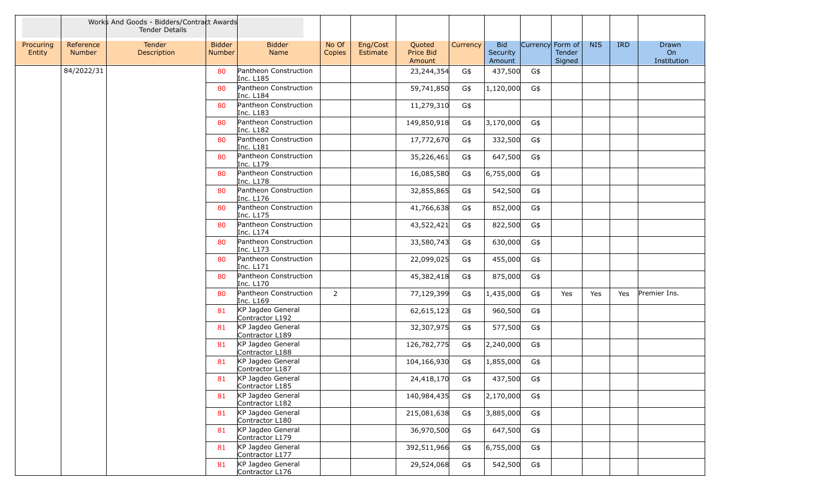|                     |                            | Works And Goods - Bidders/Contract Awards<br><b>Tender Details</b> |                                |                                      |                 |                      |                               |          |                                  |                  |                  |            |            |                            |
|---------------------|----------------------------|--------------------------------------------------------------------|--------------------------------|--------------------------------------|-----------------|----------------------|-------------------------------|----------|----------------------------------|------------------|------------------|------------|------------|----------------------------|
| Procuring<br>Entity | Reference<br><b>Number</b> | Tender<br>Description                                              | <b>Bidder</b><br><b>Number</b> | <b>Bidder</b><br>Name                | No Of<br>Copies | Eng/Cost<br>Estimate | Quoted<br>Price Bid<br>Amount | Currency | <b>Bid</b><br>Security<br>Amount | Currency Form of | Tender<br>Signed | <b>NIS</b> | <b>IRD</b> | Drawn<br>On<br>Institution |
|                     | 84/2022/31                 |                                                                    | 80                             | Pantheon Construction<br>Inc. L185   |                 |                      | 23, 244, 354                  | G\$      | 437,500                          | G\$              |                  |            |            |                            |
|                     |                            |                                                                    | 80                             | Pantheon Construction<br>Inc. L184   |                 |                      | 59,741,850                    | G\$      | 1,120,000                        | G\$              |                  |            |            |                            |
|                     |                            |                                                                    | 80                             | Pantheon Construction<br>Inc. L183   |                 |                      | 11,279,310                    | G\$      |                                  |                  |                  |            |            |                            |
|                     |                            |                                                                    | 80                             | Pantheon Construction<br>Inc. L182   |                 |                      | 149,850,918                   | G\$      | 3,170,000                        | G\$              |                  |            |            |                            |
|                     |                            |                                                                    | 80                             | Pantheon Construction<br>Inc. L181   |                 |                      | 17,772,670                    | G\$      | 332,500                          | G\$              |                  |            |            |                            |
|                     |                            |                                                                    | 80                             | Pantheon Construction<br>Inc. L179   |                 |                      | 35,226,461                    | G\$      | 647,500                          | G\$              |                  |            |            |                            |
|                     |                            |                                                                    | 80                             | Pantheon Construction<br>Inc. L178   |                 |                      | 16,085,580                    | G\$      | 6,755,000                        | G\$              |                  |            |            |                            |
|                     |                            |                                                                    | 80                             | Pantheon Construction<br>Inc. L176   |                 |                      | 32,855,865                    | G\$      | 542,500                          | G\$              |                  |            |            |                            |
|                     |                            |                                                                    | 80                             | Pantheon Construction<br>Inc. L175   |                 |                      | 41,766,638                    | G\$      | 852,000                          | G\$              |                  |            |            |                            |
|                     |                            |                                                                    | 80                             | Pantheon Construction<br>Inc. L174   |                 |                      | 43,522,421                    | G\$      | 822,500                          | G\$              |                  |            |            |                            |
|                     |                            |                                                                    | 80                             | Pantheon Construction<br>Inc. L173   |                 |                      | 33,580,743                    | G\$      | 630,000                          | G\$              |                  |            |            |                            |
|                     |                            |                                                                    | 80                             | Pantheon Construction<br>Inc. L171   |                 |                      | 22,099,025                    | G\$      | 455,000                          | G\$              |                  |            |            |                            |
|                     |                            |                                                                    | 80                             | Pantheon Construction<br>Inc. L170   |                 |                      | 45,382,418                    | G\$      | 875,000                          | G\$              |                  |            |            |                            |
|                     |                            |                                                                    | 80                             | Pantheon Construction<br>Inc. L169   | $\overline{2}$  |                      | 77,129,399                    | G\$      | 1,435,000                        | G\$              | Yes              | Yes        | Yes        | Premier Ins.               |
|                     |                            |                                                                    | 81                             | KP Jagdeo General<br>Contractor L192 |                 |                      | 62,615,123                    | G\$      | 960,500                          | G\$              |                  |            |            |                            |
|                     |                            |                                                                    | 81                             | KP Jagdeo General<br>Contractor L189 |                 |                      | 32,307,975                    | G\$      | 577,500                          | G\$              |                  |            |            |                            |
|                     |                            |                                                                    | 81                             | KP Jagdeo General<br>Contractor L188 |                 |                      | 126,782,775                   | G\$      | 2,240,000                        | G\$              |                  |            |            |                            |
|                     |                            |                                                                    | 81                             | KP Jagdeo General<br>Contractor L187 |                 |                      | 104,166,930                   | G\$      | 1,855,000                        | G\$              |                  |            |            |                            |
|                     |                            |                                                                    | 81                             | KP Jagdeo General<br>Contractor L185 |                 |                      | 24,418,170                    | G\$      | 437,500                          | G\$              |                  |            |            |                            |
|                     |                            |                                                                    | 81                             | KP Jagdeo General<br>Contractor L182 |                 |                      | 140,984,435                   | G\$      | 2,170,000                        | G\$              |                  |            |            |                            |
|                     |                            |                                                                    | 81                             | KP Jagdeo General<br>Contractor L180 |                 |                      | 215,081,638                   | G\$      | 3,885,000                        | G\$              |                  |            |            |                            |
|                     |                            |                                                                    | 81                             | KP Jagdeo General<br>Contractor L179 |                 |                      | 36,970,500                    | G\$      | 647,500                          | G\$              |                  |            |            |                            |
|                     |                            |                                                                    | 81                             | KP Jagdeo General<br>Contractor L177 |                 |                      | 392,511,966                   | G\$      | 6,755,000                        | G\$              |                  |            |            |                            |
|                     |                            |                                                                    | 81                             | KP Jagdeo General<br>Contractor L176 |                 |                      | 29,524,068                    | G\$      | 542,500                          | G\$              |                  |            |            |                            |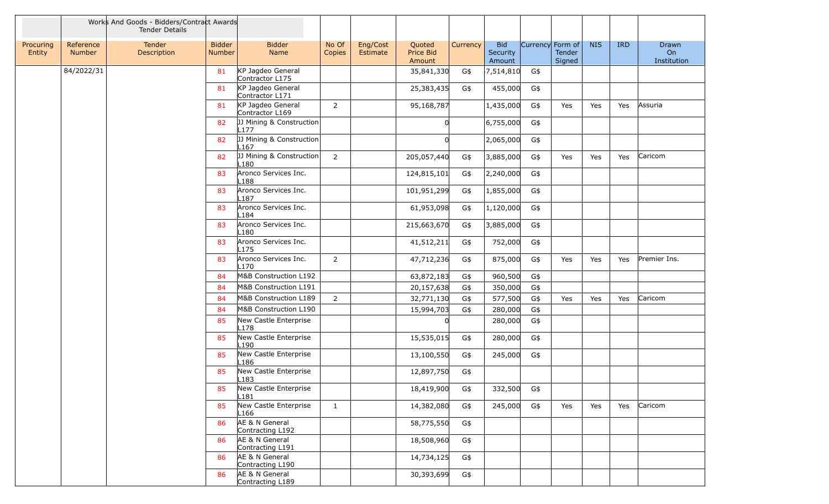|                     |                            | Works And Goods - Bidders/Contract Awards<br><b>Tender Details</b> |                                |                                              |                 |                                                       |          |                                  |                  |                  |            |            |                            |
|---------------------|----------------------------|--------------------------------------------------------------------|--------------------------------|----------------------------------------------|-----------------|-------------------------------------------------------|----------|----------------------------------|------------------|------------------|------------|------------|----------------------------|
| Procuring<br>Entity | Reference<br><b>Number</b> | Tender<br>Description                                              | <b>Bidder</b><br><b>Number</b> | <b>Bidder</b><br>Name                        | No Of<br>Copies | Eng/Cost<br>Quoted<br>Price Bid<br>Estimate<br>Amount | Currency | <b>Bid</b><br>Security<br>Amount | Currency Form of | Tender<br>Signed | <b>NIS</b> | <b>IRD</b> | Drawn<br>On<br>Institution |
|                     | 84/2022/31                 |                                                                    | 81                             | KP Jagdeo General<br>Contractor L175         |                 | 35,841,330                                            | G\$      | 7,514,810                        | G\$              |                  |            |            |                            |
|                     |                            |                                                                    | 81                             | KP Jagdeo General<br>Contractor L171         |                 | 25,383,435                                            | G\$      | 455,000                          | G\$              |                  |            |            |                            |
|                     |                            |                                                                    | 81                             | KP Jagdeo General<br>Contractor L169         | $\overline{2}$  | 95,168,787                                            |          | 1,435,000                        | G\$              | Yes              | Yes        | Yes        | Assuria                    |
|                     |                            |                                                                    | 82                             | JJ Mining & Construction<br>L177             |                 |                                                       |          | 6,755,000                        | G\$              |                  |            |            |                            |
|                     |                            |                                                                    | 82                             | JJ Mining & Construction<br>L <sub>167</sub> |                 |                                                       |          | 2,065,000                        | G\$              |                  |            |            |                            |
|                     |                            |                                                                    | 82                             | JJ Mining & Construction<br>L180             | $\overline{2}$  | 205,057,440                                           | G\$      | 3,885,000                        | G\$              | Yes              | Yes        | Yes        | Caricom                    |
|                     |                            |                                                                    | 83                             | Aronco Services Inc.<br>L188                 |                 | 124,815,101                                           | G\$      | 2,240,000                        | G\$              |                  |            |            |                            |
|                     |                            |                                                                    | 83                             | Aronco Services Inc.<br>L187                 |                 | 101,951,299                                           | G\$      | 1,855,000                        | G\$              |                  |            |            |                            |
|                     |                            |                                                                    | 83                             | Aronco Services Inc.<br>L184                 |                 | 61,953,098                                            | G\$      | 1,120,000                        | G\$              |                  |            |            |                            |
|                     |                            |                                                                    | 83                             | Aronco Services Inc.<br>L180                 |                 | 215,663,670                                           | G\$      | 3,885,000                        | G\$              |                  |            |            |                            |
|                     |                            |                                                                    | 83                             | Aronco Services Inc.<br>L <sub>175</sub>     |                 | 41,512,211                                            | G\$      | 752,000                          | G\$              |                  |            |            |                            |
|                     |                            |                                                                    | 83                             | Aronco Services Inc.<br>L170                 | $\overline{2}$  | 47,712,236                                            | G\$      | 875,000                          | G\$              | Yes              | Yes        | Yes        | Premier Ins.               |
|                     |                            |                                                                    | 84                             | M&B Construction L192                        |                 | 63,872,183                                            | G\$      | 960,500                          | G\$              |                  |            |            |                            |
|                     |                            |                                                                    | 84                             | M&B Construction L191                        |                 | 20,157,638                                            | G\$      | 350,000                          | G\$              |                  |            |            |                            |
|                     |                            |                                                                    | 84                             | M&B Construction L189                        | $\overline{2}$  | 32,771,130                                            | G\$      | 577,500                          | G\$              | Yes              | Yes        | Yes        | Caricom                    |
|                     |                            |                                                                    | 84                             | M&B Construction L190                        |                 | 15,994,703                                            | G\$      | 280,000                          | G\$              |                  |            |            |                            |
|                     |                            |                                                                    | 85                             | New Castle Enterprise<br>L178                |                 | $\Omega$                                              |          | 280,000                          | G\$              |                  |            |            |                            |
|                     |                            |                                                                    | 85                             | New Castle Enterprise<br>L190                |                 | 15,535,015                                            | G\$      | 280,000                          | G\$              |                  |            |            |                            |
|                     |                            |                                                                    | 85                             | New Castle Enterprise<br>L <sub>186</sub>    |                 | 13,100,550                                            | G\$      | 245,000                          | G\$              |                  |            |            |                            |
|                     |                            |                                                                    | 85                             | New Castle Enterprise<br>L183                |                 | 12,897,750                                            | G\$      |                                  |                  |                  |            |            |                            |
|                     |                            |                                                                    | 85                             | New Castle Enterprise<br>L181                |                 | 18,419,900                                            | G\$      | 332,500                          | G\$              |                  |            |            |                            |
|                     |                            |                                                                    | 85                             | New Castle Enterprise<br>L166                | $\mathbf{1}$    | 14,382,080                                            | G\$      | 245,000                          | G\$              | Yes              | Yes        | Yes        | Caricom                    |
|                     |                            |                                                                    | 86                             | AE & N General<br>Contracting L192           |                 | 58,775,550                                            | G\$      |                                  |                  |                  |            |            |                            |
|                     |                            |                                                                    | 86                             | AE & N General<br>Contracting L191           |                 | 18,508,960                                            | G\$      |                                  |                  |                  |            |            |                            |
|                     |                            |                                                                    | 86                             | AE & N General<br>Contracting L190           |                 | 14,734,125                                            | G\$      |                                  |                  |                  |            |            |                            |
|                     |                            |                                                                    | 86                             | AE & N General<br>Contracting L189           |                 | 30,393,699                                            | G\$      |                                  |                  |                  |            |            |                            |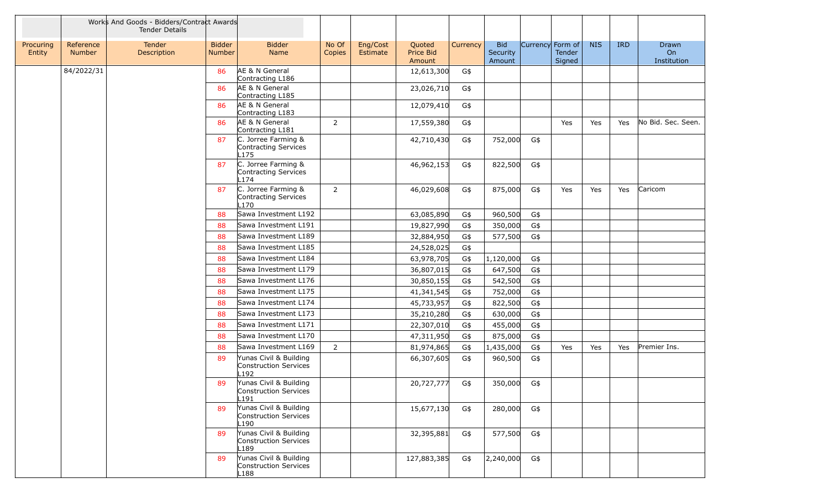|                     |                            | Works And Goods - Bidders/Contract Awards<br><b>Tender Details</b> |                                |                                                               |                 |                      |                               |          |                                  |                  |                  |            |            |                            |
|---------------------|----------------------------|--------------------------------------------------------------------|--------------------------------|---------------------------------------------------------------|-----------------|----------------------|-------------------------------|----------|----------------------------------|------------------|------------------|------------|------------|----------------------------|
| Procuring<br>Entity | Reference<br><b>Number</b> | Tender<br>Description                                              | <b>Bidder</b><br><b>Number</b> | <b>Bidder</b><br>Name                                         | No Of<br>Copies | Eng/Cost<br>Estimate | Quoted<br>Price Bid<br>Amount | Currency | <b>Bid</b><br>Security<br>Amount | Currency Form of | Tender<br>Signed | <b>NIS</b> | <b>IRD</b> | Drawn<br>On<br>Institution |
|                     | 84/2022/31                 |                                                                    | 86                             | AE & N General<br>Contracting L186                            |                 |                      | 12,613,300                    | G\$      |                                  |                  |                  |            |            |                            |
|                     |                            |                                                                    | 86                             | AE & N General<br>Contracting L185                            |                 |                      | 23,026,710                    | G\$      |                                  |                  |                  |            |            |                            |
|                     |                            |                                                                    | 86                             | AE & N General<br>Contracting L183                            |                 |                      | 12,079,410                    | G\$      |                                  |                  |                  |            |            |                            |
|                     |                            |                                                                    | 86                             | AE & N General<br>Contracting L181                            | $\overline{2}$  |                      | 17,559,380                    | G\$      |                                  |                  | Yes              | Yes        | Yes        | No Bid. Sec. Seen.         |
|                     |                            |                                                                    | 87                             | C. Jorree Farming &<br><b>Contracting Services</b><br>L175    |                 |                      | 42,710,430                    | G\$      | 752,000                          | G\$              |                  |            |            |                            |
|                     |                            |                                                                    | 87                             | C. Jorree Farming &<br><b>Contracting Services</b><br>174     |                 |                      | 46,962,153                    | G\$      | 822,500                          | G\$              |                  |            |            |                            |
|                     |                            |                                                                    | 87                             | C. Jorree Farming &<br>Contracting Services<br>170            | 2               |                      | 46,029,608                    | G\$      | 875,000                          | G\$              | Yes              | Yes        | Yes        | Caricom                    |
|                     |                            |                                                                    | 88                             | Sawa Investment L192                                          |                 |                      | 63,085,890                    | G\$      | 960,500                          | G\$              |                  |            |            |                            |
|                     |                            |                                                                    | 88                             | Sawa Investment L191                                          |                 |                      | 19,827,990                    | G\$      | 350,000                          | G\$              |                  |            |            |                            |
|                     |                            |                                                                    | 88                             | Sawa Investment L189                                          |                 |                      | 32,884,950                    | G\$      | 577,500                          | G\$              |                  |            |            |                            |
|                     |                            |                                                                    | 88                             | Sawa Investment L185                                          |                 |                      | 24,528,025                    | G\$      |                                  |                  |                  |            |            |                            |
|                     |                            |                                                                    | 88                             | Sawa Investment L184                                          |                 |                      | 63,978,705                    | G\$      | 1,120,000                        | G\$              |                  |            |            |                            |
|                     |                            |                                                                    | 88                             | Sawa Investment L179                                          |                 |                      | 36,807,015                    | G\$      | 647,500                          | G\$              |                  |            |            |                            |
|                     |                            |                                                                    | 88                             | Sawa Investment L176                                          |                 |                      | 30,850,155                    | G\$      | 542,500                          | G\$              |                  |            |            |                            |
|                     |                            |                                                                    | 88                             | Sawa Investment L175                                          |                 |                      | 41,341,545                    | G\$      | 752,000                          | G\$              |                  |            |            |                            |
|                     |                            |                                                                    | 88                             | Sawa Investment L174                                          |                 |                      | 45,733,957                    | G\$      | 822,500                          | G\$              |                  |            |            |                            |
|                     |                            |                                                                    | 88                             | Sawa Investment L173                                          |                 |                      | 35,210,280                    | G\$      | 630,000                          | G\$              |                  |            |            |                            |
|                     |                            |                                                                    | 88                             | Sawa Investment L171                                          |                 |                      | 22,307,010                    | G\$      | 455,000                          | G\$              |                  |            |            |                            |
|                     |                            |                                                                    | 88                             | Sawa Investment L170                                          |                 |                      | 47,311,950                    | G\$      | 875,000                          | G\$              |                  |            |            |                            |
|                     |                            |                                                                    | 88                             | Sawa Investment L169                                          | $\overline{2}$  |                      | 81,974,865                    | G\$      | 1,435,000                        | G\$              | Yes              | Yes        | Yes        | Premier Ins.               |
|                     |                            |                                                                    | 89                             | Yunas Civil & Building<br><b>Construction Services</b><br>192 |                 |                      | 66,307,605                    | G\$      | 960,500                          | G\$              |                  |            |            |                            |
|                     |                            |                                                                    | 89                             | Yunas Civil & Building<br>Construction Services<br>.191       |                 |                      | 20,727,777                    | G\$      | 350,000                          | G\$              |                  |            |            |                            |
|                     |                            |                                                                    | 89                             | Yunas Civil & Building<br>Construction Services<br>∟190       |                 |                      | 15,677,130                    | G\$      | 280,000                          | G\$              |                  |            |            |                            |
|                     |                            |                                                                    | 89                             | Yunas Civil & Building<br>Construction Services<br>L189       |                 |                      | 32,395,881                    | G\$      | 577,500                          | G\$              |                  |            |            |                            |
|                     |                            |                                                                    | 89                             | Yunas Civil & Building<br>Construction Services<br>188.       |                 |                      | 127,883,385                   | G\$      | 2,240,000                        | G\$              |                  |            |            |                            |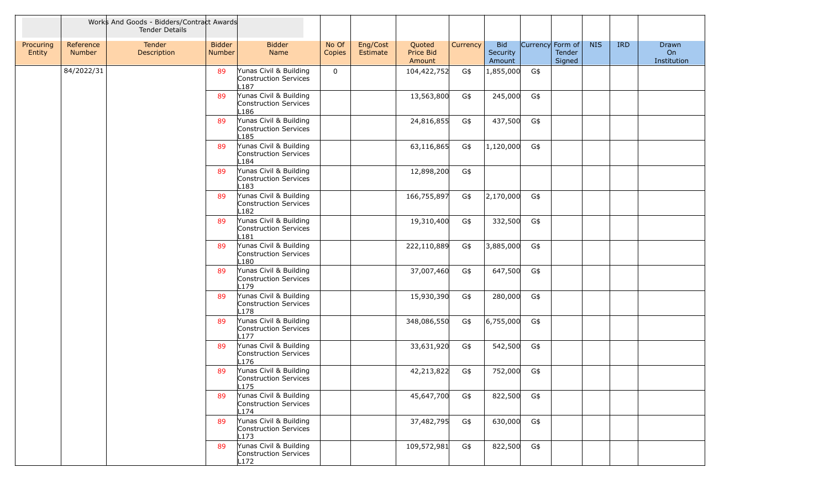|                     |                            | Works And Goods - Bidders/Contract Awards<br><b>Tender Details</b> |                         |                                                                     |                 |                      |                               |          |                                  |                  |                  |            |            |                            |
|---------------------|----------------------------|--------------------------------------------------------------------|-------------------------|---------------------------------------------------------------------|-----------------|----------------------|-------------------------------|----------|----------------------------------|------------------|------------------|------------|------------|----------------------------|
| Procuring<br>Entity | Reference<br><b>Number</b> | Tender<br>Description                                              | <b>Bidder</b><br>Number | <b>Bidder</b><br>Name                                               | No Of<br>Copies | Eng/Cost<br>Estimate | Quoted<br>Price Bid<br>Amount | Currency | <b>Bid</b><br>Security<br>Amount | Currency Form of | Tender<br>Signed | <b>NIS</b> | <b>IRD</b> | Drawn<br>On<br>Institution |
|                     | 84/2022/31                 |                                                                    | 89                      | Yunas Civil & Building<br>Construction Services<br>L187             | $\mathbf 0$     |                      | 104,422,752                   | G\$      | 1,855,000                        | G\$              |                  |            |            |                            |
|                     |                            |                                                                    | 89                      | Yunas Civil & Building<br>Construction Services<br>-186             |                 |                      | 13,563,800                    | G\$      | 245,000                          | G\$              |                  |            |            |                            |
|                     |                            |                                                                    | 89                      | Yunas Civil & Building<br>Construction Services<br>L185             |                 |                      | 24,816,855                    | G\$      | 437,500                          | G\$              |                  |            |            |                            |
|                     |                            |                                                                    | 89                      | Yunas Civil & Building<br>Construction Services<br>L184             |                 |                      | 63,116,865                    | G\$      | 1,120,000                        | G\$              |                  |            |            |                            |
|                     |                            |                                                                    | 89                      | Yunas Civil & Building<br>Construction Services<br>L183             |                 |                      | 12,898,200                    | G\$      |                                  |                  |                  |            |            |                            |
|                     |                            |                                                                    | 89                      | Yunas Civil & Building<br>Construction Services<br>L182             |                 |                      | 166,755,897                   | G\$      | 2,170,000                        | G\$              |                  |            |            |                            |
|                     |                            |                                                                    | 89                      | Yunas Civil & Building<br>Construction Services<br>L181             |                 |                      | 19,310,400                    | G\$      | 332,500                          | G\$              |                  |            |            |                            |
|                     |                            |                                                                    | 89                      | Yunas Civil & Building<br>Construction Services<br>L180             |                 |                      | 222,110,889                   | G\$      | 3,885,000                        | G\$              |                  |            |            |                            |
|                     |                            |                                                                    | 89                      | Yunas Civil & Building<br>Construction Services<br>L <sub>179</sub> |                 |                      | 37,007,460                    | G\$      | 647,500                          | G\$              |                  |            |            |                            |
|                     |                            |                                                                    | 89                      | Yunas Civil & Building<br>Construction Services<br>L178             |                 |                      | 15,930,390                    | G\$      | 280,000                          | G\$              |                  |            |            |                            |
|                     |                            |                                                                    | 89                      | Yunas Civil & Building<br>Construction Services<br>L177             |                 |                      | 348,086,550                   | G\$      | 6,755,000                        | G\$              |                  |            |            |                            |
|                     |                            |                                                                    | 89                      | Yunas Civil & Building<br>Construction Services<br>L176             |                 |                      | 33,631,920                    | G\$      | 542,500                          | G\$              |                  |            |            |                            |
|                     |                            |                                                                    | 89                      | Yunas Civil & Building<br>Construction Services<br>L <sub>175</sub> |                 |                      | 42,213,822                    | G\$      | 752,000                          | G\$              |                  |            |            |                            |
|                     |                            |                                                                    | 89                      | Yunas Civil & Building<br>Construction Services<br>L174             |                 |                      | 45,647,700                    | G\$      | 822,500                          | G\$              |                  |            |            |                            |
|                     |                            |                                                                    | 89                      | Yunas Civil & Building<br>Construction Services<br>L173             |                 |                      | 37,482,795                    | G\$      | 630,000                          | G\$              |                  |            |            |                            |
|                     |                            |                                                                    | 89                      | Yunas Civil & Building<br>Construction Services<br>L172             |                 |                      | 109,572,981                   | G\$      | 822,500                          | G\$              |                  |            |            |                            |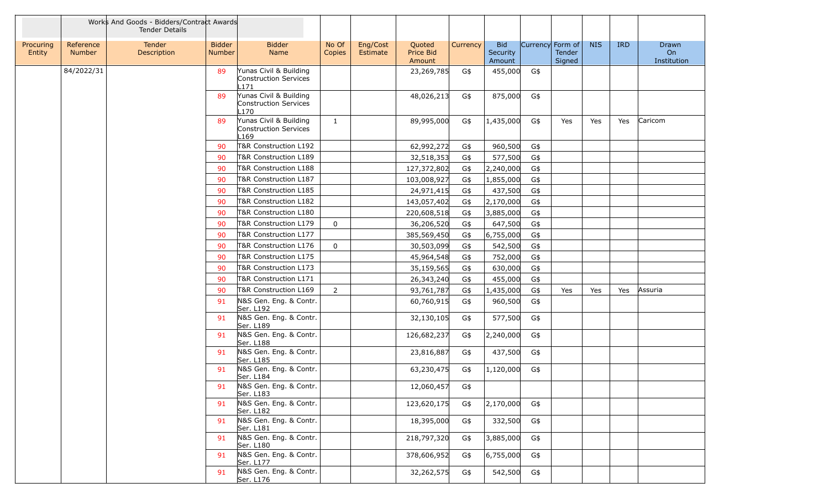|                     |                     | Works And Goods - Bidders/Contract Awards<br><b>Tender Details</b> |                                |                                                               |                 |                      |                               |            |                                  |                  |                         |            |            |                            |
|---------------------|---------------------|--------------------------------------------------------------------|--------------------------------|---------------------------------------------------------------|-----------------|----------------------|-------------------------------|------------|----------------------------------|------------------|-------------------------|------------|------------|----------------------------|
| Procuring<br>Entity | Reference<br>Number | Tender<br>Description                                              | <b>Bidder</b><br><b>Number</b> | <b>Bidder</b><br>Name                                         | No Of<br>Copies | Eng/Cost<br>Estimate | Quoted<br>Price Bid<br>Amount | Currency   | <b>Bid</b><br>Security<br>Amount | Currency Form of | <b>Tender</b><br>Signed | <b>NIS</b> | <b>IRD</b> | Drawn<br>On<br>Institution |
|                     | 84/2022/31          |                                                                    | 89                             | Yunas Civil & Building<br>Construction Services<br>-171       |                 |                      | 23,269,785                    | G\$        | 455,000                          | G\$              |                         |            |            |                            |
|                     |                     |                                                                    | 89                             | Yunas Civil & Building<br>Construction Services<br>-170       |                 |                      | 48,026,213                    | G\$        | 875,000                          | G\$              |                         |            |            |                            |
|                     |                     |                                                                    | 89                             | Yunas Civil & Building<br>Construction Services<br>-169       | $\mathbf{1}$    |                      | 89,995,000                    | G\$        | 1,435,000                        | G\$              | Yes                     | Yes        | Yes        | Caricom                    |
|                     |                     |                                                                    | 90                             | T&R Construction L192                                         |                 |                      | 62,992,272                    | G\$        | 960,500                          | G\$              |                         |            |            |                            |
|                     |                     |                                                                    | 90                             | T&R Construction L189                                         |                 |                      | 32,518,353                    | G\$        | 577,500                          | G\$              |                         |            |            |                            |
|                     |                     |                                                                    | 90                             | T&R Construction L188                                         |                 |                      | 127,372,802                   | G\$        | 2,240,000                        | G\$              |                         |            |            |                            |
|                     |                     |                                                                    | 90                             | T&R Construction L187                                         |                 |                      | 103,008,927                   | G\$        | 1,855,000                        | G\$              |                         |            |            |                            |
|                     |                     |                                                                    | 90                             | T&R Construction L185                                         |                 |                      | 24,971,415                    | G\$        | 437,500                          | G\$              |                         |            |            |                            |
|                     |                     |                                                                    | 90                             | T&R Construction L182                                         |                 |                      | 143,057,402                   | G\$        | 2,170,000                        | G\$              |                         |            |            |                            |
|                     |                     |                                                                    | 90                             | T&R Construction L180                                         |                 |                      | 220,608,518                   | G\$        | 3,885,000                        | G\$              |                         |            |            |                            |
|                     |                     |                                                                    | 90                             | T&R Construction L179                                         | 0               |                      | 36,206,520                    | G\$        | 647,500                          | G\$              |                         |            |            |                            |
|                     |                     |                                                                    | 90                             | T&R Construction L177                                         |                 |                      | 385,569,450                   | G\$        | 6,755,000                        | G\$              |                         |            |            |                            |
|                     |                     |                                                                    | 90                             | T&R Construction L176                                         | $\mathbf 0$     |                      | 30,503,099                    | G\$        | 542,500                          | G\$              |                         |            |            |                            |
|                     |                     |                                                                    | 90                             | T&R Construction L175                                         |                 |                      | 45,964,548                    | G\$        | 752,000                          | G\$              |                         |            |            |                            |
|                     |                     |                                                                    | 90                             | T&R Construction L173                                         |                 |                      | 35,159,565                    | G\$        | 630,000                          | G\$              |                         |            |            |                            |
|                     |                     |                                                                    | 90                             | T&R Construction L171                                         |                 |                      | 26,343,240                    | G\$        | 455,000                          | G\$              |                         |            |            |                            |
|                     |                     |                                                                    | 90                             | T&R Construction L169                                         | $\overline{2}$  |                      | 93,761,787                    | G\$        | 1,435,000                        | G\$              | Yes                     | Yes        | Yes        | Assuria                    |
|                     |                     |                                                                    | 91                             | N&S Gen. Eng. & Contr.<br>Ser. L192                           |                 |                      | 60,760,915                    | G\$        | 960,500                          | G\$              |                         |            |            |                            |
|                     |                     |                                                                    | 91                             | N&S Gen. Eng. & Contr.<br>Ser. L189                           |                 |                      | 32,130,105                    | G\$        | 577,500                          | G\$              |                         |            |            |                            |
|                     |                     |                                                                    | 91                             | N&S Gen. Eng. & Contr.<br>Ser. L188                           |                 |                      | 126,682,237                   | G\$        | 2,240,000                        | G\$              |                         |            |            |                            |
|                     |                     |                                                                    | 91                             | N&S Gen. Eng. & Contr.<br>Ser. L185                           |                 |                      | 23,816,887                    | G\$        | 437,500                          | G\$              |                         |            |            |                            |
|                     |                     |                                                                    | 91<br>91                       | N&S Gen. Eng. & Contr.<br>Ser. L184<br>N&S Gen. Eng. & Contr. |                 |                      | 63,230,475<br>12,060,457      | G\$<br>G\$ | 1,120,000                        | G\$              |                         |            |            |                            |
|                     |                     |                                                                    |                                | Ser. L183                                                     |                 |                      |                               |            |                                  |                  |                         |            |            |                            |
|                     |                     |                                                                    | 91                             | N&S Gen. Eng. & Contr.<br>Ser. L182                           |                 |                      | 123,620,175                   | G\$        | 2,170,000                        | G\$              |                         |            |            |                            |
|                     |                     |                                                                    | 91                             | N&S Gen. Eng. & Contr.<br>Ser. L181                           |                 |                      | 18,395,000                    | G\$        | 332,500                          | G\$              |                         |            |            |                            |
|                     |                     |                                                                    | 91                             | N&S Gen. Eng. & Contr.<br>Ser. L180                           |                 |                      | 218,797,320                   | G\$        | 3,885,000                        | G\$              |                         |            |            |                            |
|                     |                     |                                                                    | 91                             | N&S Gen. Eng. & Contr.<br>Ser. L177                           |                 |                      | 378,606,952                   | G\$        | 6,755,000                        | G\$              |                         |            |            |                            |
|                     |                     |                                                                    | 91                             | N&S Gen. Eng. & Contr.<br>Ser. L176                           |                 |                      | 32,262,575                    | G\$        | 542,500                          | G\$              |                         |            |            |                            |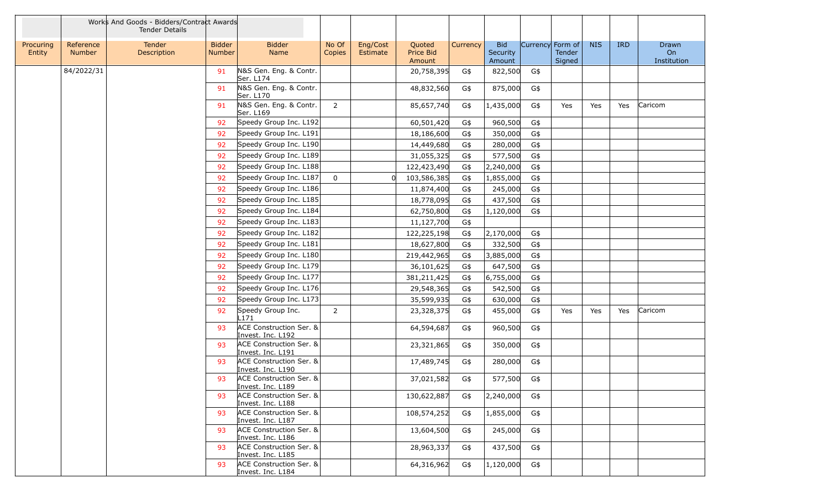|                     |                            | Works And Goods - Bidders/Contract Awards<br><b>Tender Details</b> |                                |                                                         |                 |                                                       |          |                                  |                  |                  |            |            |                            |
|---------------------|----------------------------|--------------------------------------------------------------------|--------------------------------|---------------------------------------------------------|-----------------|-------------------------------------------------------|----------|----------------------------------|------------------|------------------|------------|------------|----------------------------|
| Procuring<br>Entity | Reference<br><b>Number</b> | Tender<br>Description                                              | <b>Bidder</b><br><b>Number</b> | <b>Bidder</b><br>Name                                   | No Of<br>Copies | Eng/Cost<br>Quoted<br>Price Bid<br>Estimate<br>Amount | Currency | <b>Bid</b><br>Security<br>Amount | Currency Form of | Tender<br>Signed | <b>NIS</b> | <b>IRD</b> | Drawn<br>On<br>Institution |
|                     | 84/2022/31                 |                                                                    | 91                             | N&S Gen. Eng. & Contr.<br>Ser. L174                     |                 | 20,758,395                                            | G\$      | 822,500                          | G\$              |                  |            |            |                            |
|                     |                            |                                                                    | 91                             | N&S Gen. Eng. & Contr.<br>Ser. L170                     |                 | 48,832,560                                            | G\$      | 875,000                          | G\$              |                  |            |            |                            |
|                     |                            |                                                                    | 91                             | N&S Gen. Eng. & Contr.<br>Ser. L169                     | $\overline{2}$  | 85,657,740                                            | G\$      | 1,435,000                        | G\$              | Yes              | Yes        | Yes        | Caricom                    |
|                     |                            |                                                                    | 92                             | Speedy Group Inc. L192                                  |                 | 60,501,420                                            | G\$      | 960,500                          | G\$              |                  |            |            |                            |
|                     |                            |                                                                    | 92                             | Speedy Group Inc. L191                                  |                 | 18,186,600                                            | G\$      | 350,000                          | G\$              |                  |            |            |                            |
|                     |                            |                                                                    | 92                             | Speedy Group Inc. L190                                  |                 | 14,449,680                                            | G\$      | 280,000                          | G\$              |                  |            |            |                            |
|                     |                            |                                                                    | 92                             | Speedy Group Inc. L189                                  |                 | 31,055,325                                            | G\$      | 577,500                          | G\$              |                  |            |            |                            |
|                     |                            |                                                                    | 92                             | Speedy Group Inc. L188                                  |                 | 122,423,490                                           | G\$      | 2,240,000                        | G\$              |                  |            |            |                            |
|                     |                            |                                                                    | 92                             | Speedy Group Inc. L187                                  | $\mathbf 0$     | 103,586,385                                           | G\$      | 1,855,000                        | G\$              |                  |            |            |                            |
|                     |                            |                                                                    | 92                             | Speedy Group Inc. L186                                  |                 | 11,874,400                                            | G\$      | 245,000                          | G\$              |                  |            |            |                            |
|                     |                            |                                                                    | 92                             | Speedy Group Inc. L185                                  |                 | 18,778,095                                            | G\$      | 437,500                          | G\$              |                  |            |            |                            |
|                     |                            |                                                                    | 92                             | Speedy Group Inc. L184                                  |                 | 62,750,800                                            | G\$      | 1,120,000                        | G\$              |                  |            |            |                            |
|                     |                            |                                                                    | 92                             | Speedy Group Inc. L183                                  |                 | 11,127,700                                            | G\$      |                                  |                  |                  |            |            |                            |
|                     |                            |                                                                    | 92                             | Speedy Group Inc. L182                                  |                 | 122,225,198                                           | G\$      | 2,170,000                        | G\$              |                  |            |            |                            |
|                     |                            |                                                                    | 92                             | Speedy Group Inc. L181                                  |                 | 18,627,800                                            | G\$      | 332,500                          | G\$              |                  |            |            |                            |
|                     |                            |                                                                    | 92                             | Speedy Group Inc. L180                                  |                 | 219,442,965                                           | G\$      | 3,885,000                        | G\$              |                  |            |            |                            |
|                     |                            |                                                                    | 92                             | Speedy Group Inc. L179                                  |                 | 36,101,625                                            | G\$      | 647,500                          | G\$              |                  |            |            |                            |
|                     |                            |                                                                    | 92                             | Speedy Group Inc. L177                                  |                 | 381,211,425                                           | G\$      | 6,755,000                        | G\$              |                  |            |            |                            |
|                     |                            |                                                                    | 92                             | Speedy Group Inc. L176                                  |                 | 29,548,365                                            | G\$      | 542,500                          | G\$              |                  |            |            |                            |
|                     |                            |                                                                    | 92                             | Speedy Group Inc. L173                                  |                 | 35,599,935                                            | G\$      | 630,000                          | G\$              |                  |            |            |                            |
|                     |                            |                                                                    | 92                             | Speedy Group Inc.<br>L171                               | $\overline{2}$  | 23,328,375                                            | G\$      | 455,000                          | G\$              | Yes              | Yes        | Yes        | Caricom                    |
|                     |                            |                                                                    | 93                             | <b>ACE Construction Ser. &amp;</b><br>Invest. Inc. L192 |                 | 64,594,687                                            | G\$      | 960,500                          | G\$              |                  |            |            |                            |
|                     |                            |                                                                    | -93                            | ACE Construction Ser. &<br>Invest. Inc. L191            |                 | 23,321,865                                            | G\$      | 350,000                          | G\$              |                  |            |            |                            |
|                     |                            |                                                                    | 93                             | ACE Construction Ser. &<br>Invest. Inc. L190            |                 | 17,489,745                                            | G\$      | 280,000                          | G\$              |                  |            |            |                            |
|                     |                            |                                                                    | 93                             | ACE Construction Ser. &<br> Invest. Inc. L189           |                 | 37,021,582                                            | G\$      | 577,500                          | G\$              |                  |            |            |                            |
|                     |                            |                                                                    | 93                             | ACE Construction Ser. &<br>Invest. Inc. L188            |                 | 130,622,887                                           | G\$      | 2,240,000                        | G\$              |                  |            |            |                            |
|                     |                            |                                                                    | 93                             | ACE Construction Ser. &<br>Invest. Inc. L187            |                 | 108,574,252                                           | G\$      | 1,855,000                        | G\$              |                  |            |            |                            |
|                     |                            |                                                                    | 93                             | ACE Construction Ser. &<br>Invest. Inc. L186            |                 | 13,604,500                                            | G\$      | 245,000                          | G\$              |                  |            |            |                            |
|                     |                            |                                                                    | 93                             | ACE Construction Ser. &<br>Invest. Inc. L185            |                 | 28,963,337                                            | G\$      | 437,500                          | G\$              |                  |            |            |                            |
|                     |                            |                                                                    | 93                             | ACE Construction Ser. &<br>Invest. Inc. L184            |                 | 64,316,962                                            | G\$      | 1,120,000                        | G\$              |                  |            |            |                            |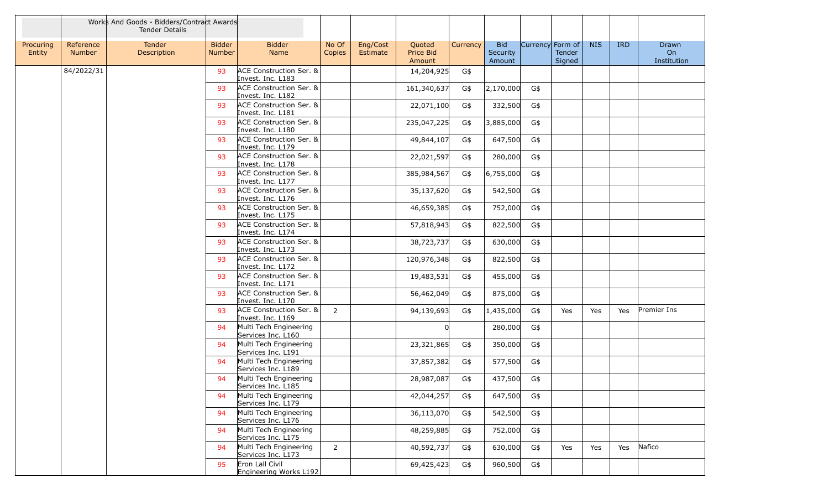|                     |                            | Works And Goods - Bidders/Contract Awards<br><b>Tender Details</b> |                                |                                              |                 |                                                       |          |                                  |                  |                  |            |            |                            |
|---------------------|----------------------------|--------------------------------------------------------------------|--------------------------------|----------------------------------------------|-----------------|-------------------------------------------------------|----------|----------------------------------|------------------|------------------|------------|------------|----------------------------|
| Procuring<br>Entity | Reference<br><b>Number</b> | Tender<br>Description                                              | <b>Bidder</b><br><b>Number</b> | <b>Bidder</b><br>Name                        | No Of<br>Copies | Eng/Cost<br>Quoted<br>Price Bid<br>Estimate<br>Amount | Currency | <b>Bid</b><br>Security<br>Amount | Currency Form of | Tender<br>Signed | <b>NIS</b> | <b>IRD</b> | Drawn<br>On<br>Institution |
|                     | 84/2022/31                 |                                                                    | 93                             | ACE Construction Ser. &<br>Invest. Inc. L183 |                 | 14,204,925                                            | G\$      |                                  |                  |                  |            |            |                            |
|                     |                            |                                                                    | 93                             | ACE Construction Ser. &<br>Invest. Inc. L182 |                 | 161,340,637                                           | G\$      | 2,170,000                        | G\$              |                  |            |            |                            |
|                     |                            |                                                                    | 93                             | ACE Construction Ser. &<br>Invest. Inc. L181 |                 | 22,071,100                                            | G\$      | 332,500                          | G\$              |                  |            |            |                            |
|                     |                            |                                                                    | 93                             | ACE Construction Ser. &<br>Invest. Inc. L180 |                 | 235,047,225                                           | G\$      | 3,885,000                        | G\$              |                  |            |            |                            |
|                     |                            |                                                                    | 93                             | ACE Construction Ser. &<br>Invest. Inc. L179 |                 | 49,844,107                                            | G\$      | 647,500                          | G\$              |                  |            |            |                            |
|                     |                            |                                                                    | 93                             | ACE Construction Ser. &<br>Invest. Inc. L178 |                 | 22,021,597                                            | G\$      | 280,000                          | G\$              |                  |            |            |                            |
|                     |                            |                                                                    | 93                             | ACE Construction Ser. &<br>Invest. Inc. L177 |                 | 385,984,567                                           | G\$      | 6,755,000                        | G\$              |                  |            |            |                            |
|                     |                            |                                                                    | 93                             | ACE Construction Ser. &<br>Invest. Inc. L176 |                 | 35,137,620                                            | G\$      | 542,500                          | G\$              |                  |            |            |                            |
|                     |                            |                                                                    | 93                             | ACE Construction Ser. &<br>Invest. Inc. L175 |                 | 46,659,385                                            | G\$      | 752,000                          | G\$              |                  |            |            |                            |
|                     |                            |                                                                    | 93                             | ACE Construction Ser. &<br>Invest. Inc. L174 |                 | 57,818,943                                            | G\$      | 822,500                          | G\$              |                  |            |            |                            |
|                     |                            |                                                                    | 93                             | ACE Construction Ser. &<br>Invest. Inc. L173 |                 | 38,723,737                                            | G\$      | 630,000                          | G\$              |                  |            |            |                            |
|                     |                            |                                                                    | 93                             | ACE Construction Ser. &<br>Invest. Inc. L172 |                 | 120,976,348                                           | G\$      | 822,500                          | G\$              |                  |            |            |                            |
|                     |                            |                                                                    | 93                             | ACE Construction Ser. &<br>Invest. Inc. L171 |                 | 19,483,531                                            | G\$      | 455,000                          | G\$              |                  |            |            |                            |
|                     |                            |                                                                    | 93                             | ACE Construction Ser. &<br>Invest. Inc. L170 |                 | 56,462,049                                            | G\$      | 875,000                          | G\$              |                  |            |            |                            |
|                     |                            |                                                                    | 93                             | ACE Construction Ser. &<br>Invest. Inc. L169 | 2               | 94,139,693                                            | G\$      | 1,435,000                        | G\$              | Yes              | Yes        | Yes        | Premier Ins                |
|                     |                            |                                                                    | 94                             | Multi Tech Engineering<br>Services Inc. L160 |                 |                                                       |          | 280,000                          | G\$              |                  |            |            |                            |
|                     |                            |                                                                    | 94                             | Multi Tech Engineering<br>Services Inc. L191 |                 | 23,321,865                                            | G\$      | 350,000                          | G\$              |                  |            |            |                            |
|                     |                            |                                                                    | 94                             | Multi Tech Engineering<br>Services Inc. L189 |                 | 37,857,382                                            | G\$      | 577,500                          | G\$              |                  |            |            |                            |
|                     |                            |                                                                    | 94                             | Multi Tech Engineering<br>Services Inc. L185 |                 | 28,987,087                                            | G\$      | 437,500                          | G\$              |                  |            |            |                            |
|                     |                            |                                                                    | 94                             | Multi Tech Engineering<br>Services Inc. L179 |                 | 42,044,257                                            | G\$      | 647,500                          | G\$              |                  |            |            |                            |
|                     |                            |                                                                    | 94                             | Multi Tech Engineering<br>Services Inc. L176 |                 | 36,113,070                                            | G\$      | 542,500                          | G\$              |                  |            |            |                            |
|                     |                            |                                                                    | 94                             | Multi Tech Engineering<br>Services Inc. L175 |                 | 48,259,885                                            | G\$      | 752,000                          | G\$              |                  |            |            |                            |
|                     |                            |                                                                    | 94                             | Multi Tech Engineering<br>Services Inc. L173 | $\overline{2}$  | 40,592,737                                            | G\$      | 630,000                          | G\$              | Yes              | Yes        | Yes        | Nafico                     |
|                     |                            |                                                                    | 95                             | Eron Lall Civil<br>Engineering Works L192    |                 | 69,425,423                                            | G\$      | 960,500                          | G\$              |                  |            |            |                            |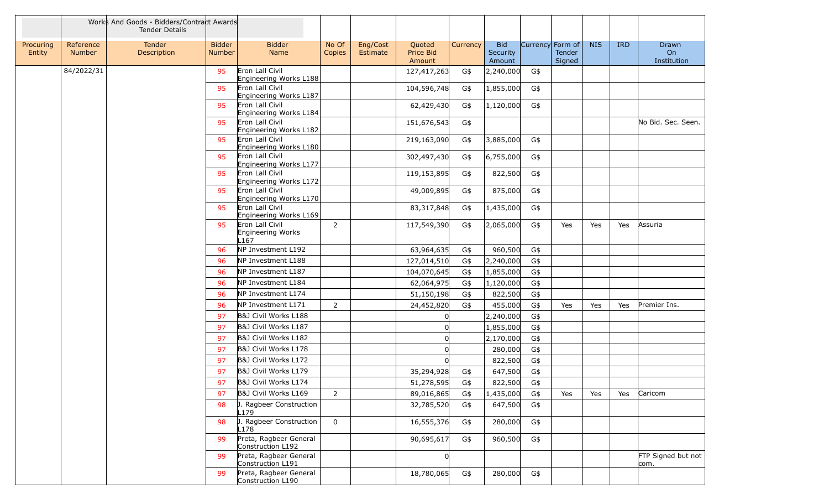|                     |                            | Works And Goods - Bidders/Contract Awards<br><b>Tender Details</b> |                                |                                                          |                 |                      |                               |          |                                  |      |                                      |            |            |                            |
|---------------------|----------------------------|--------------------------------------------------------------------|--------------------------------|----------------------------------------------------------|-----------------|----------------------|-------------------------------|----------|----------------------------------|------|--------------------------------------|------------|------------|----------------------------|
| Procuring<br>Entity | Reference<br><b>Number</b> | Tender<br>Description                                              | <b>Bidder</b><br><b>Number</b> | <b>Bidder</b><br>Name                                    | No Of<br>Copies | Eng/Cost<br>Estimate | Quoted<br>Price Bid<br>Amount | Currency | <b>Bid</b><br>Security<br>Amount |      | Currency Form of<br>Tender<br>Signed | <b>NIS</b> | <b>IRD</b> | Drawn<br>On<br>Institution |
|                     | 84/2022/31                 |                                                                    | 95                             | Eron Lall Civil<br>Engineering Works L188                |                 |                      | 127,417,263                   | G\$      | 2,240,000                        | G\$  |                                      |            |            |                            |
|                     |                            |                                                                    | 95                             | Eron Lall Civil<br>Engineering Works L187                |                 |                      | 104,596,748                   | G\$      | 1,855,000                        | G\$  |                                      |            |            |                            |
|                     |                            |                                                                    | 95                             | Eron Lall Civil<br>Engineering Works L184                |                 |                      | 62,429,430                    | G\$      | 1,120,000                        | G\$  |                                      |            |            |                            |
|                     |                            |                                                                    | 95                             | Eron Lall Civil<br>Engineering Works L182                |                 |                      | 151,676,543                   | G\$      |                                  |      |                                      |            |            | No Bid. Sec. Seen.         |
|                     |                            |                                                                    | 95                             | Eron Lall Civil<br>Engineering Works L180                |                 |                      | 219,163,090                   | G\$      | 3,885,000                        | G\$  |                                      |            |            |                            |
|                     |                            |                                                                    | 95                             | Eron Lall Civil<br>Engineering Works L177                |                 |                      | 302,497,430                   | G\$      | 6,755,000                        | G\$  |                                      |            |            |                            |
|                     |                            |                                                                    | 95                             | Eron Lall Civil<br>Engineering Works L172                |                 |                      | 119,153,895                   | G\$      | 822,500                          | G\$  |                                      |            |            |                            |
|                     |                            |                                                                    | 95                             | Eron Lall Civil<br>Engineering Works L170                |                 |                      | 49,009,895                    | G\$      | 875,000                          | G\$  |                                      |            |            |                            |
|                     |                            |                                                                    | 95                             | Eron Lall Civil<br>Engineering Works L169                |                 |                      | 83,317,848                    | G\$      | 1,435,000                        | G\$  |                                      |            |            |                            |
|                     |                            |                                                                    | 95                             | Eron Lall Civil<br>Engineering Works<br>L <sub>167</sub> | $\overline{2}$  |                      | 117,549,390                   | G\$      | 2,065,000                        | G\$  | Yes                                  | Yes        | Yes        | Assuria                    |
|                     |                            |                                                                    | 96                             | NP Investment L192                                       |                 |                      | 63,964,635                    | G\$      | 960,500                          | G\$  |                                      |            |            |                            |
|                     |                            |                                                                    | 96                             | NP Investment L188                                       |                 |                      | 127,014,510                   | G\$      | 2,240,000                        | G\$  |                                      |            |            |                            |
|                     |                            |                                                                    | 96                             | NP Investment L187                                       |                 |                      | 104,070,645                   | G\$      | 1,855,000                        | G\$  |                                      |            |            |                            |
|                     |                            |                                                                    | 96                             | NP Investment L184                                       |                 |                      | 62,064,975                    | G\$      | 1,120,000                        | G\$  |                                      |            |            |                            |
|                     |                            |                                                                    | 96                             | NP Investment L174                                       |                 |                      | 51,150,198                    | G\$      | 822,500                          | G\$  |                                      |            |            |                            |
|                     |                            |                                                                    | 96                             | NP Investment L171                                       | $\overline{2}$  |                      | 24,452,820                    | G\$      | 455,000                          | G\$  | Yes                                  | Yes        | Yes        | Premier Ins.               |
|                     |                            |                                                                    | 97                             | B&J Civil Works L188                                     |                 |                      |                               |          | 2,240,000                        | G\$  |                                      |            |            |                            |
|                     |                            |                                                                    | 97                             | B&J Civil Works L187                                     |                 |                      |                               |          | 1,855,000                        | G\$  |                                      |            |            |                            |
|                     |                            |                                                                    | 97                             | B&J Civil Works L182                                     |                 |                      |                               |          | 2,170,000                        | G\$  |                                      |            |            |                            |
|                     |                            |                                                                    | 97                             | B&J Civil Works L178                                     |                 |                      |                               |          | 280,000                          | G\$  |                                      |            |            |                            |
|                     |                            |                                                                    | 97                             | B&J Civil Works L172                                     |                 |                      |                               |          | 822,500                          | G\$  |                                      |            |            |                            |
|                     |                            |                                                                    | 97                             | B&J Civil Works L179                                     |                 |                      | 35,294,928                    | G\$      | 647,500                          | G\$  |                                      |            |            |                            |
|                     |                            |                                                                    | 97                             | B&J Civil Works L174                                     |                 |                      | 51,278,595                    | G\$      | 822,500                          | G\$  |                                      |            |            |                            |
|                     |                            |                                                                    | 97                             | B&J Civil Works L169                                     | 2               |                      | 89,016,865                    | G\$      | 1,435,000                        | G\$  | Yes                                  | Yes        | Yes        | Caricom                    |
|                     |                            |                                                                    | 98                             | J. Ragbeer Construction<br>L179                          |                 |                      | 32,785,520                    | G\$      | 647,500                          | G\$  |                                      |            |            |                            |
|                     |                            |                                                                    | 98                             | J. Ragbeer Construction<br>L178                          | $\mathbf{0}$    |                      | 16,555,376                    | G\$      | 280,000                          | $G\$ |                                      |            |            |                            |
|                     |                            |                                                                    | 99                             | Preta, Ragbeer General<br>Construction L192              |                 |                      | 90,695,617                    | G\$      | 960,500                          | G\$  |                                      |            |            |                            |
|                     |                            |                                                                    | 99                             | Preta, Ragbeer General<br>Construction L191              |                 |                      |                               |          |                                  |      |                                      |            |            | FTP Signed but not<br>com. |
|                     |                            |                                                                    | 99                             | Preta, Ragbeer General<br>Construction L190              |                 |                      | 18,780,065                    | G\$      | 280,000                          | G\$  |                                      |            |            |                            |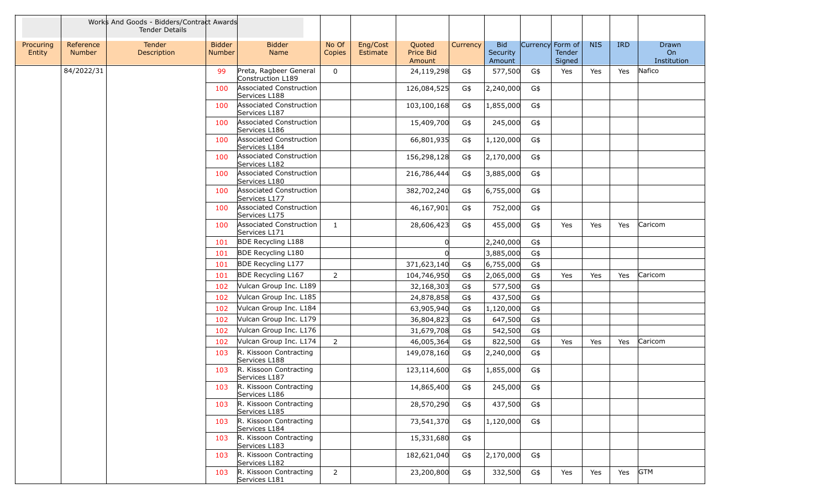|                     |                            | Works And Goods - Bidders/Contract Awards<br><b>Tender Details</b> |                         |                                             |                 |                      |                               |          |                                  |                  |                  |            |            |                            |
|---------------------|----------------------------|--------------------------------------------------------------------|-------------------------|---------------------------------------------|-----------------|----------------------|-------------------------------|----------|----------------------------------|------------------|------------------|------------|------------|----------------------------|
| Procuring<br>Entity | Reference<br><b>Number</b> | Tender<br>Description                                              | <b>Bidder</b><br>Number | <b>Bidder</b><br>Name                       | No Of<br>Copies | Eng/Cost<br>Estimate | Quoted<br>Price Bid<br>Amount | Currency | <b>Bid</b><br>Security<br>Amount | Currency Form of | Tender<br>Signed | <b>NIS</b> | <b>IRD</b> | Drawn<br>On<br>Institution |
|                     | 84/2022/31                 |                                                                    | 99                      | Preta, Ragbeer General<br>Construction L189 | $\mathbf 0$     |                      | 24,119,298                    | G\$      | 577,500                          | G\$              | Yes              | Yes        | Yes        | Nafico                     |
|                     |                            |                                                                    | 100                     | Associated Construction<br>Services L188    |                 |                      | 126,084,525                   | G\$      | 2,240,000                        | G\$              |                  |            |            |                            |
|                     |                            |                                                                    | 100                     | Associated Construction<br>Services L187    |                 |                      | 103,100,168                   | G\$      | 1,855,000                        | G\$              |                  |            |            |                            |
|                     |                            |                                                                    | 100                     | Associated Construction<br>Services L186    |                 |                      | 15,409,700                    | G\$      | 245,000                          | G\$              |                  |            |            |                            |
|                     |                            |                                                                    | 100                     | Associated Construction<br>Services L184    |                 |                      | 66,801,935                    | G\$      | 1,120,000                        | G\$              |                  |            |            |                            |
|                     |                            |                                                                    | 100                     | Associated Construction<br>Services L182    |                 |                      | 156,298,128                   | G\$      | 2,170,000                        | G\$              |                  |            |            |                            |
|                     |                            |                                                                    | 100                     | Associated Construction<br>Services L180    |                 |                      | 216,786,444                   | G\$      | 3,885,000                        | G\$              |                  |            |            |                            |
|                     |                            |                                                                    | 100                     | Associated Construction<br>Services L177    |                 |                      | 382,702,240                   | G\$      | 6,755,000                        | G\$              |                  |            |            |                            |
|                     |                            |                                                                    | 100                     | Associated Construction<br>Services L175    |                 |                      | 46,167,901                    | G\$      | 752,000                          | G\$              |                  |            |            |                            |
|                     |                            |                                                                    | 100                     | Associated Construction<br>Services L171    | 1               |                      | 28,606,423                    | G\$      | 455,000                          | G\$              | Yes              | Yes        | Yes        | Caricom                    |
|                     |                            |                                                                    | 101                     | <b>BDE Recycling L188</b>                   |                 |                      |                               |          | 2,240,000                        | G\$              |                  |            |            |                            |
|                     |                            |                                                                    | 101                     | <b>BDE Recycling L180</b>                   |                 |                      |                               |          | 3,885,000                        | G\$              |                  |            |            |                            |
|                     |                            |                                                                    | 101                     | <b>BDE Recycling L177</b>                   |                 |                      | 371,623,140                   | G\$      | 6,755,000                        | G\$              |                  |            |            |                            |
|                     |                            |                                                                    | 101                     | <b>BDE Recycling L167</b>                   | $\overline{2}$  |                      | 104,746,950                   | G\$      | 2,065,000                        | G\$              | Yes              | Yes        | Yes        | Caricom                    |
|                     |                            |                                                                    | 102                     | Vulcan Group Inc. L189                      |                 |                      | 32,168,303                    | G\$      | 577,500                          | G\$              |                  |            |            |                            |
|                     |                            |                                                                    | 102                     | Vulcan Group Inc. L185                      |                 |                      | 24,878,858                    | G\$      | 437,500                          | G\$              |                  |            |            |                            |
|                     |                            |                                                                    | 102                     | Vulcan Group Inc. L184                      |                 |                      | 63,905,940                    | G\$      | 1,120,000                        | G\$              |                  |            |            |                            |
|                     |                            |                                                                    | 102                     | Vulcan Group Inc. L179                      |                 |                      | 36,804,823                    | G\$      | 647,500                          | G\$              |                  |            |            |                            |
|                     |                            |                                                                    | 102                     | Vulcan Group Inc. L176                      |                 |                      | 31,679,708                    | G\$      | 542,500                          | G\$              |                  |            |            |                            |
|                     |                            |                                                                    | 102                     | Vulcan Group Inc. L174                      | $\overline{2}$  |                      | 46,005,364                    | G\$      | 822,500                          | G\$              | Yes              | Yes        | Yes        | Caricom                    |
|                     |                            |                                                                    | 103                     | R. Kissoon Contracting<br>Services L188     |                 |                      | 149,078,160                   | G\$      | 2,240,000                        | G\$              |                  |            |            |                            |
|                     |                            |                                                                    | 103                     | R. Kissoon Contracting<br>Services L187     |                 |                      | 123,114,600                   | G\$      | 1,855,000                        | G\$              |                  |            |            |                            |
|                     |                            |                                                                    | 103                     | R. Kissoon Contracting<br>Services L186     |                 |                      | 14,865,400                    | G\$      | 245,000                          | G\$              |                  |            |            |                            |
|                     |                            |                                                                    | 103                     | R. Kissoon Contracting<br>Services L185     |                 |                      | 28,570,290                    | G\$      | 437,500                          | G\$              |                  |            |            |                            |
|                     |                            |                                                                    | 103                     | R. Kissoon Contracting<br>Services L184     |                 |                      | 73,541,370                    | G\$      | 1,120,000                        | G\$              |                  |            |            |                            |
|                     |                            |                                                                    | 103                     | R. Kissoon Contracting<br>Services L183     |                 |                      | 15,331,680                    | G\$      |                                  |                  |                  |            |            |                            |
|                     |                            |                                                                    | 103                     | R. Kissoon Contracting<br>Services L182     |                 |                      | 182,621,040                   | G\$      | 2,170,000                        | G\$              |                  |            |            |                            |
|                     |                            |                                                                    | 103                     | R. Kissoon Contracting<br>Services L181     | $\overline{2}$  |                      | 23,200,800                    | G\$      | 332,500                          | G\$              | Yes              | Yes        | Yes        | <b>GTM</b>                 |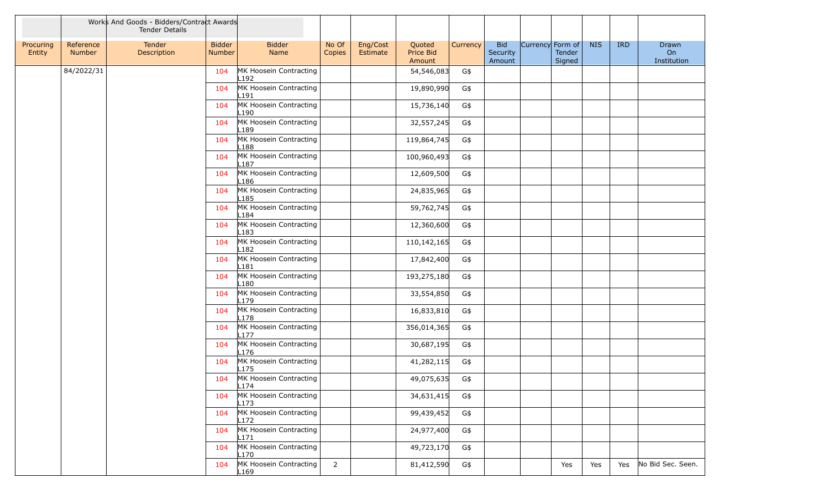|                     |                     | Works And Goods - Bidders/Contract Awards<br><b>Tender Details</b> |                         |                                            |                 |                      |                               |          |                                  |                  |                  |            |            |                            |
|---------------------|---------------------|--------------------------------------------------------------------|-------------------------|--------------------------------------------|-----------------|----------------------|-------------------------------|----------|----------------------------------|------------------|------------------|------------|------------|----------------------------|
| Procuring<br>Entity | Reference<br>Number | Tender<br>Description                                              | <b>Bidder</b><br>Number | <b>Bidder</b><br>Name                      | No Of<br>Copies | Eng/Cost<br>Estimate | Quoted<br>Price Bid<br>Amount | Currency | <b>Bid</b><br>Security<br>Amount | Currency Form of | Tender<br>Signed | <b>NIS</b> | <b>IRD</b> | Drawn<br>On<br>Institution |
|                     | 84/2022/31          |                                                                    | 104                     | MK Hoosein Contracting<br>L192             |                 |                      | 54,546,083                    | G\$      |                                  |                  |                  |            |            |                            |
|                     |                     |                                                                    | 104                     | MK Hoosein Contracting<br>L191             |                 |                      | 19,890,990                    | G\$      |                                  |                  |                  |            |            |                            |
|                     |                     |                                                                    | 104                     | MK Hoosein Contracting<br>L190             |                 |                      | 15,736,140                    | G\$      |                                  |                  |                  |            |            |                            |
|                     |                     |                                                                    | 104                     | MK Hoosein Contracting<br>L189             |                 |                      | 32,557,245                    | G\$      |                                  |                  |                  |            |            |                            |
|                     |                     |                                                                    | 104                     | MK Hoosein Contracting<br>L188             |                 |                      | 119,864,745                   | G\$      |                                  |                  |                  |            |            |                            |
|                     |                     |                                                                    | 104                     | MK Hoosein Contracting<br>L187             |                 |                      | 100,960,493                   | G\$      |                                  |                  |                  |            |            |                            |
|                     |                     |                                                                    | 104                     | MK Hoosein Contracting<br>L186             |                 |                      | 12,609,500                    | G\$      |                                  |                  |                  |            |            |                            |
|                     |                     |                                                                    | 104                     | MK Hoosein Contracting<br>L185             |                 |                      | 24,835,965                    | G\$      |                                  |                  |                  |            |            |                            |
|                     |                     |                                                                    | 104                     | MK Hoosein Contracting<br>L <sub>184</sub> |                 |                      | 59,762,745                    | G\$      |                                  |                  |                  |            |            |                            |
|                     |                     |                                                                    | 104                     | MK Hoosein Contracting<br>L183             |                 |                      | 12,360,600                    | G\$      |                                  |                  |                  |            |            |                            |
|                     |                     |                                                                    | 104                     | MK Hoosein Contracting<br>L182             |                 |                      | 110,142,165                   | G\$      |                                  |                  |                  |            |            |                            |
|                     |                     |                                                                    | 104                     | MK Hoosein Contracting<br>L181             |                 |                      | 17,842,400                    | G\$      |                                  |                  |                  |            |            |                            |
|                     |                     |                                                                    | 104                     | MK Hoosein Contracting<br>L180             |                 |                      | 193,275,180                   | G\$      |                                  |                  |                  |            |            |                            |
|                     |                     |                                                                    | 104                     | MK Hoosein Contracting<br>L179             |                 |                      | 33,554,850                    | G\$      |                                  |                  |                  |            |            |                            |
|                     |                     |                                                                    | 104                     | MK Hoosein Contracting<br>L178             |                 |                      | 16,833,810                    | G\$      |                                  |                  |                  |            |            |                            |
|                     |                     |                                                                    | 104                     | MK Hoosein Contracting<br>L <sub>177</sub> |                 |                      | 356,014,365                   | G\$      |                                  |                  |                  |            |            |                            |
|                     |                     |                                                                    | 104                     | MK Hoosein Contracting<br>L176             |                 |                      | 30,687,195                    | G\$      |                                  |                  |                  |            |            |                            |
|                     |                     |                                                                    | 104                     | MK Hoosein Contracting<br>L175             |                 |                      | 41,282,115                    | G\$      |                                  |                  |                  |            |            |                            |
|                     |                     |                                                                    | 104                     | MK Hoosein Contracting<br>L174             |                 |                      | 49,075,635                    | G\$      |                                  |                  |                  |            |            |                            |
|                     |                     |                                                                    | 104                     | MK Hoosein Contracting<br>L173             |                 |                      | 34,631,415                    | G\$      |                                  |                  |                  |            |            |                            |
|                     |                     |                                                                    | 104                     | MK Hoosein Contracting<br>L172             |                 |                      | 99,439,452                    | G\$      |                                  |                  |                  |            |            |                            |
|                     |                     |                                                                    | 104                     | MK Hoosein Contracting<br>L171             |                 |                      | 24,977,400                    | G\$      |                                  |                  |                  |            |            |                            |
|                     |                     |                                                                    | 104                     | MK Hoosein Contracting<br>L170             |                 |                      | 49,723,170                    | G\$      |                                  |                  |                  |            |            |                            |
|                     |                     |                                                                    | 104                     | MK Hoosein Contracting<br>L <sub>169</sub> | $2^{\circ}$     |                      | 81,412,590                    | G\$      |                                  |                  | Yes              | Yes        | Yes        | No Bid Sec. Seen.          |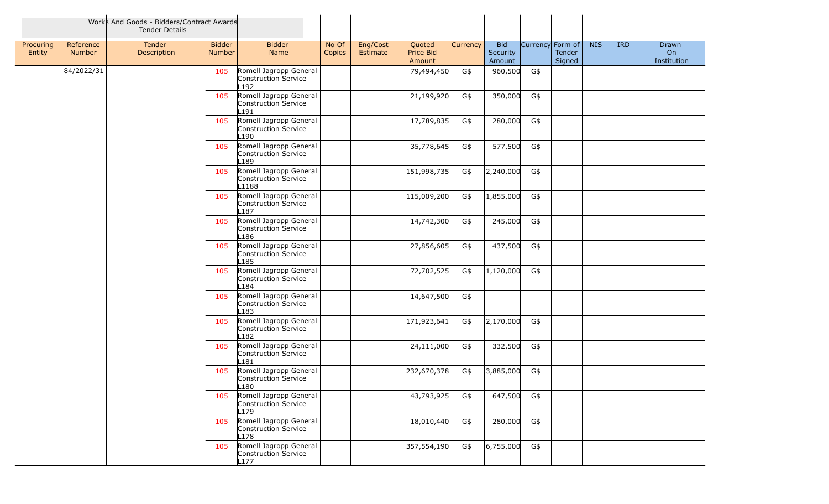|                     |                     | Works And Goods - Bidders/Contract Awards<br><b>Tender Details</b> |                         |                                                                    |                 |                      |                               |          |                                  |                  |                  |            |            |                            |
|---------------------|---------------------|--------------------------------------------------------------------|-------------------------|--------------------------------------------------------------------|-----------------|----------------------|-------------------------------|----------|----------------------------------|------------------|------------------|------------|------------|----------------------------|
| Procuring<br>Entity | Reference<br>Number | Tender<br>Description                                              | <b>Bidder</b><br>Number | <b>Bidder</b><br>Name                                              | No Of<br>Copies | Eng/Cost<br>Estimate | Quoted<br>Price Bid<br>Amount | Currency | <b>Bid</b><br>Security<br>Amount | Currency Form of | Tender<br>Signed | <b>NIS</b> | <b>IRD</b> | Drawn<br>On<br>Institution |
|                     | 84/2022/31          |                                                                    | 105                     | Romell Jagropp General<br>Construction Service<br>L192             |                 |                      | 79,494,450                    | G\$      | 960,500                          | G\$              |                  |            |            |                            |
|                     |                     |                                                                    | 105                     | Romell Jagropp General<br>Construction Service<br>191              |                 |                      | 21,199,920                    | G\$      | 350,000                          | G\$              |                  |            |            |                            |
|                     |                     |                                                                    | 105                     | Romell Jagropp General<br>Construction Service<br>L190             |                 |                      | 17,789,835                    | G\$      | 280,000                          | G\$              |                  |            |            |                            |
|                     |                     |                                                                    | 105                     | Romell Jagropp General<br>Construction Service<br>-189             |                 |                      | 35,778,645                    | G\$      | 577,500                          | G\$              |                  |            |            |                            |
|                     |                     |                                                                    | 105                     | Romell Jagropp General<br>Construction Service<br>L1188            |                 |                      | 151,998,735                   | G\$      | 2,240,000                        | G\$              |                  |            |            |                            |
|                     |                     |                                                                    | 105                     | Romell Jagropp General<br>Construction Service<br>L187             |                 |                      | 115,009,200                   | G\$      | 1,855,000                        | G\$              |                  |            |            |                            |
|                     |                     |                                                                    | 105                     | Romell Jagropp General<br>Construction Service<br>L186             |                 |                      | 14,742,300                    | G\$      | 245,000                          | G\$              |                  |            |            |                            |
|                     |                     |                                                                    | 105                     | Romell Jagropp General<br>Construction Service<br>L185             |                 |                      | 27,856,605                    | G\$      | 437,500                          | G\$              |                  |            |            |                            |
|                     |                     |                                                                    | 105                     | Romell Jagropp General<br>Construction Service<br>L184             |                 |                      | 72,702,525                    | G\$      | 1,120,000                        | G\$              |                  |            |            |                            |
|                     |                     |                                                                    | 105                     | Romell Jagropp General<br>Construction Service<br>L183             |                 |                      | 14,647,500                    | G\$      |                                  |                  |                  |            |            |                            |
|                     |                     |                                                                    | 105                     | Romell Jagropp General<br>Construction Service<br>182              |                 |                      | 171,923,641                   | G\$      | 2,170,000                        | G\$              |                  |            |            |                            |
|                     |                     |                                                                    | 105                     | Romell Jagropp General<br>Construction Service<br>-181             |                 |                      | 24,111,000                    | G\$      | 332,500                          | G\$              |                  |            |            |                            |
|                     |                     |                                                                    | 105                     | Romell Jagropp General<br>Construction Service<br>L <sub>180</sub> |                 |                      | 232,670,378                   | G\$      | 3,885,000                        | G\$              |                  |            |            |                            |
|                     |                     |                                                                    | 105                     | Romell Jagropp General<br>Construction Service<br>L179             |                 |                      | 43,793,925                    | G\$      | 647,500                          | G\$              |                  |            |            |                            |
|                     |                     |                                                                    | 105                     | Romell Jagropp General<br>Construction Service<br>L178             |                 |                      | 18,010,440                    | G\$      | 280,000                          | G\$              |                  |            |            |                            |
|                     |                     |                                                                    | 105                     | Romell Jagropp General<br>Construction Service<br>L177             |                 |                      | 357,554,190                   | G\$      | 6,755,000                        | G\$              |                  |            |            |                            |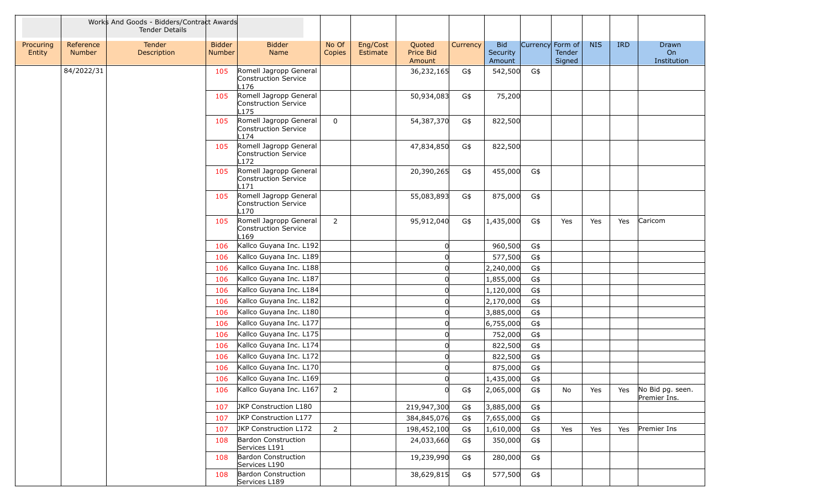|                     |                            | Works And Goods - Bidders/Contract Awards<br><b>Tender Details</b> |                                |                                                                    |                 |                      |                               |          |                                  |                  |                  |            |            |                                  |
|---------------------|----------------------------|--------------------------------------------------------------------|--------------------------------|--------------------------------------------------------------------|-----------------|----------------------|-------------------------------|----------|----------------------------------|------------------|------------------|------------|------------|----------------------------------|
| Procuring<br>Entity | Reference<br><b>Number</b> | Tender<br>Description                                              | <b>Bidder</b><br><b>Number</b> | <b>Bidder</b><br>Name                                              | No Of<br>Copies | Eng/Cost<br>Estimate | Quoted<br>Price Bid<br>Amount | Currency | <b>Bid</b><br>Security<br>Amount | Currency Form of | Tender<br>Signed | <b>NIS</b> | <b>IRD</b> | Drawn<br>On<br>Institution       |
|                     | 84/2022/31                 |                                                                    | 105                            | Romell Jagropp General<br>Construction Service<br>L <sub>176</sub> |                 |                      | 36,232,165                    | G\$      | 542,500                          | G\$              |                  |            |            |                                  |
|                     |                            |                                                                    | 105                            | Romell Jagropp General<br>Construction Service<br>175              |                 |                      | 50,934,083                    | G\$      | 75,200                           |                  |                  |            |            |                                  |
|                     |                            |                                                                    | 105                            | Romell Jagropp General<br>Construction Service<br>$-174$           | $\overline{0}$  |                      | 54,387,370                    | G\$      | 822,500                          |                  |                  |            |            |                                  |
|                     |                            |                                                                    | 105                            | Romell Jagropp General<br>Construction Service<br>172              |                 |                      | 47,834,850                    | G\$      | 822,500                          |                  |                  |            |            |                                  |
|                     |                            |                                                                    | 105                            | Romell Jagropp General<br>Construction Service<br>171              |                 |                      | 20,390,265                    | G\$      | 455,000                          | G\$              |                  |            |            |                                  |
|                     |                            |                                                                    | 105                            | Romell Jagropp General<br>Construction Service<br>L170             |                 |                      | 55,083,893                    | G\$      | 875,000                          | G\$              |                  |            |            |                                  |
|                     |                            |                                                                    | 105                            | Romell Jagropp General<br><b>Construction Service</b><br>-169      | $\overline{2}$  |                      | 95,912,040                    | G\$      | 1,435,000                        | G\$              | Yes              | Yes        | Yes        | Caricom                          |
|                     |                            |                                                                    | 106                            | Kallco Guyana Inc. L192                                            |                 |                      |                               |          | 960,500                          | G\$              |                  |            |            |                                  |
|                     |                            |                                                                    | 106                            | Kallco Guyana Inc. L189                                            |                 |                      |                               |          | 577,500                          | G\$              |                  |            |            |                                  |
|                     |                            |                                                                    | 106                            | Kallco Guyana Inc. L188                                            |                 |                      |                               |          | 2,240,000                        | G\$              |                  |            |            |                                  |
|                     |                            |                                                                    | 106                            | Kallco Guyana Inc. L187                                            |                 |                      |                               |          | 1,855,000                        | G\$              |                  |            |            |                                  |
|                     |                            |                                                                    | 106                            | Kallco Guyana Inc. L184                                            |                 |                      |                               |          | 1,120,000                        | G\$              |                  |            |            |                                  |
|                     |                            |                                                                    | 106                            | Kallco Guyana Inc. L182                                            |                 |                      |                               |          | 2,170,000                        | G\$              |                  |            |            |                                  |
|                     |                            |                                                                    | 106                            | Kallco Guyana Inc. L180                                            |                 |                      |                               |          | 3,885,000                        | G\$              |                  |            |            |                                  |
|                     |                            |                                                                    | 106                            | Kallco Guyana Inc. L177                                            |                 |                      |                               |          | 6,755,000                        | G\$              |                  |            |            |                                  |
|                     |                            |                                                                    | 106                            | Kallco Guyana Inc. L175                                            |                 |                      |                               |          | 752,000                          | G\$              |                  |            |            |                                  |
|                     |                            |                                                                    | 106                            | Kallco Guyana Inc. L174                                            |                 |                      |                               |          | 822,500                          | G\$              |                  |            |            |                                  |
|                     |                            |                                                                    | 106                            | Kallco Guyana Inc. L172                                            |                 |                      |                               |          | 822,500                          | G\$              |                  |            |            |                                  |
|                     |                            |                                                                    | 106                            | Kallco Guyana Inc. L170                                            |                 |                      |                               |          | 875,000                          | G\$              |                  |            |            |                                  |
|                     |                            |                                                                    | 106                            | Kallco Guyana Inc. L169                                            |                 |                      |                               |          | 1,435,000                        | G\$              |                  |            |            |                                  |
|                     |                            |                                                                    | 106                            | Kallco Guyana Inc. L167                                            | 2               |                      | 0                             | G\$      | 2,065,000                        | G\$              | No               | Yes        | Yes        | No Bid pg. seen.<br>Premier Ins. |
|                     |                            |                                                                    | 107                            | JKP Construction L180                                              |                 |                      | 219,947,300                   | G\$      | 3,885,000                        | G\$              |                  |            |            |                                  |
|                     |                            |                                                                    | 107                            | JKP Construction L177                                              |                 |                      | 384,845,076                   | G\$      | 7,655,000                        | G\$              |                  |            |            |                                  |
|                     |                            |                                                                    | 107                            | JKP Construction L172                                              | $\overline{2}$  |                      | 198,452,100                   | G\$      | 1,610,000                        | G\$              | Yes              | Yes        | Yes        | Premier Ins                      |
|                     |                            |                                                                    | 108                            | <b>Bardon Construction</b><br>Services L191                        |                 |                      | 24,033,660                    | G\$      | 350,000                          | G\$              |                  |            |            |                                  |
|                     |                            |                                                                    | 108                            | <b>Bardon Construction</b><br>Services L190                        |                 |                      | 19,239,990                    | G\$      | 280,000                          | G\$              |                  |            |            |                                  |
|                     |                            |                                                                    | 108                            | <b>Bardon Construction</b><br>Services L189                        |                 |                      | 38,629,815                    | G\$      | 577,500                          | G\$              |                  |            |            |                                  |